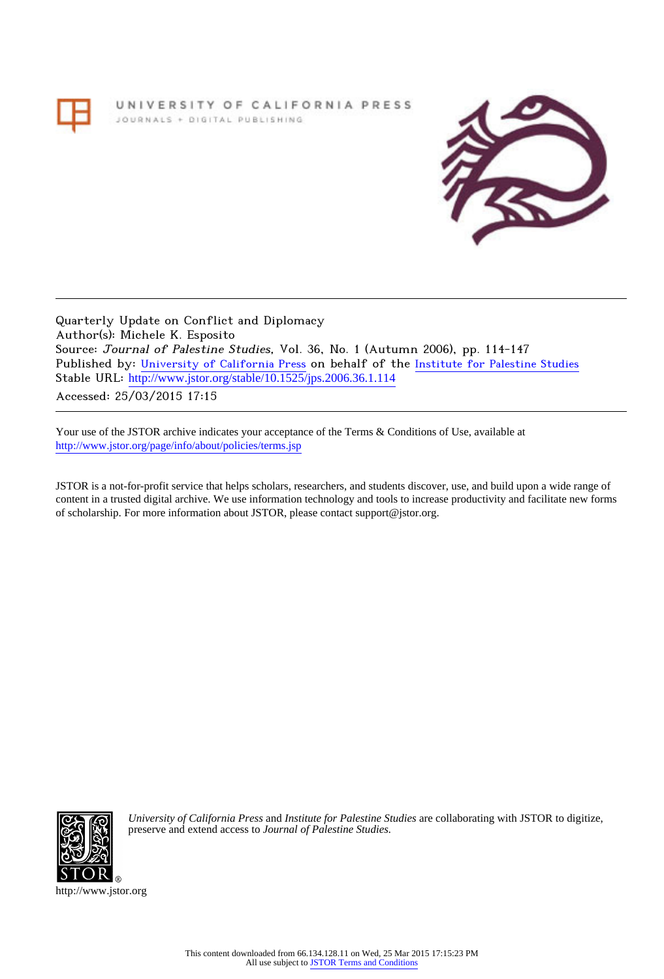# UNIVERSITY OF CALIFORNIA PRESS JOURNALS + DIGITAL PUBLISHING



Quarterly Update on Conflict and Diplomacy Author(s): Michele K. Esposito Source: Journal of Palestine Studies, Vol. 36, No. 1 (Autumn 2006), pp. 114-147 Published by: [University of California Press](http://www.jstor.org/action/showPublisher?publisherCode=ucal) on behalf of the [Institute for Palestine Studies](http://www.jstor.org/action/showPublisher?publisherCode=palstud) Stable URL: http://www.jstor.org/stable/10.1525/jps.2006.36.1.114

Accessed: 25/03/2015 17:15

Your use of the JSTOR archive indicates your acceptance of the Terms & Conditions of Use, available at <http://www.jstor.org/page/info/about/policies/terms.jsp>

JSTOR is a not-for-profit service that helps scholars, researchers, and students discover, use, and build upon a wide range of content in a trusted digital archive. We use information technology and tools to increase productivity and facilitate new forms of scholarship. For more information about JSTOR, please contact support@jstor.org.



*University of California Press* and *Institute for Palestine Studies* are collaborating with JSTOR to digitize, preserve and extend access to *Journal of Palestine Studies.*

http://www.jstor.org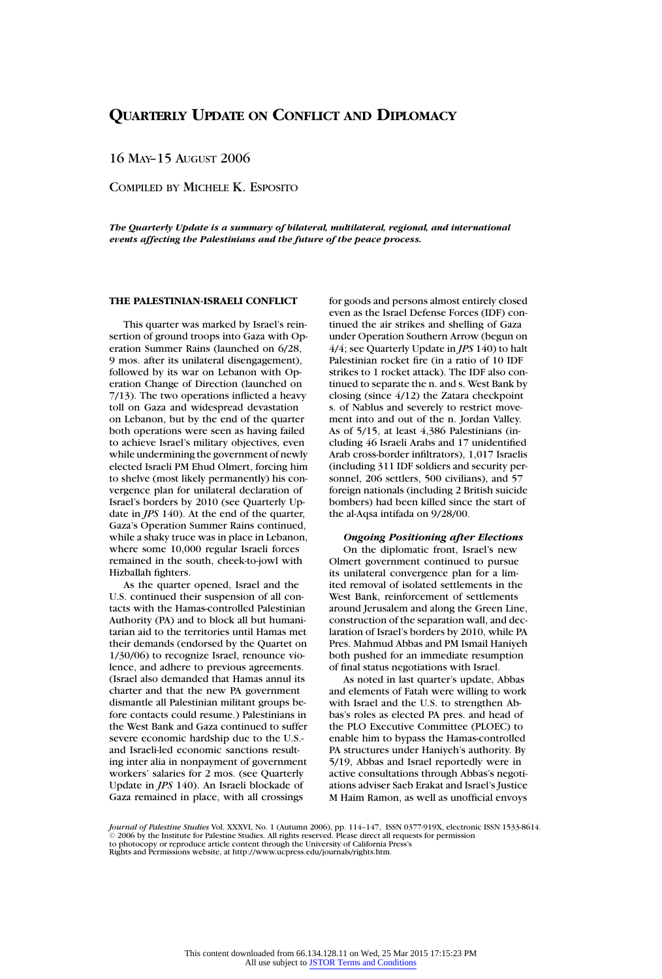16 MAY–15 AUGUST 2006

COMPILED BY MICHELE K. ESPOSITO

*The Quarterly Update is a summary of bilateral, multilateral, regional, and international events affecting the Palestinians and the future of the peace process.*

# **THE PALESTINIAN-ISRAELI CONFLICT**

This quarter was marked by Israel's reinsertion of ground troops into Gaza with Operation Summer Rains (launched on 6/28, 9 mos. after its unilateral disengagement), followed by its war on Lebanon with Operation Change of Direction (launched on 7/13). The two operations inflicted a heavy toll on Gaza and widespread devastation on Lebanon, but by the end of the quarter both operations were seen as having failed to achieve Israel's military objectives, even while undermining the government of newly elected Israeli PM Ehud Olmert, forcing him to shelve (most likely permanently) his convergence plan for unilateral declaration of Israel's borders by 2010 (see Quarterly Update in *JPS* 140). At the end of the quarter, Gaza's Operation Summer Rains continued, while a shaky truce was in place in Lebanon, where some 10,000 regular Israeli forces remained in the south, cheek-to-jowl with Hizballah fighters.

As the quarter opened, Israel and the U.S. continued their suspension of all contacts with the Hamas-controlled Palestinian Authority (PA) and to block all but humanitarian aid to the territories until Hamas met their demands (endorsed by the Quartet on 1/30/06) to recognize Israel, renounce violence, and adhere to previous agreements. (Israel also demanded that Hamas annul its charter and that the new PA government dismantle all Palestinian militant groups before contacts could resume.) Palestinians in the West Bank and Gaza continued to suffer severe economic hardship due to the U.S. and Israeli-led economic sanctions resulting inter alia in nonpayment of government workers' salaries for 2 mos. (see Quarterly Update in *JPS* 140). An Israeli blockade of Gaza remained in place, with all crossings

for goods and persons almost entirely closed even as the Israel Defense Forces (IDF) continued the air strikes and shelling of Gaza under Operation Southern Arrow (begun on 4/4; see Quarterly Update in *JPS* 140) to halt Palestinian rocket fire (in a ratio of 10 IDF strikes to 1 rocket attack). The IDF also continued to separate the n. and s. West Bank by closing (since 4/12) the Zatara checkpoint s. of Nablus and severely to restrict movement into and out of the n. Jordan Valley. As of 5/15, at least 4,386 Palestinians (including 46 Israeli Arabs and 17 unidentified Arab cross-border infiltrators), 1,017 Israelis (including 311 IDF soldiers and security personnel, 206 settlers, 500 civilians), and 57 foreign nationals (including 2 British suicide bombers) had been killed since the start of the al-Aqsa intifada on 9/28/00.

# *Ongoing Positioning after Elections* On the diplomatic front, Israel's new Olmert government continued to pursue its unilateral convergence plan for a limited removal of isolated settlements in the West Bank, reinforcement of settlements around Jerusalem and along the Green Line, construction of the separation wall, and declaration of Israel's borders by 2010, while PA Pres. Mahmud Abbas and PM Ismail Haniyeh both pushed for an immediate resumption of final status negotiations with Israel.

As noted in last quarter's update, Abbas and elements of Fatah were willing to work with Israel and the U.S. to strengthen Abbas's roles as elected PA pres. and head of the PLO Executive Committee (PLOEC) to enable him to bypass the Hamas-controlled PA structures under Haniyeh's authority. By 5/19, Abbas and Israel reportedly were in active consultations through Abbas's negotiations adviser Saeb Erakat and Israel's Justice M Haim Ramon, as well as unofficial envoys

*Journal of Palestine Studies* Vol. XXXVI, No. 1 (Autumn 2006), pp. 114–147, ISSN 0377-919X, electronic ISSN 1533-8614.<br>© 2006 by the Institute for Palestine Studies. All rights reserved. Please direct all requests for pe to photocopy or reproduce article content through the University of California Press's Rights and Permissions website, at http://www.ucpress.edu/journals/rights.htm.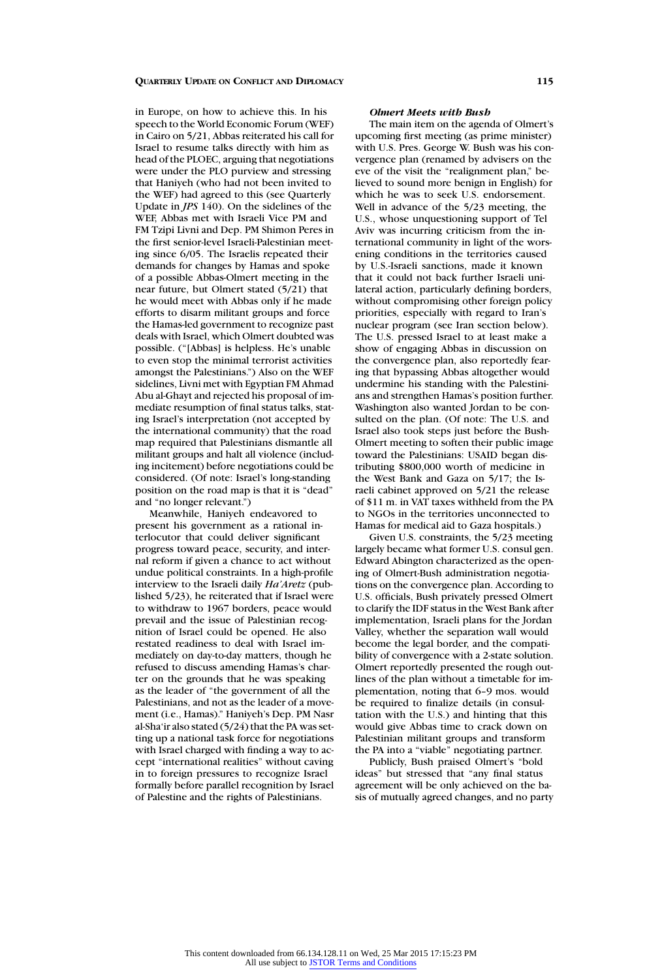in Europe, on how to achieve this. In his speech to the World Economic Forum (WEF) in Cairo on 5/21, Abbas reiterated his call for Israel to resume talks directly with him as head of the PLOEC, arguing that negotiations were under the PLO purview and stressing that Haniyeh (who had not been invited to the WEF) had agreed to this (see Quarterly Update in *JPS* 140). On the sidelines of the WEF, Abbas met with Israeli Vice PM and FM Tzipi Livni and Dep. PM Shimon Peres in the first senior-level Israeli-Palestinian meeting since 6/05. The Israelis repeated their demands for changes by Hamas and spoke of a possible Abbas-Olmert meeting in the near future, but Olmert stated (5/21) that he would meet with Abbas only if he made efforts to disarm militant groups and force the Hamas-led government to recognize past deals with Israel, which Olmert doubted was possible. ("[Abbas] is helpless. He's unable to even stop the minimal terrorist activities amongst the Palestinians.") Also on the WEF sidelines, Livni met with Egyptian FM Ahmad Abu al-Ghayt and rejected his proposal of immediate resumption of final status talks, stating Israel's interpretation (not accepted by the international community) that the road map required that Palestinians dismantle all militant groups and halt all violence (including incitement) before negotiations could be considered. (Of note: Israel's long-standing position on the road map is that it is "dead" and "no longer relevant.")

Meanwhile, Haniyeh endeavored to present his government as a rational interlocutor that could deliver significant progress toward peace, security, and internal reform if given a chance to act without undue political constraints. In a high-profile interview to the Israeli daily *Ha'Aretz* (published 5/23), he reiterated that if Israel were to withdraw to 1967 borders, peace would prevail and the issue of Palestinian recognition of Israel could be opened. He also restated readiness to deal with Israel immediately on day-to-day matters, though he refused to discuss amending Hamas's charter on the grounds that he was speaking as the leader of "the government of all the Palestinians, and not as the leader of a movement (i.e., Hamas)." Haniyeh's Dep. PM Nasr al-Sha'ir also stated (5/24) that the PA was setting up a national task force for negotiations with Israel charged with finding a way to accept "international realities" without caving in to foreign pressures to recognize Israel formally before parallel recognition by Israel of Palestine and the rights of Palestinians.

# *Olmert Meets with Bush*

The main item on the agenda of Olmert's upcoming first meeting (as prime minister) with U.S. Pres. George W. Bush was his convergence plan (renamed by advisers on the eve of the visit the "realignment plan," believed to sound more benign in English) for which he was to seek U.S. endorsement. Well in advance of the 5/23 meeting, the U.S., whose unquestioning support of Tel Aviv was incurring criticism from the international community in light of the worsening conditions in the territories caused by U.S.-Israeli sanctions, made it known that it could not back further Israeli unilateral action, particularly defining borders, without compromising other foreign policy priorities, especially with regard to Iran's nuclear program (see Iran section below). The U.S. pressed Israel to at least make a show of engaging Abbas in discussion on the convergence plan, also reportedly fearing that bypassing Abbas altogether would undermine his standing with the Palestinians and strengthen Hamas's position further. Washington also wanted Jordan to be consulted on the plan. (Of note: The U.S. and Israel also took steps just before the Bush-Olmert meeting to soften their public image toward the Palestinians: USAID began distributing \$800,000 worth of medicine in the West Bank and Gaza on 5/17; the Israeli cabinet approved on 5/21 the release of \$11 m. in VAT taxes withheld from the PA to NGOs in the territories unconnected to Hamas for medical aid to Gaza hospitals.)

Given U.S. constraints, the 5/23 meeting largely became what former U.S. consul gen. Edward Abington characterized as the opening of Olmert-Bush administration negotiations on the convergence plan. According to U.S. officials, Bush privately pressed Olmert to clarify the IDF status in the West Bank after implementation, Israeli plans for the Jordan Valley, whether the separation wall would become the legal border, and the compatibility of convergence with a 2-state solution. Olmert reportedly presented the rough outlines of the plan without a timetable for implementation, noting that 6–9 mos. would be required to finalize details (in consultation with the U.S.) and hinting that this would give Abbas time to crack down on Palestinian militant groups and transform the PA into a "viable" negotiating partner.

Publicly, Bush praised Olmert's "bold ideas" but stressed that "any final status agreement will be only achieved on the basis of mutually agreed changes, and no party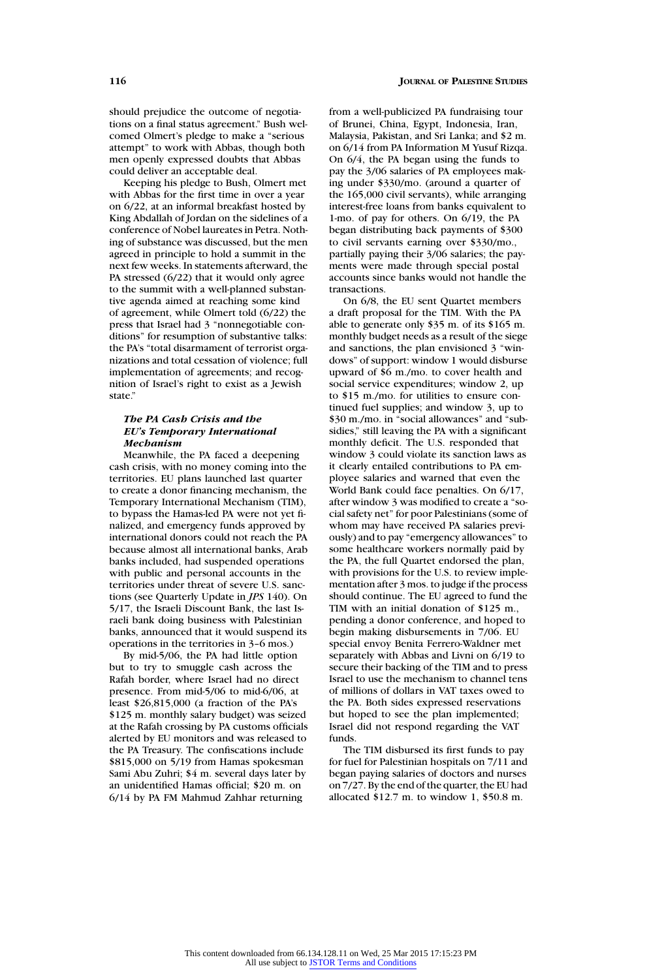should prejudice the outcome of negotiations on a final status agreement." Bush welcomed Olmert's pledge to make a "serious attempt" to work with Abbas, though both men openly expressed doubts that Abbas could deliver an acceptable deal.

Keeping his pledge to Bush, Olmert met with Abbas for the first time in over a year on 6/22, at an informal breakfast hosted by King Abdallah of Jordan on the sidelines of a conference of Nobel laureates in Petra. Nothing of substance was discussed, but the men agreed in principle to hold a summit in the next few weeks. In statements afterward, the PA stressed (6/22) that it would only agree to the summit with a well-planned substantive agenda aimed at reaching some kind of agreement, while Olmert told (6/22) the press that Israel had 3 "nonnegotiable conditions" for resumption of substantive talks: the PA's "total disarmament of terrorist organizations and total cessation of violence; full implementation of agreements; and recognition of Israel's right to exist as a Jewish state."

# *The PA Cash Crisis and the EU's Temporary International Mechanism*

Meanwhile, the PA faced a deepening cash crisis, with no money coming into the territories. EU plans launched last quarter to create a donor financing mechanism, the Temporary International Mechanism (TIM), to bypass the Hamas-led PA were not yet finalized, and emergency funds approved by international donors could not reach the PA because almost all international banks, Arab banks included, had suspended operations with public and personal accounts in the territories under threat of severe U.S. sanctions (see Quarterly Update in *JPS* 140). On 5/17, the Israeli Discount Bank, the last Israeli bank doing business with Palestinian banks, announced that it would suspend its operations in the territories in 3–6 mos.)

By mid-5/06, the PA had little option but to try to smuggle cash across the Rafah border, where Israel had no direct presence. From mid-5/06 to mid-6/06, at least \$26,815,000 (a fraction of the PA's \$125 m. monthly salary budget) was seized at the Rafah crossing by PA customs officials alerted by EU monitors and was released to the PA Treasury. The confiscations include \$815,000 on 5/19 from Hamas spokesman Sami Abu Zuhri; \$4 m. several days later by an unidentified Hamas official; \$20 m. on 6/14 by PA FM Mahmud Zahhar returning

from a well-publicized PA fundraising tour of Brunei, China, Egypt, Indonesia, Iran, Malaysia, Pakistan, and Sri Lanka; and \$2 m. on 6/14 from PA Information M Yusuf Rizqa. On 6/4, the PA began using the funds to pay the 3/06 salaries of PA employees making under \$330/mo. (around a quarter of the 165,000 civil servants), while arranging interest-free loans from banks equivalent to 1-mo. of pay for others. On 6/19, the PA began distributing back payments of \$300 to civil servants earning over \$330/mo., partially paying their 3/06 salaries; the payments were made through special postal accounts since banks would not handle the transactions.

On 6/8, the EU sent Quartet members a draft proposal for the TIM. With the PA able to generate only \$35 m. of its \$165 m. monthly budget needs as a result of the siege and sanctions, the plan envisioned 3 "windows" of support: window 1 would disburse upward of \$6 m./mo. to cover health and social service expenditures; window 2, up to \$15 m./mo. for utilities to ensure continued fuel supplies; and window 3, up to \$30 m./mo. in "social allowances" and "subsidies," still leaving the PA with a significant monthly deficit. The U.S. responded that window 3 could violate its sanction laws as it clearly entailed contributions to PA employee salaries and warned that even the World Bank could face penalties. On 6/17, after window 3 was modified to create a "social safety net" for poor Palestinians (some of whom may have received PA salaries previously) and to pay "emergency allowances" to some healthcare workers normally paid by the PA, the full Quartet endorsed the plan, with provisions for the U.S. to review implementation after 3 mos. to judge if the process should continue. The EU agreed to fund the TIM with an initial donation of \$125 m., pending a donor conference, and hoped to begin making disbursements in 7/06. EU special envoy Benita Ferrero-Waldner met separately with Abbas and Livni on 6/19 to secure their backing of the TIM and to press Israel to use the mechanism to channel tens of millions of dollars in VAT taxes owed to the PA. Both sides expressed reservations but hoped to see the plan implemented; Israel did not respond regarding the VAT funds.

The TIM disbursed its first funds to pay for fuel for Palestinian hospitals on 7/11 and began paying salaries of doctors and nurses on 7/27. By the end of the quarter, the EU had allocated \$12.7 m. to window 1, \$50.8 m.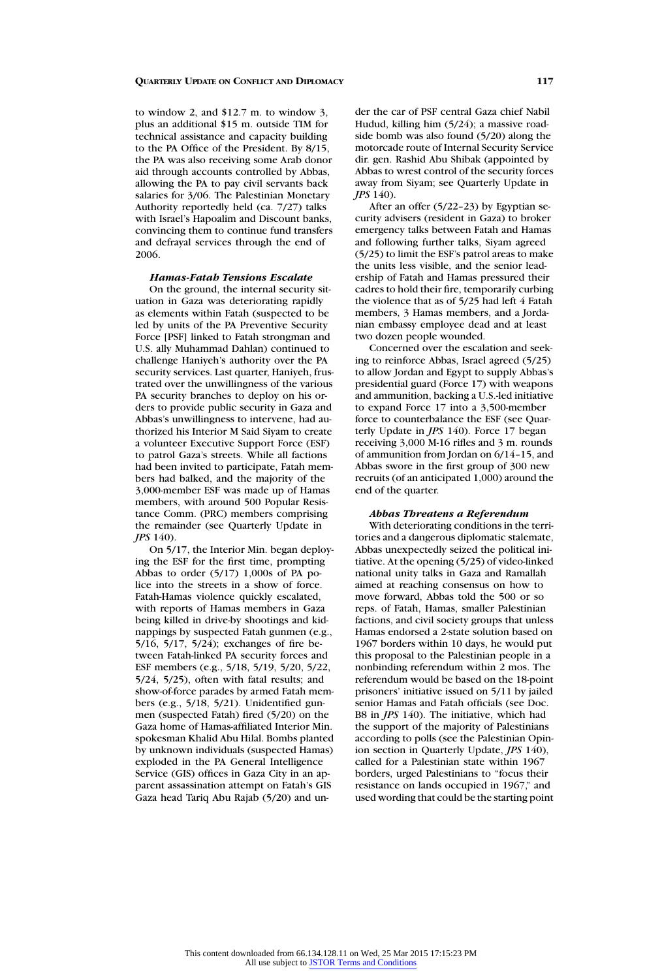to window 2, and \$12.7 m. to window 3, plus an additional \$15 m. outside TIM for technical assistance and capacity building to the PA Office of the President. By 8/15, the PA was also receiving some Arab donor aid through accounts controlled by Abbas, allowing the PA to pay civil servants back salaries for 3/06. The Palestinian Monetary Authority reportedly held (ca. 7/27) talks with Israel's Hapoalim and Discount banks, convincing them to continue fund transfers and defrayal services through the end of 2006.

# *Hamas-Fatah Tensions Escalate*

On the ground, the internal security situation in Gaza was deteriorating rapidly as elements within Fatah (suspected to be led by units of the PA Preventive Security Force [PSF] linked to Fatah strongman and U.S. ally Muhammad Dahlan) continued to challenge Haniyeh's authority over the PA security services. Last quarter, Haniyeh, frustrated over the unwillingness of the various PA security branches to deploy on his orders to provide public security in Gaza and Abbas's unwillingness to intervene, had authorized his Interior M Said Siyam to create a volunteer Executive Support Force (ESF) to patrol Gaza's streets. While all factions had been invited to participate, Fatah members had balked, and the majority of the 3,000-member ESF was made up of Hamas members, with around 500 Popular Resistance Comm. (PRC) members comprising the remainder (see Quarterly Update in *JPS* 140).

On 5/17, the Interior Min. began deploying the ESF for the first time, prompting Abbas to order (5/17) 1,000s of PA police into the streets in a show of force. Fatah-Hamas violence quickly escalated, with reports of Hamas members in Gaza being killed in drive-by shootings and kidnappings by suspected Fatah gunmen (e.g., 5/16, 5/17, 5/24); exchanges of fire between Fatah-linked PA security forces and ESF members (e.g., 5/18, 5/19, 5/20, 5/22, 5/24, 5/25), often with fatal results; and show-of-force parades by armed Fatah members (e.g., 5/18, 5/21). Unidentified gunmen (suspected Fatah) fired (5/20) on the Gaza home of Hamas-affiliated Interior Min. spokesman Khalid Abu Hilal. Bombs planted by unknown individuals (suspected Hamas) exploded in the PA General Intelligence Service (GIS) offices in Gaza City in an apparent assassination attempt on Fatah's GIS Gaza head Tariq Abu Rajab (5/20) and un-

der the car of PSF central Gaza chief Nabil Hudud, killing him (5/24); a massive roadside bomb was also found (5/20) along the motorcade route of Internal Security Service dir. gen. Rashid Abu Shibak (appointed by Abbas to wrest control of the security forces away from Siyam; see Quarterly Update in *JPS* 140).

After an offer (5/22–23) by Egyptian security advisers (resident in Gaza) to broker emergency talks between Fatah and Hamas and following further talks, Siyam agreed (5/25) to limit the ESF's patrol areas to make the units less visible, and the senior leadership of Fatah and Hamas pressured their cadres to hold their fire, temporarily curbing the violence that as of 5/25 had left 4 Fatah members, 3 Hamas members, and a Jordanian embassy employee dead and at least two dozen people wounded.

Concerned over the escalation and seeking to reinforce Abbas, Israel agreed (5/25) to allow Jordan and Egypt to supply Abbas's presidential guard (Force 17) with weapons and ammunition, backing a U.S.-led initiative to expand Force 17 into a 3,500-member force to counterbalance the ESF (see Quarterly Update in *JPS* 140). Force 17 began receiving 3,000 M-16 rifles and 3 m. rounds of ammunition from Jordan on 6/14–15, and Abbas swore in the first group of 300 new recruits (of an anticipated 1,000) around the end of the quarter.

# *Abbas Threatens a Referendum*

With deteriorating conditions in the territories and a dangerous diplomatic stalemate, Abbas unexpectedly seized the political initiative. At the opening (5/25) of video-linked national unity talks in Gaza and Ramallah aimed at reaching consensus on how to move forward, Abbas told the 500 or so reps. of Fatah, Hamas, smaller Palestinian factions, and civil society groups that unless Hamas endorsed a 2-state solution based on 1967 borders within 10 days, he would put this proposal to the Palestinian people in a nonbinding referendum within 2 mos. The referendum would be based on the 18-point prisoners' initiative issued on 5/11 by jailed senior Hamas and Fatah officials (see Doc. B8 in *JPS* 140). The initiative, which had the support of the majority of Palestinians according to polls (see the Palestinian Opinion section in Quarterly Update, *JPS* 140), called for a Palestinian state within 1967 borders, urged Palestinians to "focus their resistance on lands occupied in 1967," and used wording that could be the starting point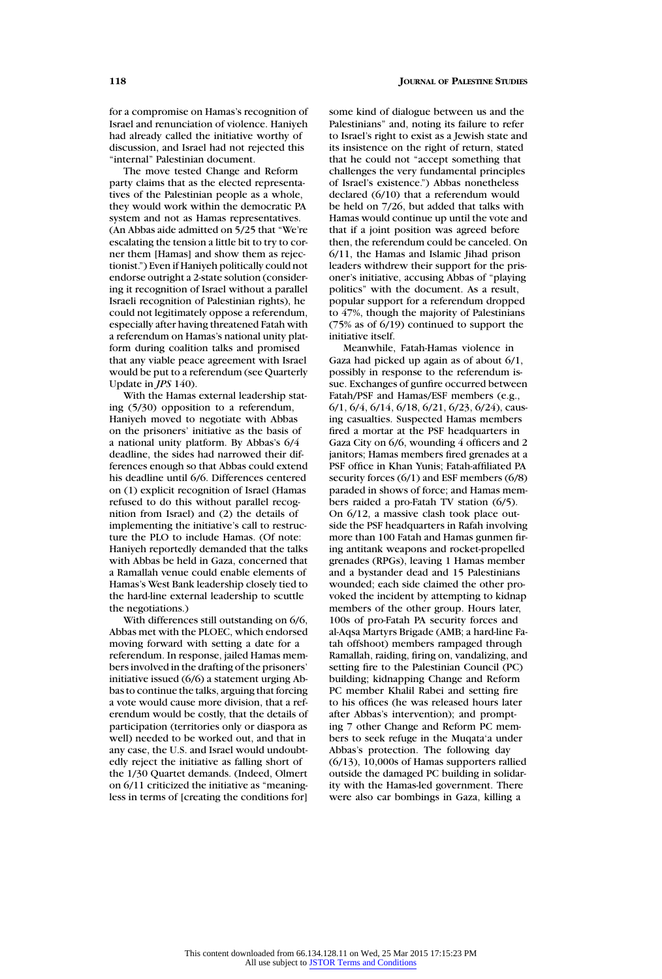for a compromise on Hamas's recognition of Israel and renunciation of violence. Haniyeh had already called the initiative worthy of discussion, and Israel had not rejected this "internal" Palestinian document.

The move tested Change and Reform party claims that as the elected representatives of the Palestinian people as a whole, they would work within the democratic PA system and not as Hamas representatives. (An Abbas aide admitted on 5/25 that "We're escalating the tension a little bit to try to corner them [Hamas] and show them as rejectionist.") Even if Haniyeh politically could not endorse outright a 2-state solution (considering it recognition of Israel without a parallel Israeli recognition of Palestinian rights), he could not legitimately oppose a referendum, especially after having threatened Fatah with a referendum on Hamas's national unity platform during coalition talks and promised that any viable peace agreement with Israel would be put to a referendum (see Quarterly Update in *JPS* 140).

With the Hamas external leadership stating (5/30) opposition to a referendum, Haniyeh moved to negotiate with Abbas on the prisoners' initiative as the basis of a national unity platform. By Abbas's 6/4 deadline, the sides had narrowed their differences enough so that Abbas could extend his deadline until 6/6. Differences centered on (1) explicit recognition of Israel (Hamas refused to do this without parallel recognition from Israel) and (2) the details of implementing the initiative's call to restructure the PLO to include Hamas. (Of note: Haniyeh reportedly demanded that the talks with Abbas be held in Gaza, concerned that a Ramallah venue could enable elements of Hamas's West Bank leadership closely tied to the hard-line external leadership to scuttle the negotiations.)

With differences still outstanding on 6/6, Abbas met with the PLOEC, which endorsed moving forward with setting a date for a referendum. In response, jailed Hamas members involved in the drafting of the prisoners' initiative issued (6/6) a statement urging Abbas to continue the talks, arguing that forcing a vote would cause more division, that a referendum would be costly, that the details of participation (territories only or diaspora as well) needed to be worked out, and that in any case, the U.S. and Israel would undoubtedly reject the initiative as falling short of the 1/30 Quartet demands. (Indeed, Olmert on 6/11 criticized the initiative as "meaningless in terms of [creating the conditions for]

some kind of dialogue between us and the Palestinians" and, noting its failure to refer to Israel's right to exist as a Jewish state and its insistence on the right of return, stated that he could not "accept something that challenges the very fundamental principles of Israel's existence.") Abbas nonetheless declared (6/10) that a referendum would be held on 7/26, but added that talks with Hamas would continue up until the vote and that if a joint position was agreed before then, the referendum could be canceled. On 6/11, the Hamas and Islamic Jihad prison leaders withdrew their support for the prisoner's initiative, accusing Abbas of "playing politics" with the document. As a result, popular support for a referendum dropped to 47%, though the majority of Palestinians (75% as of 6/19) continued to support the initiative itself.

Meanwhile, Fatah-Hamas violence in Gaza had picked up again as of about 6/1, possibly in response to the referendum issue. Exchanges of gunfire occurred between Fatah/PSF and Hamas/ESF members (e.g., 6/1, 6/4, 6/14, 6/18, 6/21, 6/23, 6/24), causing casualties. Suspected Hamas members fired a mortar at the PSF headquarters in Gaza City on 6/6, wounding 4 officers and 2 janitors; Hamas members fired grenades at a PSF office in Khan Yunis; Fatah-affiliated PA security forces (6/1) and ESF members (6/8) paraded in shows of force; and Hamas members raided a pro-Fatah TV station (6/5). On 6/12, a massive clash took place outside the PSF headquarters in Rafah involving more than 100 Fatah and Hamas gunmen firing antitank weapons and rocket-propelled grenades (RPGs), leaving 1 Hamas member and a bystander dead and 15 Palestinians wounded; each side claimed the other provoked the incident by attempting to kidnap members of the other group. Hours later, 100s of pro-Fatah PA security forces and al-Aqsa Martyrs Brigade (AMB; a hard-line Fatah offshoot) members rampaged through Ramallah, raiding, firing on, vandalizing, and setting fire to the Palestinian Council (PC) building; kidnapping Change and Reform PC member Khalil Rabei and setting fire to his offices (he was released hours later after Abbas's intervention); and prompting 7 other Change and Reform PC members to seek refuge in the Muqata'a under Abbas's protection. The following day (6/13), 10,000s of Hamas supporters rallied outside the damaged PC building in solidarity with the Hamas-led government. There were also car bombings in Gaza, killing a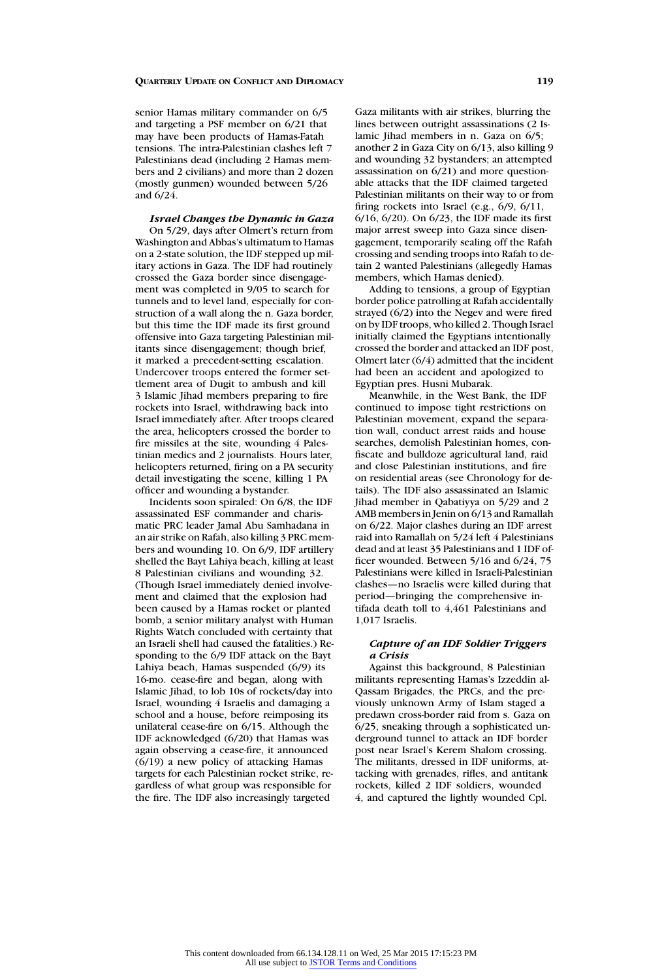senior Hamas military commander on 6/5 and targeting a PSF member on 6/21 that may have been products of Hamas-Fatah tensions. The intra-Palestinian clashes left 7 Palestinians dead (including 2 Hamas members and 2 civilians) and more than 2 dozen (mostly gunmen) wounded between 5/26 and 6/24.

*Israel Changes the Dynamic in Gaza* On 5/29, days after Olmert's return from Washington and Abbas's ultimatum to Hamas on a 2-state solution, the IDF stepped up military actions in Gaza. The IDF had routinely crossed the Gaza border since disengagement was completed in 9/05 to search for tunnels and to level land, especially for construction of a wall along the n. Gaza border, but this time the IDF made its first ground offensive into Gaza targeting Palestinian militants since disengagement; though brief, it marked a precedent-setting escalation. Undercover troops entered the former settlement area of Dugit to ambush and kill 3 Islamic Jihad members preparing to fire rockets into Israel, withdrawing back into Israel immediately after. After troops cleared the area, helicopters crossed the border to fire missiles at the site, wounding 4 Palestinian medics and 2 journalists. Hours later, helicopters returned, firing on a PA security detail investigating the scene, killing 1 PA officer and wounding a bystander.

Incidents soon spiraled: On 6/8, the IDF assassinated ESF commander and charismatic PRC leader Jamal Abu Samhadana in an air strike on Rafah, also killing 3 PRC members and wounding 10. On 6/9, IDF artillery shelled the Bayt Lahiya beach, killing at least 8 Palestinian civilians and wounding 32. (Though Israel immediately denied involvement and claimed that the explosion had been caused by a Hamas rocket or planted bomb, a senior military analyst with Human Rights Watch concluded with certainty that an Israeli shell had caused the fatalities.) Responding to the 6/9 IDF attack on the Bayt Lahiya beach, Hamas suspended (6/9) its 16-mo. cease-fire and began, along with Islamic Jihad, to lob 10s of rockets/day into Israel, wounding 4 Israelis and damaging a school and a house, before reimposing its unilateral cease-fire on 6/15. Although the IDF acknowledged (6/20) that Hamas was again observing a cease-fire, it announced (6/19) a new policy of attacking Hamas targets for each Palestinian rocket strike, regardless of what group was responsible for the fire. The IDF also increasingly targeted

Gaza militants with air strikes, blurring the lines between outright assassinations (2 Islamic Jihad members in n. Gaza on 6/5; another 2 in Gaza City on 6/13, also killing 9 and wounding 32 bystanders; an attempted assassination on 6/21) and more questionable attacks that the IDF claimed targeted Palestinian militants on their way to or from firing rockets into Israel (e.g., 6/9, 6/11, 6/16, 6/20). On 6/23, the IDF made its first major arrest sweep into Gaza since disengagement, temporarily sealing off the Rafah crossing and sending troops into Rafah to detain 2 wanted Palestinians (allegedly Hamas members, which Hamas denied).

Adding to tensions, a group of Egyptian border police patrolling at Rafah accidentally strayed (6/2) into the Negev and were fired on by IDF troops, who killed 2. Though Israel initially claimed the Egyptians intentionally crossed the border and attacked an IDF post, Olmert later (6/4) admitted that the incident had been an accident and apologized to Egyptian pres. Husni Mubarak.

Meanwhile, in the West Bank, the IDF continued to impose tight restrictions on Palestinian movement, expand the separation wall, conduct arrest raids and house searches, demolish Palestinian homes, confiscate and bulldoze agricultural land, raid and close Palestinian institutions, and fire on residential areas (see Chronology for details). The IDF also assassinated an Islamic Jihad member in Qabatiyya on 5/29 and 2 AMB members in Jenin on 6/13 and Ramallah on 6/22. Major clashes during an IDF arrest raid into Ramallah on 5/24 left 4 Palestinians dead and at least 35 Palestinians and 1 IDF officer wounded. Between 5/16 and 6/24, 75 Palestinians were killed in Israeli-Palestinian clashes—no Israelis were killed during that period—bringing the comprehensive intifada death toll to 4,461 Palestinians and 1,017 Israelis.

# *Capture of an IDF Soldier Triggers a Crisis*

Against this background, 8 Palestinian militants representing Hamas's Izzeddin al-Qassam Brigades, the PRCs, and the previously unknown Army of Islam staged a predawn cross-border raid from s. Gaza on 6/25, sneaking through a sophisticated underground tunnel to attack an IDF border post near Israel's Kerem Shalom crossing. The militants, dressed in IDF uniforms, attacking with grenades, rifles, and antitank rockets, killed 2 IDF soldiers, wounded 4, and captured the lightly wounded Cpl.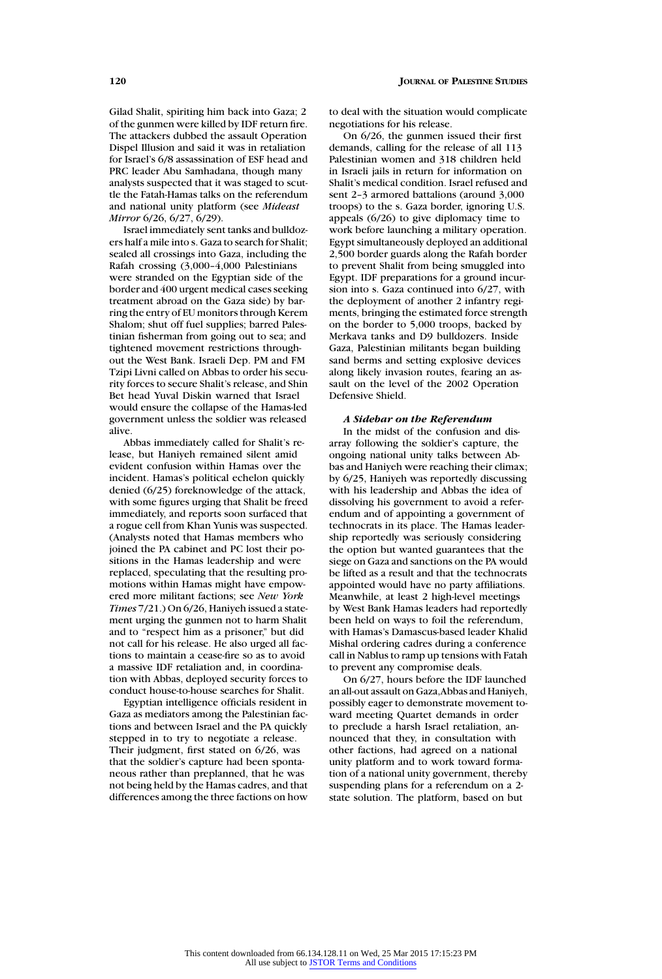Gilad Shalit, spiriting him back into Gaza; 2 of the gunmen were killed by IDF return fire. The attackers dubbed the assault Operation Dispel Illusion and said it was in retaliation for Israel's 6/8 assassination of ESF head and PRC leader Abu Samhadana, though many analysts suspected that it was staged to scuttle the Fatah-Hamas talks on the referendum and national unity platform (see *Mideast Mirror* 6/26, 6/27, 6/29).

Israel immediately sent tanks and bulldozers half a mile into s. Gaza to search for Shalit; sealed all crossings into Gaza, including the Rafah crossing (3,000–4,000 Palestinians were stranded on the Egyptian side of the border and 400 urgent medical cases seeking treatment abroad on the Gaza side) by barring the entry of EU monitors through Kerem Shalom; shut off fuel supplies; barred Palestinian fisherman from going out to sea; and tightened movement restrictions throughout the West Bank. Israeli Dep. PM and FM Tzipi Livni called on Abbas to order his security forces to secure Shalit's release, and Shin Bet head Yuval Diskin warned that Israel would ensure the collapse of the Hamas-led government unless the soldier was released alive.

Abbas immediately called for Shalit's release, but Haniyeh remained silent amid evident confusion within Hamas over the incident. Hamas's political echelon quickly denied (6/25) foreknowledge of the attack, with some figures urging that Shalit be freed immediately, and reports soon surfaced that a rogue cell from Khan Yunis was suspected. (Analysts noted that Hamas members who joined the PA cabinet and PC lost their positions in the Hamas leadership and were replaced, speculating that the resulting promotions within Hamas might have empowered more militant factions; see *New York Times* 7/21.) On 6/26, Haniyeh issued a statement urging the gunmen not to harm Shalit and to "respect him as a prisoner," but did not call for his release. He also urged all factions to maintain a cease-fire so as to avoid a massive IDF retaliation and, in coordination with Abbas, deployed security forces to conduct house-to-house searches for Shalit.

Egyptian intelligence officials resident in Gaza as mediators among the Palestinian factions and between Israel and the PA quickly stepped in to try to negotiate a release. Their judgment, first stated on 6/26, was that the soldier's capture had been spontaneous rather than preplanned, that he was not being held by the Hamas cadres, and that differences among the three factions on how

to deal with the situation would complicate negotiations for his release.

On 6/26, the gunmen issued their first demands, calling for the release of all 113 Palestinian women and 318 children held in Israeli jails in return for information on Shalit's medical condition. Israel refused and sent 2–3 armored battalions (around 3,000 troops) to the s. Gaza border, ignoring U.S. appeals (6/26) to give diplomacy time to work before launching a military operation. Egypt simultaneously deployed an additional 2,500 border guards along the Rafah border to prevent Shalit from being smuggled into Egypt. IDF preparations for a ground incursion into s. Gaza continued into 6/27, with the deployment of another 2 infantry regiments, bringing the estimated force strength on the border to 5,000 troops, backed by Merkava tanks and D9 bulldozers. Inside Gaza, Palestinian militants began building sand berms and setting explosive devices along likely invasion routes, fearing an assault on the level of the 2002 Operation Defensive Shield.

#### *A Sidebar on the Referendum*

In the midst of the confusion and disarray following the soldier's capture, the ongoing national unity talks between Abbas and Haniyeh were reaching their climax; by 6/25, Haniyeh was reportedly discussing with his leadership and Abbas the idea of dissolving his government to avoid a referendum and of appointing a government of technocrats in its place. The Hamas leadership reportedly was seriously considering the option but wanted guarantees that the siege on Gaza and sanctions on the PA would be lifted as a result and that the technocrats appointed would have no party affiliations. Meanwhile, at least 2 high-level meetings by West Bank Hamas leaders had reportedly been held on ways to foil the referendum, with Hamas's Damascus-based leader Khalid Mishal ordering cadres during a conference call in Nablus to ramp up tensions with Fatah to prevent any compromise deals.

On 6/27, hours before the IDF launched an all-out assault on Gaza,Abbas and Haniyeh, possibly eager to demonstrate movement toward meeting Quartet demands in order to preclude a harsh Israel retaliation, announced that they, in consultation with other factions, had agreed on a national unity platform and to work toward formation of a national unity government, thereby suspending plans for a referendum on a 2 state solution. The platform, based on but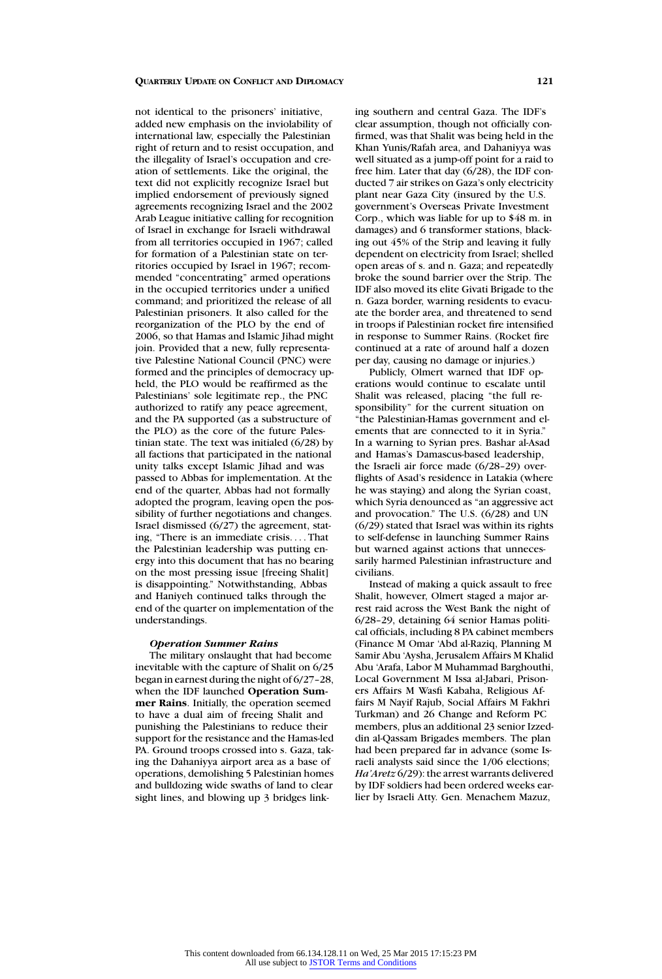not identical to the prisoners' initiative, added new emphasis on the inviolability of international law, especially the Palestinian right of return and to resist occupation, and the illegality of Israel's occupation and creation of settlements. Like the original, the text did not explicitly recognize Israel but implied endorsement of previously signed agreements recognizing Israel and the 2002 Arab League initiative calling for recognition of Israel in exchange for Israeli withdrawal from all territories occupied in 1967; called for formation of a Palestinian state on territories occupied by Israel in 1967; recommended "concentrating" armed operations in the occupied territories under a unified command; and prioritized the release of all Palestinian prisoners. It also called for the reorganization of the PLO by the end of 2006, so that Hamas and Islamic Jihad might join. Provided that a new, fully representative Palestine National Council (PNC) were formed and the principles of democracy upheld, the PLO would be reaffirmed as the Palestinians' sole legitimate rep., the PNC authorized to ratify any peace agreement, and the PA supported (as a substructure of the PLO) as the core of the future Palestinian state. The text was initialed (6/28) by all factions that participated in the national unity talks except Islamic Jihad and was passed to Abbas for implementation. At the end of the quarter, Abbas had not formally adopted the program, leaving open the possibility of further negotiations and changes. Israel dismissed (6/27) the agreement, stating, "There is an immediate crisis. . . . That the Palestinian leadership was putting energy into this document that has no bearing on the most pressing issue [freeing Shalit] is disappointing." Notwithstanding, Abbas and Haniyeh continued talks through the end of the quarter on implementation of the understandings.

# *Operation Summer Rains*

The military onslaught that had become inevitable with the capture of Shalit on 6/25 began in earnest during the night of 6/27–28, when the IDF launched **Operation Summer Rains**. Initially, the operation seemed to have a dual aim of freeing Shalit and punishing the Palestinians to reduce their support for the resistance and the Hamas-led PA. Ground troops crossed into s. Gaza, taking the Dahaniyya airport area as a base of operations, demolishing 5 Palestinian homes and bulldozing wide swaths of land to clear sight lines, and blowing up 3 bridges linking southern and central Gaza. The IDF's clear assumption, though not officially confirmed, was that Shalit was being held in the Khan Yunis/Rafah area, and Dahaniyya was well situated as a jump-off point for a raid to free him. Later that day (6/28), the IDF conducted 7 air strikes on Gaza's only electricity plant near Gaza City (insured by the U.S. government's Overseas Private Investment Corp., which was liable for up to \$48 m. in damages) and 6 transformer stations, blacking out 45% of the Strip and leaving it fully dependent on electricity from Israel; shelled open areas of s. and n. Gaza; and repeatedly broke the sound barrier over the Strip. The IDF also moved its elite Givati Brigade to the n. Gaza border, warning residents to evacuate the border area, and threatened to send in troops if Palestinian rocket fire intensified in response to Summer Rains. (Rocket fire continued at a rate of around half a dozen per day, causing no damage or injuries.)

Publicly, Olmert warned that IDF operations would continue to escalate until Shalit was released, placing "the full responsibility" for the current situation on "the Palestinian-Hamas government and elements that are connected to it in Syria." In a warning to Syrian pres. Bashar al-Asad and Hamas's Damascus-based leadership, the Israeli air force made (6/28–29) overflights of Asad's residence in Latakia (where he was staying) and along the Syrian coast, which Syria denounced as "an aggressive act and provocation." The U.S. (6/28) and UN  $(6/29)$  stated that Israel was within its rights to self-defense in launching Summer Rains but warned against actions that unnecessarily harmed Palestinian infrastructure and civilians.

Instead of making a quick assault to free Shalit, however, Olmert staged a major arrest raid across the West Bank the night of 6/28–29, detaining 64 senior Hamas political officials, including 8 PA cabinet members (Finance M Omar 'Abd al-Raziq, Planning M Samir Abu 'Aysha, Jerusalem Affairs M Khalid Abu 'Arafa, Labor M Muhammad Barghouthi, Local Government M Issa al-Jabari, Prisoners Affairs M Wasfi Kabaha, Religious Affairs M Nayif Rajub, Social Affairs M Fakhri Turkman) and 26 Change and Reform PC members, plus an additional 23 senior Izzeddin al-Qassam Brigades members. The plan had been prepared far in advance (some Israeli analysts said since the 1/06 elections; *Ha'Aretz* 6/29): the arrest warrants delivered by IDF soldiers had been ordered weeks earlier by Israeli Atty. Gen. Menachem Mazuz,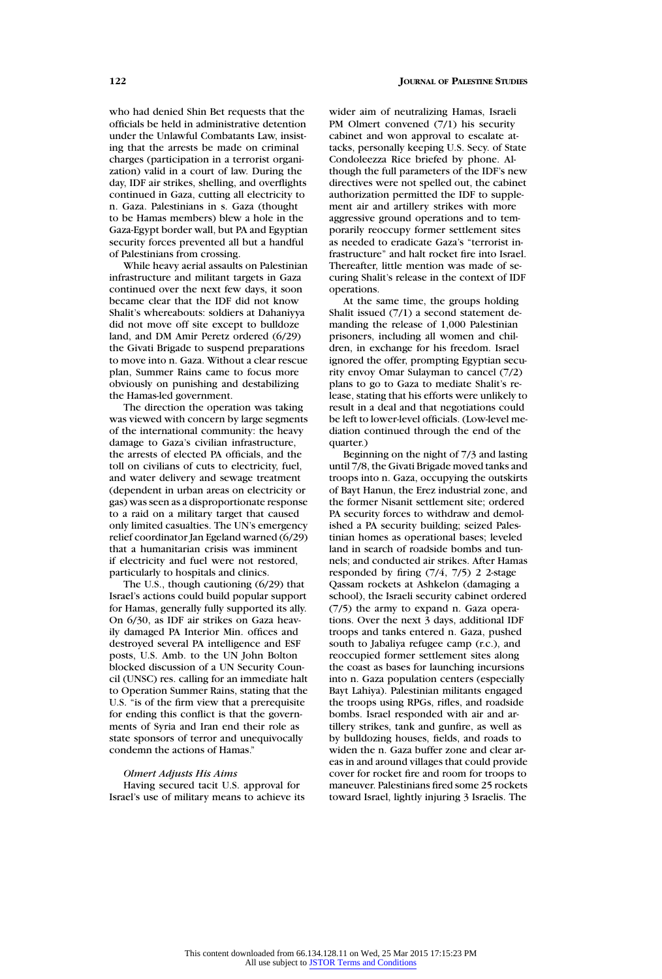who had denied Shin Bet requests that the officials be held in administrative detention under the Unlawful Combatants Law, insisting that the arrests be made on criminal charges (participation in a terrorist organization) valid in a court of law. During the day, IDF air strikes, shelling, and overflights continued in Gaza, cutting all electricity to n. Gaza. Palestinians in s. Gaza (thought to be Hamas members) blew a hole in the Gaza-Egypt border wall, but PA and Egyptian security forces prevented all but a handful of Palestinians from crossing.

While heavy aerial assaults on Palestinian infrastructure and militant targets in Gaza continued over the next few days, it soon became clear that the IDF did not know Shalit's whereabouts: soldiers at Dahaniyya did not move off site except to bulldoze land, and DM Amir Peretz ordered (6/29) the Givati Brigade to suspend preparations to move into n. Gaza. Without a clear rescue plan, Summer Rains came to focus more obviously on punishing and destabilizing the Hamas-led government.

The direction the operation was taking was viewed with concern by large segments of the international community: the heavy damage to Gaza's civilian infrastructure, the arrests of elected PA officials, and the toll on civilians of cuts to electricity, fuel, and water delivery and sewage treatment (dependent in urban areas on electricity or gas) was seen as a disproportionate response to a raid on a military target that caused only limited casualties. The UN's emergency relief coordinator Jan Egeland warned (6/29) that a humanitarian crisis was imminent if electricity and fuel were not restored, particularly to hospitals and clinics.

The U.S., though cautioning (6/29) that Israel's actions could build popular support for Hamas, generally fully supported its ally. On 6/30, as IDF air strikes on Gaza heavily damaged PA Interior Min. offices and destroyed several PA intelligence and ESF posts, U.S. Amb. to the UN John Bolton blocked discussion of a UN Security Council (UNSC) res. calling for an immediate halt to Operation Summer Rains, stating that the U.S. "is of the firm view that a prerequisite for ending this conflict is that the governments of Syria and Iran end their role as state sponsors of terror and unequivocally condemn the actions of Hamas."

# *Olmert Adjusts His Aims*

Having secured tacit U.S. approval for Israel's use of military means to achieve its wider aim of neutralizing Hamas, Israeli PM Olmert convened (7/1) his security cabinet and won approval to escalate attacks, personally keeping U.S. Secy. of State Condoleezza Rice briefed by phone. Although the full parameters of the IDF's new directives were not spelled out, the cabinet authorization permitted the IDF to supplement air and artillery strikes with more aggressive ground operations and to temporarily reoccupy former settlement sites as needed to eradicate Gaza's "terrorist infrastructure" and halt rocket fire into Israel. Thereafter, little mention was made of securing Shalit's release in the context of IDF operations.

At the same time, the groups holding Shalit issued (7/1) a second statement demanding the release of 1,000 Palestinian prisoners, including all women and children, in exchange for his freedom. Israel ignored the offer, prompting Egyptian security envoy Omar Sulayman to cancel (7/2) plans to go to Gaza to mediate Shalit's release, stating that his efforts were unlikely to result in a deal and that negotiations could be left to lower-level officials. (Low-level mediation continued through the end of the quarter.)

Beginning on the night of 7/3 and lasting until 7/8, the Givati Brigade moved tanks and troops into n. Gaza, occupying the outskirts of Bayt Hanun, the Erez industrial zone, and the former Nisanit settlement site; ordered PA security forces to withdraw and demolished a PA security building; seized Palestinian homes as operational bases; leveled land in search of roadside bombs and tunnels; and conducted air strikes. After Hamas responded by firing (7/4, 7/5) 2 2-stage Qassam rockets at Ashkelon (damaging a school), the Israeli security cabinet ordered (7/5) the army to expand n. Gaza operations. Over the next 3 days, additional IDF troops and tanks entered n. Gaza, pushed south to Jabaliya refugee camp (r.c.), and reoccupied former settlement sites along the coast as bases for launching incursions into n. Gaza population centers (especially Bayt Lahiya). Palestinian militants engaged the troops using RPGs, rifles, and roadside bombs. Israel responded with air and artillery strikes, tank and gunfire, as well as by bulldozing houses, fields, and roads to widen the n. Gaza buffer zone and clear areas in and around villages that could provide cover for rocket fire and room for troops to maneuver. Palestinians fired some 25 rockets toward Israel, lightly injuring 3 Israelis. The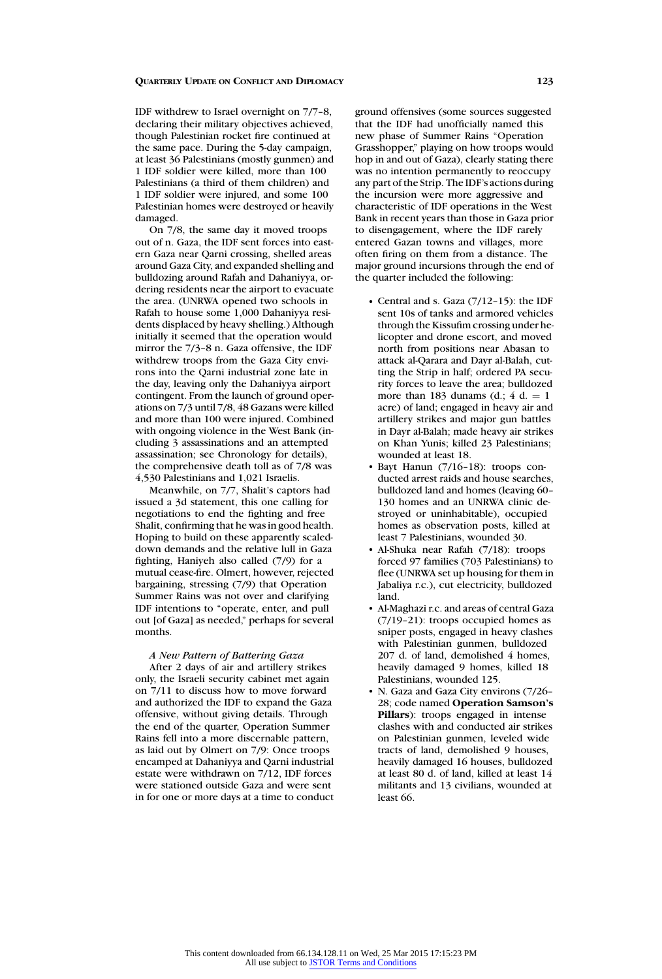IDF withdrew to Israel overnight on 7/7–8, declaring their military objectives achieved, though Palestinian rocket fire continued at the same pace. During the 5-day campaign, at least 36 Palestinians (mostly gunmen) and 1 IDF soldier were killed, more than 100 Palestinians (a third of them children) and 1 IDF soldier were injured, and some 100 Palestinian homes were destroyed or heavily damaged.

On 7/8, the same day it moved troops out of n. Gaza, the IDF sent forces into eastern Gaza near Qarni crossing, shelled areas around Gaza City, and expanded shelling and bulldozing around Rafah and Dahaniyya, ordering residents near the airport to evacuate the area. (UNRWA opened two schools in Rafah to house some 1,000 Dahaniyya residents displaced by heavy shelling.) Although initially it seemed that the operation would mirror the 7/3–8 n. Gaza offensive, the IDF withdrew troops from the Gaza City environs into the Qarni industrial zone late in the day, leaving only the Dahaniyya airport contingent. From the launch of ground operations on 7/3 until 7/8, 48 Gazans were killed and more than 100 were injured. Combined with ongoing violence in the West Bank (including 3 assassinations and an attempted assassination; see Chronology for details), the comprehensive death toll as of 7/8 was 4,530 Palestinians and 1,021 Israelis.

Meanwhile, on 7/7, Shalit's captors had issued a 3d statement, this one calling for negotiations to end the fighting and free Shalit, confirming that he was in good health. Hoping to build on these apparently scaleddown demands and the relative lull in Gaza fighting, Haniyeh also called (7/9) for a mutual cease-fire. Olmert, however, rejected bargaining, stressing (7/9) that Operation Summer Rains was not over and clarifying IDF intentions to "operate, enter, and pull out [of Gaza] as needed," perhaps for several months.

# *A New Pattern of Battering Gaza*

After 2 days of air and artillery strikes only, the Israeli security cabinet met again on 7/11 to discuss how to move forward and authorized the IDF to expand the Gaza offensive, without giving details. Through the end of the quarter, Operation Summer Rains fell into a more discernable pattern, as laid out by Olmert on 7/9: Once troops encamped at Dahaniyya and Qarni industrial estate were withdrawn on 7/12, IDF forces were stationed outside Gaza and were sent in for one or more days at a time to conduct

ground offensives (some sources suggested that the IDF had unofficially named this new phase of Summer Rains "Operation Grasshopper," playing on how troops would hop in and out of Gaza), clearly stating there was no intention permanently to reoccupy any part of the Strip. The IDF's actions during the incursion were more aggressive and characteristic of IDF operations in the West Bank in recent years than those in Gaza prior to disengagement, where the IDF rarely entered Gazan towns and villages, more often firing on them from a distance. The major ground incursions through the end of the quarter included the following:

- Central and s. Gaza (7/12–15): the IDF sent 10s of tanks and armored vehicles through the Kissufim crossing under helicopter and drone escort, and moved north from positions near Abasan to attack al-Qarara and Dayr al-Balah, cutting the Strip in half; ordered PA security forces to leave the area; bulldozed more than 183 dunams  $(d)$ : 4 d. = 1 acre) of land; engaged in heavy air and artillery strikes and major gun battles in Dayr al-Balah; made heavy air strikes on Khan Yunis; killed 23 Palestinians; wounded at least 18.
- Bayt Hanun (7/16–18): troops conducted arrest raids and house searches, bulldozed land and homes (leaving 60– 130 homes and an UNRWA clinic destroyed or uninhabitable), occupied homes as observation posts, killed at least 7 Palestinians, wounded 30.
- Al-Shuka near Rafah (7/18): troops forced 97 families (703 Palestinians) to flee (UNRWA set up housing for them in Jabaliya r.c.), cut electricity, bulldozed land.
- Al-Maghazi r.c. and areas of central Gaza (7/19–21): troops occupied homes as sniper posts, engaged in heavy clashes with Palestinian gunmen, bulldozed 207 d. of land, demolished 4 homes, heavily damaged 9 homes, killed 18 Palestinians, wounded 125.
- N. Gaza and Gaza City environs (7/26– 28; code named **Operation Samson's Pillars**): troops engaged in intense clashes with and conducted air strikes on Palestinian gunmen, leveled wide tracts of land, demolished 9 houses, heavily damaged 16 houses, bulldozed at least 80 d. of land, killed at least 14 militants and 13 civilians, wounded at least 66.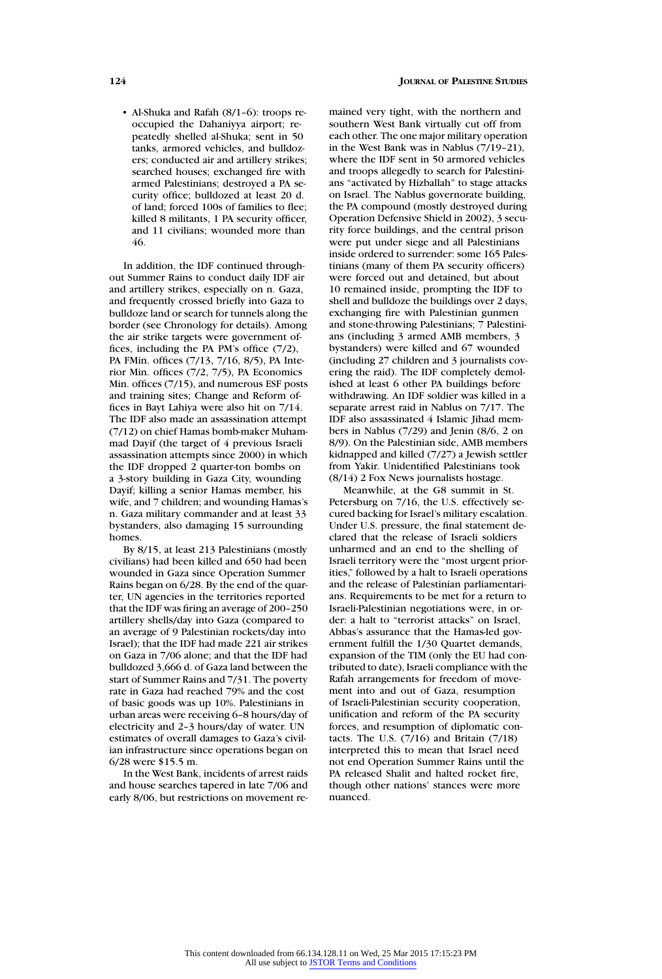- Al-Shuka and Rafah (8/1–6): troops reoccupied the Dahaniyya airport; repeatedly shelled al-Shuka; sent in 50 tanks, armored vehicles, and bulldozers; conducted air and artillery strikes; searched houses; exchanged fire with armed Palestinians; destroyed a PA security office; bulldozed at least 20 d. of land; forced 100s of families to flee; killed 8 militants, 1 PA security officer, and 11 civilians; wounded more than 46.

In addition, the IDF continued throughout Summer Rains to conduct daily IDF air and artillery strikes, especially on n. Gaza, and frequently crossed briefly into Gaza to bulldoze land or search for tunnels along the border (see Chronology for details). Among the air strike targets were government offices, including the PA PM's office (7/2), PA FMin. offices (7/13, 7/16, 8/5), PA Interior Min. offices (7/2, 7/5), PA Economics Min. offices (7/15), and numerous ESF posts and training sites; Change and Reform offices in Bayt Lahiya were also hit on 7/14. The IDF also made an assassination attempt (7/12) on chief Hamas bomb-maker Muhammad Dayif (the target of 4 previous Israeli assassination attempts since 2000) in which the IDF dropped 2 quarter-ton bombs on a 3-story building in Gaza City, wounding Dayif; killing a senior Hamas member, his wife, and 7 children; and wounding Hamas's n. Gaza military commander and at least 33 bystanders, also damaging 15 surrounding homes.

By 8/15, at least 213 Palestinians (mostly civilians) had been killed and 650 had been wounded in Gaza since Operation Summer Rains began on 6/28. By the end of the quarter, UN agencies in the territories reported that the IDF was firing an average of 200–250 artillery shells/day into Gaza (compared to an average of 9 Palestinian rockets/day into Israel); that the IDF had made 221 air strikes on Gaza in 7/06 alone; and that the IDF had bulldozed 3,666 d. of Gaza land between the start of Summer Rains and 7/31. The poverty rate in Gaza had reached 79% and the cost of basic goods was up 10%. Palestinians in urban areas were receiving 6–8 hours/day of electricity and 2–3 hours/day of water. UN estimates of overall damages to Gaza's civilian infrastructure since operations began on 6/28 were \$15.5 m.

In the West Bank, incidents of arrest raids and house searches tapered in late 7/06 and early 8/06, but restrictions on movement remained very tight, with the northern and southern West Bank virtually cut off from each other. The one major military operation in the West Bank was in Nablus (7/19–21), where the IDF sent in 50 armored vehicles and troops allegedly to search for Palestinians "activated by Hizballah" to stage attacks on Israel. The Nablus governorate building, the PA compound (mostly destroyed during Operation Defensive Shield in 2002), 3 security force buildings, and the central prison were put under siege and all Palestinians inside ordered to surrender: some 165 Palestinians (many of them PA security officers) were forced out and detained, but about 10 remained inside, prompting the IDF to shell and bulldoze the buildings over 2 days, exchanging fire with Palestinian gunmen and stone-throwing Palestinians; 7 Palestinians (including 3 armed AMB members, 3 bystanders) were killed and 67 wounded (including 27 children and 3 journalists covering the raid). The IDF completely demolished at least 6 other PA buildings before withdrawing. An IDF soldier was killed in a separate arrest raid in Nablus on 7/17. The IDF also assassinated 4 Islamic Jihad members in Nablus (7/29) and Jenin (8/6, 2 on 8/9). On the Palestinian side, AMB members kidnapped and killed (7/27) a Jewish settler from Yakir. Unidentified Palestinians took (8/14) 2 Fox News journalists hostage.

Meanwhile, at the G8 summit in St. Petersburg on 7/16, the U.S. effectively secured backing for Israel's military escalation. Under U.S. pressure, the final statement declared that the release of Israeli soldiers unharmed and an end to the shelling of Israeli territory were the "most urgent priorities," followed by a halt to Israeli operations and the release of Palestinian parliamentarians. Requirements to be met for a return to Israeli-Palestinian negotiations were, in order: a halt to "terrorist attacks" on Israel, Abbas's assurance that the Hamas-led government fulfill the 1/30 Quartet demands, expansion of the TIM (only the EU had contributed to date), Israeli compliance with the Rafah arrangements for freedom of movement into and out of Gaza, resumption of Israeli-Palestinian security cooperation, unification and reform of the PA security forces, and resumption of diplomatic contacts. The U.S.  $(7/16)$  and Britain  $(7/18)$ interpreted this to mean that Israel need not end Operation Summer Rains until the PA released Shalit and halted rocket fire, though other nations' stances were more nuanced.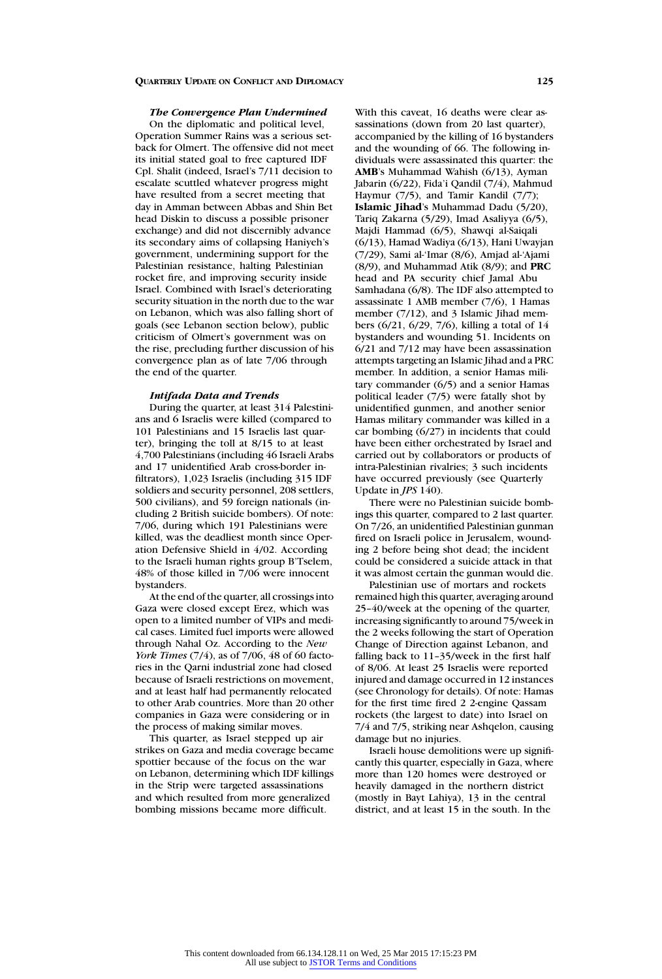# *The Convergence Plan Undermined*

On the diplomatic and political level, Operation Summer Rains was a serious setback for Olmert. The offensive did not meet its initial stated goal to free captured IDF Cpl. Shalit (indeed, Israel's 7/11 decision to escalate scuttled whatever progress might have resulted from a secret meeting that day in Amman between Abbas and Shin Bet head Diskin to discuss a possible prisoner exchange) and did not discernibly advance its secondary aims of collapsing Haniyeh's government, undermining support for the Palestinian resistance, halting Palestinian rocket fire, and improving security inside Israel. Combined with Israel's deteriorating security situation in the north due to the war on Lebanon, which was also falling short of goals (see Lebanon section below), public criticism of Olmert's government was on the rise, precluding further discussion of his convergence plan as of late 7/06 through the end of the quarter.

# *Intifada Data and Trends*

During the quarter, at least 314 Palestinians and 6 Israelis were killed (compared to 101 Palestinians and 15 Israelis last quarter), bringing the toll at 8/15 to at least 4,700 Palestinians (including 46 Israeli Arabs and 17 unidentified Arab cross-border infiltrators), 1,023 Israelis (including 315 IDF soldiers and security personnel, 208 settlers, 500 civilians), and 59 foreign nationals (including 2 British suicide bombers). Of note: 7/06, during which 191 Palestinians were killed, was the deadliest month since Operation Defensive Shield in 4/02. According to the Israeli human rights group B'Tselem, 48% of those killed in 7/06 were innocent bystanders.

At the end of the quarter, all crossings into Gaza were closed except Erez, which was open to a limited number of VIPs and medical cases. Limited fuel imports were allowed through Nahal Oz. According to the *New York Times* (7/4), as of 7/06, 48 of 60 factories in the Qarni industrial zone had closed because of Israeli restrictions on movement, and at least half had permanently relocated to other Arab countries. More than 20 other companies in Gaza were considering or in the process of making similar moves.

This quarter, as Israel stepped up air strikes on Gaza and media coverage became spottier because of the focus on the war on Lebanon, determining which IDF killings in the Strip were targeted assassinations and which resulted from more generalized bombing missions became more difficult.

With this caveat, 16 deaths were clear assassinations (down from 20 last quarter), accompanied by the killing of 16 bystanders and the wounding of 66. The following individuals were assassinated this quarter: the **AMB**'s Muhammad Wahish (6/13), Ayman Jabarin (6/22), Fida'i Qandil (7/4), Mahmud Haymur (7/5), and Tamir Kandil (7/7); **Islamic Jihad**'s Muhammad Dadu (5/20), Tariq Zakarna (5/29), Imad Asaliyya (6/5), Majdi Hammad (6/5), Shawqi al-Saiqali (6/13), Hamad Wadiya (6/13), Hani Uwayjan (7/29), Sami al-'Imar (8/6), Amjad al-'Ajami (8/9), and Muhammad Atik (8/9); and **PRC** head and PA security chief Jamal Abu Samhadana (6/8). The IDF also attempted to assassinate 1 AMB member (7/6), 1 Hamas member (7/12), and 3 Islamic Jihad members (6/21, 6/29, 7/6), killing a total of 14 bystanders and wounding 51. Incidents on 6/21 and 7/12 may have been assassination attempts targeting an Islamic Jihad and a PRC member. In addition, a senior Hamas military commander (6/5) and a senior Hamas political leader (7/5) were fatally shot by unidentified gunmen, and another senior Hamas military commander was killed in a car bombing (6/27) in incidents that could have been either orchestrated by Israel and carried out by collaborators or products of intra-Palestinian rivalries; 3 such incidents have occurred previously (see Quarterly Update in *JPS* 140).

There were no Palestinian suicide bombings this quarter, compared to 2 last quarter. On 7/26, an unidentified Palestinian gunman fired on Israeli police in Jerusalem, wounding 2 before being shot dead; the incident could be considered a suicide attack in that it was almost certain the gunman would die.

Palestinian use of mortars and rockets remained high this quarter, averaging around 25–40/week at the opening of the quarter, increasing significantly to around 75/week in the 2 weeks following the start of Operation Change of Direction against Lebanon, and falling back to 11–35/week in the first half of 8/06. At least 25 Israelis were reported injured and damage occurred in 12 instances (see Chronology for details). Of note: Hamas for the first time fired 2 2-engine Qassam rockets (the largest to date) into Israel on 7/4 and 7/5, striking near Ashqelon, causing damage but no injuries.

Israeli house demolitions were up significantly this quarter, especially in Gaza, where more than 120 homes were destroyed or heavily damaged in the northern district (mostly in Bayt Lahiya), 13 in the central district, and at least 15 in the south. In the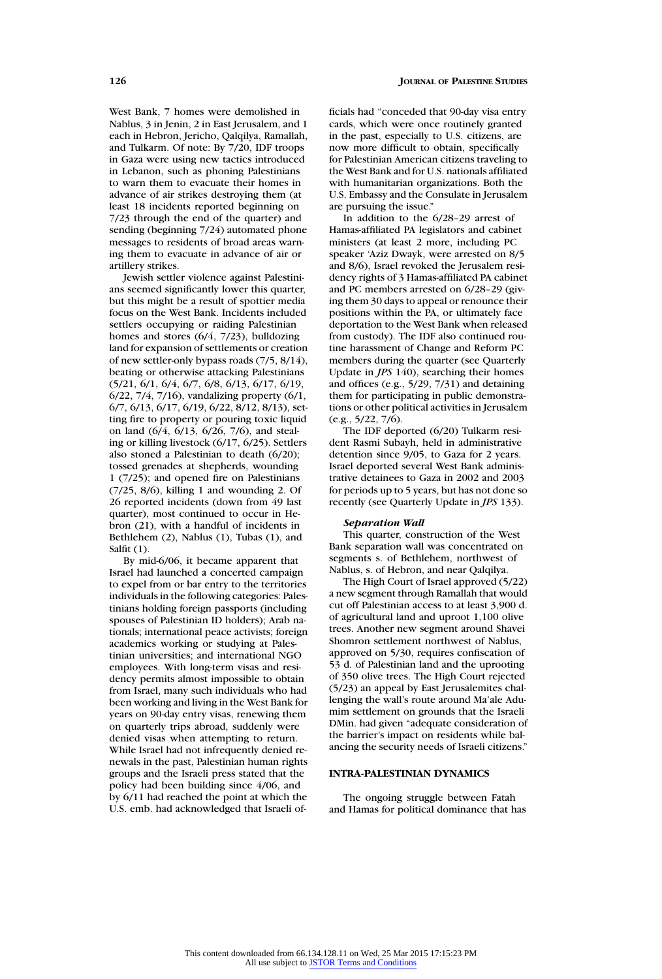West Bank, 7 homes were demolished in Nablus, 3 in Jenin, 2 in East Jerusalem, and 1 each in Hebron, Jericho, Qalqilya, Ramallah, and Tulkarm. Of note: By 7/20, IDF troops in Gaza were using new tactics introduced in Lebanon, such as phoning Palestinians to warn them to evacuate their homes in advance of air strikes destroying them (at least 18 incidents reported beginning on 7/23 through the end of the quarter) and sending (beginning 7/24) automated phone messages to residents of broad areas warning them to evacuate in advance of air or artillery strikes.

Jewish settler violence against Palestinians seemed significantly lower this quarter, but this might be a result of spottier media focus on the West Bank. Incidents included settlers occupying or raiding Palestinian homes and stores (6/4, 7/23), bulldozing land for expansion of settlements or creation of new settler-only bypass roads (7/5, 8/14), beating or otherwise attacking Palestinians (5/21, 6/1, 6/4, 6/7, 6/8, 6/13, 6/17, 6/19, 6/22, 7/4, 7/16), vandalizing property (6/1, 6/7, 6/13, 6/17, 6/19, 6/22, 8/12, 8/13), setting fire to property or pouring toxic liquid on land (6/4, 6/13, 6/26, 7/6), and stealing or killing livestock (6/17, 6/25). Settlers also stoned a Palestinian to death (6/20); tossed grenades at shepherds, wounding 1 (7/25); and opened fire on Palestinians (7/25, 8/6), killing 1 and wounding 2. Of 26 reported incidents (down from 49 last quarter), most continued to occur in Hebron (21), with a handful of incidents in Bethlehem (2), Nablus (1), Tubas (1), and Salfit (1).

By mid-6/06, it became apparent that Israel had launched a concerted campaign to expel from or bar entry to the territories individuals in the following categories: Palestinians holding foreign passports (including spouses of Palestinian ID holders); Arab nationals; international peace activists; foreign academics working or studying at Palestinian universities; and international NGO employees. With long-term visas and residency permits almost impossible to obtain from Israel, many such individuals who had been working and living in the West Bank for years on 90-day entry visas, renewing them on quarterly trips abroad, suddenly were denied visas when attempting to return. While Israel had not infrequently denied renewals in the past, Palestinian human rights groups and the Israeli press stated that the policy had been building since 4/06, and by 6/11 had reached the point at which the U.S. emb. had acknowledged that Israeli officials had "conceded that 90-day visa entry cards, which were once routinely granted in the past, especially to U.S. citizens, are now more difficult to obtain, specifically for Palestinian American citizens traveling to the West Bank and for U.S. nationals affiliated with humanitarian organizations. Both the U.S. Embassy and the Consulate in Jerusalem are pursuing the issue."

In addition to the 6/28–29 arrest of Hamas-affiliated PA legislators and cabinet ministers (at least 2 more, including PC speaker 'Aziz Dwayk, were arrested on 8/5 and 8/6), Israel revoked the Jerusalem residency rights of 3 Hamas-affiliated PA cabinet and PC members arrested on 6/28–29 (giving them 30 days to appeal or renounce their positions within the PA, or ultimately face deportation to the West Bank when released from custody). The IDF also continued routine harassment of Change and Reform PC members during the quarter (see Quarterly Update in *JPS* 140), searching their homes and offices (e.g., 5/29, 7/31) and detaining them for participating in public demonstrations or other political activities in Jerusalem (e.g., 5/22, 7/6).

The IDF deported (6/20) Tulkarm resident Rasmi Subayh, held in administrative detention since 9/05, to Gaza for 2 years. Israel deported several West Bank administrative detainees to Gaza in 2002 and 2003 for periods up to 5 years, but has not done so recently (see Quarterly Update in *JPS* 133).

#### *Separation Wall*

This quarter, construction of the West Bank separation wall was concentrated on segments s. of Bethlehem, northwest of Nablus, s. of Hebron, and near Qalqilya.

The High Court of Israel approved (5/22) a new segment through Ramallah that would cut off Palestinian access to at least 3,900 d. of agricultural land and uproot 1,100 olive trees. Another new segment around Shavei Shomron settlement northwest of Nablus, approved on 5/30, requires confiscation of 53 d. of Palestinian land and the uprooting of 350 olive trees. The High Court rejected (5/23) an appeal by East Jerusalemites challenging the wall's route around Ma'ale Adumim settlement on grounds that the Israeli DMin. had given "adequate consideration of the barrier's impact on residents while balancing the security needs of Israeli citizens."

# **INTRA-PALESTINIAN DYNAMICS**

The ongoing struggle between Fatah and Hamas for political dominance that has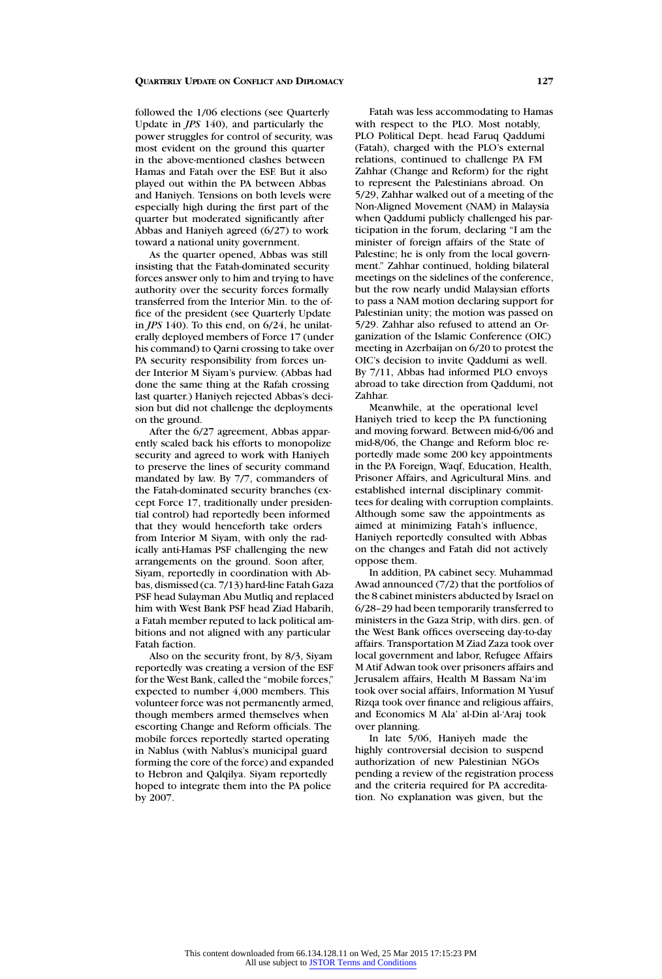followed the 1/06 elections (see Quarterly Update in *JPS* 140), and particularly the power struggles for control of security, was most evident on the ground this quarter in the above-mentioned clashes between Hamas and Fatah over the ESF. But it also played out within the PA between Abbas and Haniyeh. Tensions on both levels were especially high during the first part of the quarter but moderated significantly after Abbas and Haniyeh agreed (6/27) to work toward a national unity government.

As the quarter opened, Abbas was still insisting that the Fatah-dominated security forces answer only to him and trying to have authority over the security forces formally transferred from the Interior Min. to the office of the president (see Quarterly Update in *JPS* 140). To this end, on 6/24, he unilaterally deployed members of Force 17 (under his command) to Qarni crossing to take over PA security responsibility from forces under Interior M Siyam's purview. (Abbas had done the same thing at the Rafah crossing last quarter.) Haniyeh rejected Abbas's decision but did not challenge the deployments on the ground.

After the 6/27 agreement, Abbas apparently scaled back his efforts to monopolize security and agreed to work with Haniyeh to preserve the lines of security command mandated by law. By 7/7, commanders of the Fatah-dominated security branches (except Force 17, traditionally under presidential control) had reportedly been informed that they would henceforth take orders from Interior M Siyam, with only the radically anti-Hamas PSF challenging the new arrangements on the ground. Soon after, Siyam, reportedly in coordination with Abbas, dismissed (ca. 7/13) hard-line Fatah Gaza PSF head Sulayman Abu Mutliq and replaced him with West Bank PSF head Ziad Habarih, a Fatah member reputed to lack political ambitions and not aligned with any particular Fatah faction.

Also on the security front, by 8/3, Siyam reportedly was creating a version of the ESF for the West Bank, called the "mobile forces," expected to number 4,000 members. This volunteer force was not permanently armed, though members armed themselves when escorting Change and Reform officials. The mobile forces reportedly started operating in Nablus (with Nablus's municipal guard forming the core of the force) and expanded to Hebron and Qalqilya. Siyam reportedly hoped to integrate them into the PA police by 2007.

Fatah was less accommodating to Hamas with respect to the PLO. Most notably, PLO Political Dept. head Faruq Qaddumi (Fatah), charged with the PLO's external relations, continued to challenge PA FM Zahhar (Change and Reform) for the right to represent the Palestinians abroad. On 5/29, Zahhar walked out of a meeting of the Non-Aligned Movement (NAM) in Malaysia when Qaddumi publicly challenged his participation in the forum, declaring "I am the minister of foreign affairs of the State of Palestine; he is only from the local government." Zahhar continued, holding bilateral meetings on the sidelines of the conference, but the row nearly undid Malaysian efforts to pass a NAM motion declaring support for Palestinian unity; the motion was passed on 5/29. Zahhar also refused to attend an Organization of the Islamic Conference (OIC) meeting in Azerbaijan on 6/20 to protest the OIC's decision to invite Qaddumi as well. By 7/11, Abbas had informed PLO envoys abroad to take direction from Qaddumi, not Zahhar.

Meanwhile, at the operational level Haniyeh tried to keep the PA functioning and moving forward. Between mid-6/06 and mid-8/06, the Change and Reform bloc reportedly made some 200 key appointments in the PA Foreign, Waqf, Education, Health, Prisoner Affairs, and Agricultural Mins. and established internal disciplinary committees for dealing with corruption complaints. Although some saw the appointments as aimed at minimizing Fatah's influence, Haniyeh reportedly consulted with Abbas on the changes and Fatah did not actively oppose them.

In addition, PA cabinet secy. Muhammad Awad announced (7/2) that the portfolios of the 8 cabinet ministers abducted by Israel on 6/28–29 had been temporarily transferred to ministers in the Gaza Strip, with dirs. gen. of the West Bank offices overseeing day-to-day affairs. Transportation M Ziad Zaza took over local government and labor, Refugee Affairs M Atif Adwan took over prisoners affairs and Jerusalem affairs, Health M Bassam Na'im took over social affairs, Information M Yusuf Rizqa took over finance and religious affairs, and Economics M Ala' al-Din al-'Araj took over planning.

In late 5/06, Haniyeh made the highly controversial decision to suspend authorization of new Palestinian NGOs pending a review of the registration process and the criteria required for PA accreditation. No explanation was given, but the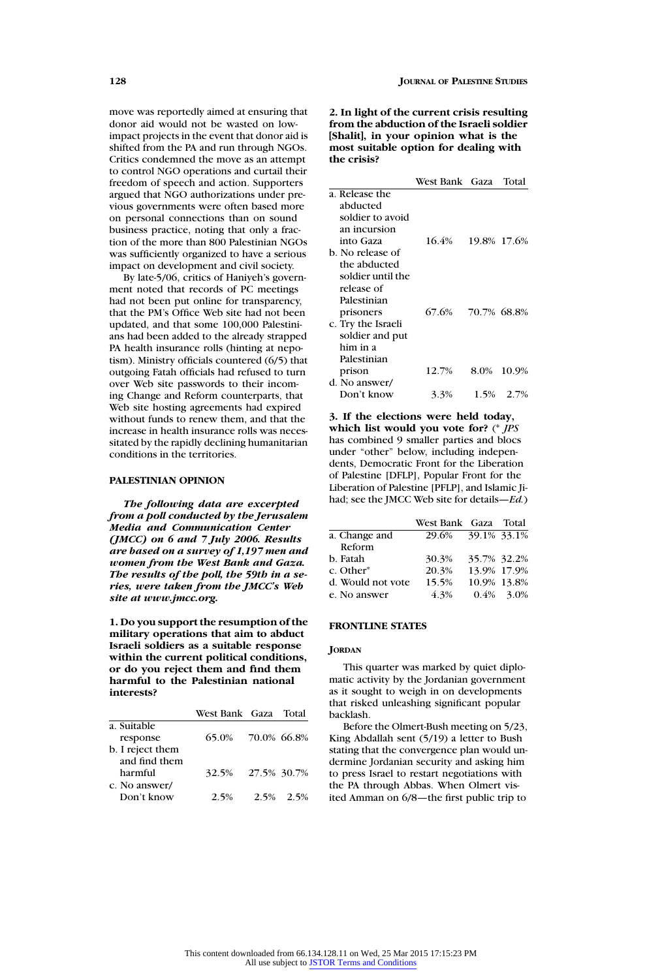move was reportedly aimed at ensuring that donor aid would not be wasted on lowimpact projects in the event that donor aid is shifted from the PA and run through NGOs. Critics condemned the move as an attempt to control NGO operations and curtail their freedom of speech and action. Supporters argued that NGO authorizations under previous governments were often based more on personal connections than on sound business practice, noting that only a fraction of the more than 800 Palestinian NGOs was sufficiently organized to have a serious impact on development and civil society.

By late-5/06, critics of Haniyeh's government noted that records of PC meetings had not been put online for transparency, that the PM's Office Web site had not been updated, and that some 100,000 Palestinians had been added to the already strapped PA health insurance rolls (hinting at nepotism). Ministry officials countered (6/5) that outgoing Fatah officials had refused to turn over Web site passwords to their incoming Change and Reform counterparts, that Web site hosting agreements had expired without funds to renew them, and that the increase in health insurance rolls was necessitated by the rapidly declining humanitarian conditions in the territories.

# **PALESTINIAN OPINION**

*The following data are excerpted from a poll conducted by the Jerusalem Media and Communication Center (JMCC) on 6 and 7 July 2006. Results are based on a survey of 1,197 men and women from the West Bank and Gaza. The results of the poll, the 59th in a series, were taken from the JMCC's Web site at www.jmcc.org.*

**1. Do you support the resumption of the military operations that aim to abduct Israeli soldiers as a suitable response within the current political conditions, or do you reject them and find them harmful to the Palestinian national interests?**

|                  | West Bank Gaza Total |           |
|------------------|----------------------|-----------|
| a. Suitable      |                      |           |
| response         | 65.0% 70.0% 66.8%    |           |
| b. I reject them |                      |           |
| and find them    |                      |           |
| harmful          | 32.5% 27.5% 30.7%    |           |
| c. No answer/    |                      |           |
| Don't know       | 2.5%                 | 2.5% 2.5% |
|                  |                      |           |

**2. In light of the current crisis resulting from the abduction of the Israeli soldier [Shalit], in your opinion what is the most suitable option for dealing with the crisis?**

|  |                    | West Bank Gaza |             | Total       |
|--|--------------------|----------------|-------------|-------------|
|  | a. Release the     |                |             |             |
|  | abducted           |                |             |             |
|  | soldier to avoid   |                |             |             |
|  | an incursion       |                |             |             |
|  | into Gaza          | 16.4%          |             | 19.8% 17.6% |
|  | b. No release of   |                |             |             |
|  | the abducted       |                |             |             |
|  | soldier until the  |                |             |             |
|  | release of         |                |             |             |
|  | Palestinian        |                |             |             |
|  | prisoners          | 67.6%          | 70.7% 68.8% |             |
|  | c. Try the Israeli |                |             |             |
|  | soldier and put    |                |             |             |
|  | him in a           |                |             |             |
|  | Palestinian        |                |             |             |
|  | prison             | 12.7%          | 8.0%        | 10.9%       |
|  | d. No answer/      |                |             |             |
|  | Don't know         | 3.3%           |             | 1.5% 2.7%   |

**3. If the elections were held today, which list would you vote for?** (\* *JPS* has combined 9 smaller parties and blocs under "other" below, including independents, Democratic Front for the Liberation of Palestine [DFLP], Popular Front for the Liberation of Palestine [PFLP], and Islamic Jihad; see the JMCC Web site for details—*Ed.*)

|                       | West Bank Gaza Total |             |              |
|-----------------------|----------------------|-------------|--------------|
| a. Change and         | 29.6% 39.1% 33.1%    |             |              |
| Reform                |                      |             |              |
| b. Fatah              | 30.3%                | 35.7% 32.2% |              |
| c. Other <sup>*</sup> | 20.3%                | 13.9% 17.9% |              |
| d. Would not vote     | 15.5%                | 10.9% 13.8% |              |
| e. No answer          | 4.3%                 |             | $0.4\%$ 3.0% |

# **FRONTLINE STATES**

# **JORDAN**

This quarter was marked by quiet diplomatic activity by the Jordanian government as it sought to weigh in on developments that risked unleashing significant popular backlash.

Before the Olmert-Bush meeting on 5/23, King Abdallah sent (5/19) a letter to Bush stating that the convergence plan would undermine Jordanian security and asking him to press Israel to restart negotiations with the PA through Abbas. When Olmert visited Amman on 6/8—the first public trip to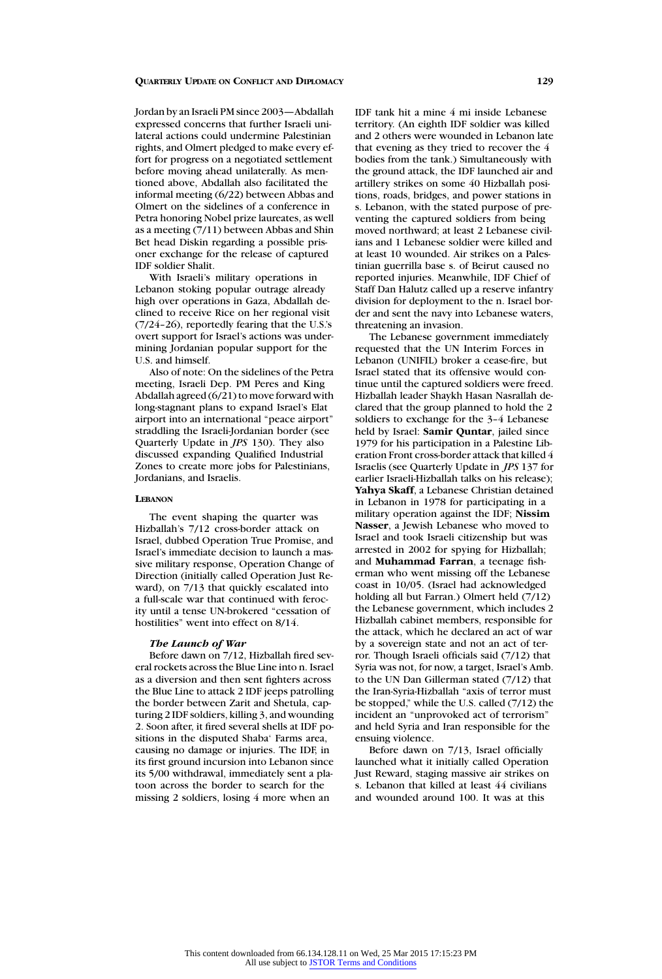Jordan by an Israeli PM since 2003—Abdallah expressed concerns that further Israeli unilateral actions could undermine Palestinian rights, and Olmert pledged to make every effort for progress on a negotiated settlement before moving ahead unilaterally. As mentioned above, Abdallah also facilitated the informal meeting (6/22) between Abbas and Olmert on the sidelines of a conference in Petra honoring Nobel prize laureates, as well as a meeting (7/11) between Abbas and Shin Bet head Diskin regarding a possible prisoner exchange for the release of captured IDF soldier Shalit.

With Israeli's military operations in Lebanon stoking popular outrage already high over operations in Gaza, Abdallah declined to receive Rice on her regional visit (7/24–26), reportedly fearing that the U.S.'s overt support for Israel's actions was undermining Jordanian popular support for the U.S. and himself.

Also of note: On the sidelines of the Petra meeting, Israeli Dep. PM Peres and King Abdallah agreed ( $6/21$ ) to move forward with long-stagnant plans to expand Israel's Elat airport into an international "peace airport" straddling the Israeli-Jordanian border (see Quarterly Update in *JPS* 130). They also discussed expanding Qualified Industrial Zones to create more jobs for Palestinians, Jordanians, and Israelis.

# **LEBANON**

The event shaping the quarter was Hizballah's 7/12 cross-border attack on Israel, dubbed Operation True Promise, and Israel's immediate decision to launch a massive military response, Operation Change of Direction (initially called Operation Just Reward), on 7/13 that quickly escalated into a full-scale war that continued with ferocity until a tense UN-brokered "cessation of hostilities" went into effect on 8/14.

# *The Launch of War*

Before dawn on 7/12, Hizballah fired several rockets across the Blue Line into n. Israel as a diversion and then sent fighters across the Blue Line to attack 2 IDF jeeps patrolling the border between Zarit and Shetula, capturing 2 IDF soldiers, killing 3, and wounding 2. Soon after, it fired several shells at IDF positions in the disputed Shaba' Farms area, causing no damage or injuries. The IDF, in its first ground incursion into Lebanon since its 5/00 withdrawal, immediately sent a platoon across the border to search for the missing 2 soldiers, losing 4 more when an

IDF tank hit a mine 4 mi inside Lebanese territory. (An eighth IDF soldier was killed and 2 others were wounded in Lebanon late that evening as they tried to recover the 4 bodies from the tank.) Simultaneously with the ground attack, the IDF launched air and artillery strikes on some 40 Hizballah positions, roads, bridges, and power stations in s. Lebanon, with the stated purpose of preventing the captured soldiers from being moved northward; at least 2 Lebanese civilians and 1 Lebanese soldier were killed and at least 10 wounded. Air strikes on a Palestinian guerrilla base s. of Beirut caused no reported injuries. Meanwhile, IDF Chief of Staff Dan Halutz called up a reserve infantry division for deployment to the n. Israel border and sent the navy into Lebanese waters, threatening an invasion.

The Lebanese government immediately requested that the UN Interim Forces in Lebanon (UNIFIL) broker a cease-fire, but Israel stated that its offensive would continue until the captured soldiers were freed. Hizballah leader Shaykh Hasan Nasrallah declared that the group planned to hold the 2 soldiers to exchange for the 3–4 Lebanese held by Israel: **Samir Quntar**, jailed since 1979 for his participation in a Palestine Liberation Front cross-border attack that killed 4 Israelis (see Quarterly Update in *JPS* 137 for earlier Israeli-Hizballah talks on his release); **Yahya Skaff**, a Lebanese Christian detained in Lebanon in 1978 for participating in a military operation against the IDF; **Nissim Nasser**, a Jewish Lebanese who moved to Israel and took Israeli citizenship but was arrested in 2002 for spying for Hizballah; and **Muhammad Farran**, a teenage fisherman who went missing off the Lebanese coast in 10/05. (Israel had acknowledged holding all but Farran.) Olmert held (7/12) the Lebanese government, which includes 2 Hizballah cabinet members, responsible for the attack, which he declared an act of war by a sovereign state and not an act of terror. Though Israeli officials said (7/12) that Syria was not, for now, a target, Israel's Amb. to the UN Dan Gillerman stated (7/12) that the Iran-Syria-Hizballah "axis of terror must be stopped," while the U.S. called (7/12) the incident an "unprovoked act of terrorism" and held Syria and Iran responsible for the ensuing violence.

Before dawn on 7/13, Israel officially launched what it initially called Operation Just Reward, staging massive air strikes on s. Lebanon that killed at least 44 civilians and wounded around 100. It was at this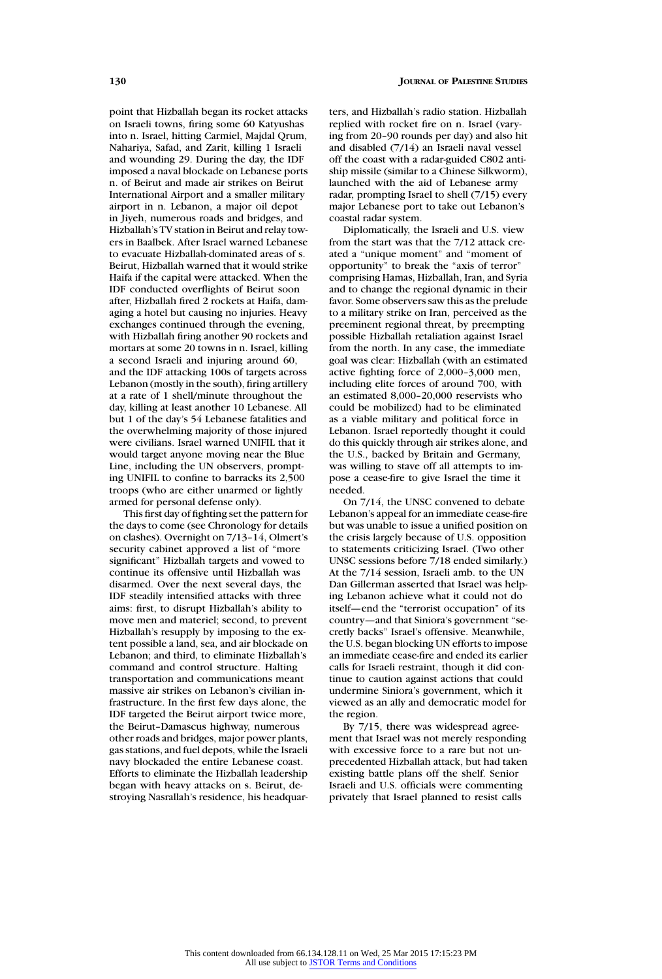point that Hizballah began its rocket attacks on Israeli towns, firing some 60 Katyushas into n. Israel, hitting Carmiel, Majdal Qrum, Nahariya, Safad, and Zarit, killing 1 Israeli and wounding 29. During the day, the IDF imposed a naval blockade on Lebanese ports n. of Beirut and made air strikes on Beirut International Airport and a smaller military airport in n. Lebanon, a major oil depot in Jiyeh, numerous roads and bridges, and Hizballah's TV station in Beirut and relay towers in Baalbek. After Israel warned Lebanese to evacuate Hizballah-dominated areas of s. Beirut, Hizballah warned that it would strike Haifa if the capital were attacked. When the IDF conducted overflights of Beirut soon after, Hizballah fired 2 rockets at Haifa, damaging a hotel but causing no injuries. Heavy exchanges continued through the evening, with Hizballah firing another 90 rockets and mortars at some 20 towns in n. Israel, killing a second Israeli and injuring around 60, and the IDF attacking 100s of targets across Lebanon (mostly in the south), firing artillery at a rate of 1 shell/minute throughout the day, killing at least another 10 Lebanese. All but 1 of the day's 54 Lebanese fatalities and the overwhelming majority of those injured were civilians. Israel warned UNIFIL that it would target anyone moving near the Blue Line, including the UN observers, prompting UNIFIL to confine to barracks its 2,500 troops (who are either unarmed or lightly armed for personal defense only).

This first day of fighting set the pattern for the days to come (see Chronology for details on clashes). Overnight on 7/13–14, Olmert's security cabinet approved a list of "more significant" Hizballah targets and vowed to continue its offensive until Hizballah was disarmed. Over the next several days, the IDF steadily intensified attacks with three aims: first, to disrupt Hizballah's ability to move men and materiel; second, to prevent Hizballah's resupply by imposing to the extent possible a land, sea, and air blockade on Lebanon; and third, to eliminate Hizballah's command and control structure. Halting transportation and communications meant massive air strikes on Lebanon's civilian infrastructure. In the first few days alone, the IDF targeted the Beirut airport twice more, the Beirut–Damascus highway, numerous other roads and bridges, major power plants, gas stations, and fuel depots, while the Israeli navy blockaded the entire Lebanese coast. Efforts to eliminate the Hizballah leadership began with heavy attacks on s. Beirut, destroying Nasrallah's residence, his headquarters, and Hizballah's radio station. Hizballah replied with rocket fire on n. Israel (varying from 20–90 rounds per day) and also hit and disabled (7/14) an Israeli naval vessel off the coast with a radar-guided C802 antiship missile (similar to a Chinese Silkworm), launched with the aid of Lebanese army radar, prompting Israel to shell (7/15) every major Lebanese port to take out Lebanon's coastal radar system.

Diplomatically, the Israeli and U.S. view from the start was that the 7/12 attack created a "unique moment" and "moment of opportunity" to break the "axis of terror" comprising Hamas, Hizballah, Iran, and Syria and to change the regional dynamic in their favor. Some observers saw this as the prelude to a military strike on Iran, perceived as the preeminent regional threat, by preempting possible Hizballah retaliation against Israel from the north. In any case, the immediate goal was clear: Hizballah (with an estimated active fighting force of 2,000–3,000 men, including elite forces of around 700, with an estimated 8,000–20,000 reservists who could be mobilized) had to be eliminated as a viable military and political force in Lebanon. Israel reportedly thought it could do this quickly through air strikes alone, and the U.S., backed by Britain and Germany, was willing to stave off all attempts to impose a cease-fire to give Israel the time it needed.

On 7/14, the UNSC convened to debate Lebanon's appeal for an immediate cease-fire but was unable to issue a unified position on the crisis largely because of U.S. opposition to statements criticizing Israel. (Two other UNSC sessions before 7/18 ended similarly.) At the 7/14 session, Israeli amb. to the UN Dan Gillerman asserted that Israel was helping Lebanon achieve what it could not do itself—end the "terrorist occupation" of its country—and that Siniora's government "secretly backs" Israel's offensive. Meanwhile, the U.S. began blocking UN efforts to impose an immediate cease-fire and ended its earlier calls for Israeli restraint, though it did continue to caution against actions that could undermine Siniora's government, which it viewed as an ally and democratic model for the region.

By 7/15, there was widespread agreement that Israel was not merely responding with excessive force to a rare but not unprecedented Hizballah attack, but had taken existing battle plans off the shelf. Senior Israeli and U.S. officials were commenting privately that Israel planned to resist calls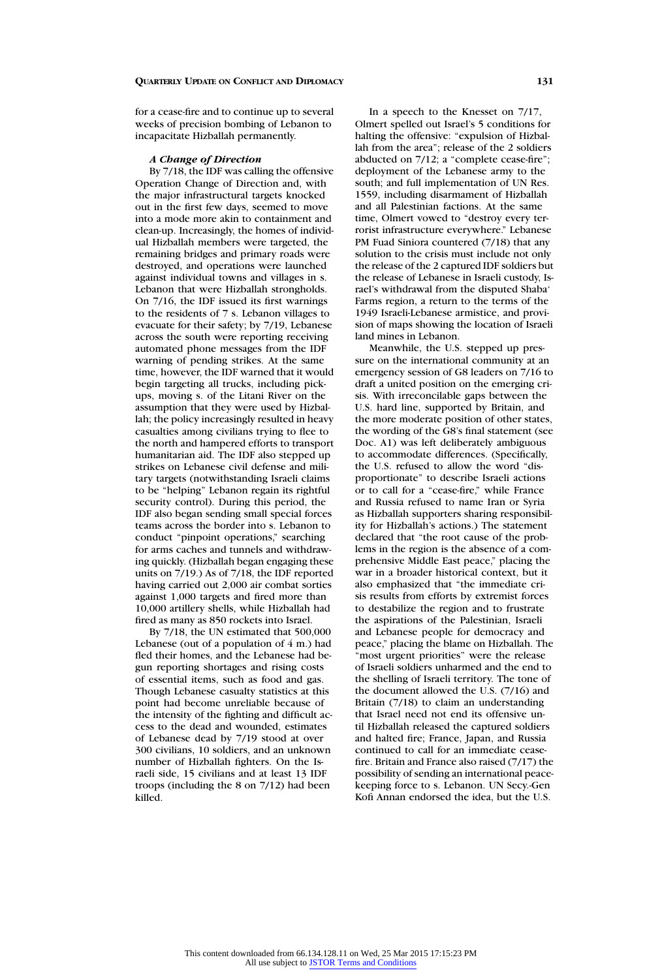for a cease-fire and to continue up to several weeks of precision bombing of Lebanon to incapacitate Hizballah permanently.

## *A Change of Direction*

By 7/18, the IDF was calling the offensive Operation Change of Direction and, with the major infrastructural targets knocked out in the first few days, seemed to move into a mode more akin to containment and clean-up. Increasingly, the homes of individual Hizballah members were targeted, the remaining bridges and primary roads were destroyed, and operations were launched against individual towns and villages in s. Lebanon that were Hizballah strongholds. On 7/16, the IDF issued its first warnings to the residents of 7 s. Lebanon villages to evacuate for their safety; by 7/19, Lebanese across the south were reporting receiving automated phone messages from the IDF warning of pending strikes. At the same time, however, the IDF warned that it would begin targeting all trucks, including pickups, moving s. of the Litani River on the assumption that they were used by Hizballah; the policy increasingly resulted in heavy casualties among civilians trying to flee to the north and hampered efforts to transport humanitarian aid. The IDF also stepped up strikes on Lebanese civil defense and military targets (notwithstanding Israeli claims to be "helping" Lebanon regain its rightful security control). During this period, the IDF also began sending small special forces teams across the border into s. Lebanon to conduct "pinpoint operations," searching for arms caches and tunnels and withdrawing quickly. (Hizballah began engaging these units on 7/19.) As of 7/18, the IDF reported having carried out 2,000 air combat sorties against 1,000 targets and fired more than 10,000 artillery shells, while Hizballah had fired as many as 850 rockets into Israel.

By 7/18, the UN estimated that 500,000 Lebanese (out of a population of  $4$  m.) had fled their homes, and the Lebanese had begun reporting shortages and rising costs of essential items, such as food and gas. Though Lebanese casualty statistics at this point had become unreliable because of the intensity of the fighting and difficult access to the dead and wounded, estimates of Lebanese dead by 7/19 stood at over 300 civilians, 10 soldiers, and an unknown number of Hizballah fighters. On the Israeli side, 15 civilians and at least 13 IDF troops (including the 8 on 7/12) had been killed.

In a speech to the Knesset on 7/17, Olmert spelled out Israel's 5 conditions for halting the offensive: "expulsion of Hizballah from the area"; release of the 2 soldiers abducted on 7/12; a "complete cease-fire"; deployment of the Lebanese army to the south; and full implementation of UN Res. 1559, including disarmament of Hizballah and all Palestinian factions. At the same time, Olmert vowed to "destroy every terrorist infrastructure everywhere." Lebanese PM Fuad Siniora countered (7/18) that any solution to the crisis must include not only the release of the 2 captured IDF soldiers but the release of Lebanese in Israeli custody, Israel's withdrawal from the disputed Shaba' Farms region, a return to the terms of the 1949 Israeli-Lebanese armistice, and provision of maps showing the location of Israeli land mines in Lebanon.

Meanwhile, the U.S. stepped up pressure on the international community at an emergency session of G8 leaders on 7/16 to draft a united position on the emerging crisis. With irreconcilable gaps between the U.S. hard line, supported by Britain, and the more moderate position of other states, the wording of the G8's final statement (see Doc. A1) was left deliberately ambiguous to accommodate differences. (Specifically, the U.S. refused to allow the word "disproportionate" to describe Israeli actions or to call for a "cease-fire," while France and Russia refused to name Iran or Syria as Hizballah supporters sharing responsibility for Hizballah's actions.) The statement declared that "the root cause of the problems in the region is the absence of a comprehensive Middle East peace," placing the war in a broader historical context, but it also emphasized that "the immediate crisis results from efforts by extremist forces to destabilize the region and to frustrate the aspirations of the Palestinian, Israeli and Lebanese people for democracy and peace," placing the blame on Hizballah. The "most urgent priorities" were the release of Israeli soldiers unharmed and the end to the shelling of Israeli territory. The tone of the document allowed the U.S. (7/16) and Britain (7/18) to claim an understanding that Israel need not end its offensive until Hizballah released the captured soldiers and halted fire; France, Japan, and Russia continued to call for an immediate ceasefire. Britain and France also raised (7/17) the possibility of sending an international peacekeeping force to s. Lebanon. UN Secy.-Gen Kofi Annan endorsed the idea, but the U.S.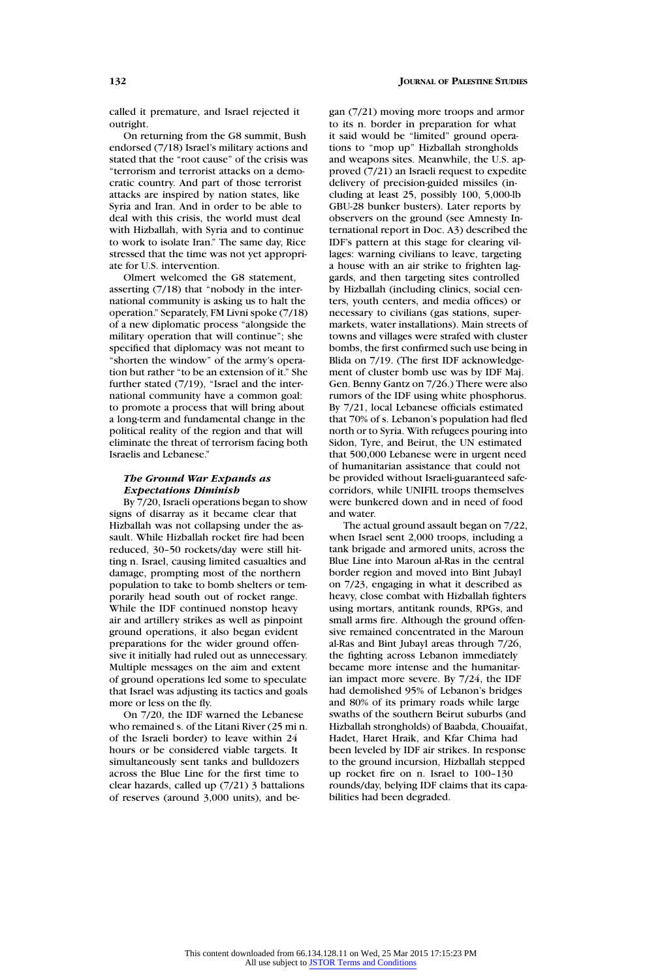called it premature, and Israel rejected it outright.

On returning from the G8 summit, Bush endorsed (7/18) Israel's military actions and stated that the "root cause" of the crisis was "terrorism and terrorist attacks on a democratic country. And part of those terrorist attacks are inspired by nation states, like Syria and Iran. And in order to be able to deal with this crisis, the world must deal with Hizballah, with Syria and to continue to work to isolate Iran." The same day, Rice stressed that the time was not yet appropriate for U.S. intervention.

Olmert welcomed the G8 statement, asserting (7/18) that "nobody in the international community is asking us to halt the operation." Separately, FM Livni spoke (7/18) of a new diplomatic process "alongside the military operation that will continue"; she specified that diplomacy was not meant to "shorten the window" of the army's operation but rather "to be an extension of it." She further stated (7/19), "Israel and the international community have a common goal: to promote a process that will bring about a long-term and fundamental change in the political reality of the region and that will eliminate the threat of terrorism facing both Israelis and Lebanese."

# *The Ground War Expands as Expectations Diminish*

By 7/20, Israeli operations began to show signs of disarray as it became clear that Hizballah was not collapsing under the assault. While Hizballah rocket fire had been reduced, 30–50 rockets/day were still hitting n. Israel, causing limited casualties and damage, prompting most of the northern population to take to bomb shelters or temporarily head south out of rocket range. While the IDF continued nonstop heavy air and artillery strikes as well as pinpoint ground operations, it also began evident preparations for the wider ground offensive it initially had ruled out as unnecessary. Multiple messages on the aim and extent of ground operations led some to speculate that Israel was adjusting its tactics and goals more or less on the fly.

On 7/20, the IDF warned the Lebanese who remained s. of the Litani River (25 mi n. of the Israeli border) to leave within 24 hours or be considered viable targets. It simultaneously sent tanks and bulldozers across the Blue Line for the first time to clear hazards, called up (7/21) 3 battalions of reserves (around 3,000 units), and began (7/21) moving more troops and armor to its n. border in preparation for what it said would be "limited" ground operations to "mop up" Hizballah strongholds and weapons sites. Meanwhile, the U.S. approved (7/21) an Israeli request to expedite delivery of precision-guided missiles (including at least 25, possibly 100, 5,000-lb GBU-28 bunker busters). Later reports by observers on the ground (see Amnesty International report in Doc. A3) described the IDF's pattern at this stage for clearing villages: warning civilians to leave, targeting a house with an air strike to frighten laggards, and then targeting sites controlled by Hizballah (including clinics, social centers, youth centers, and media offices) or necessary to civilians (gas stations, supermarkets, water installations). Main streets of towns and villages were strafed with cluster bombs, the first confirmed such use being in Blida on 7/19. (The first IDF acknowledgement of cluster bomb use was by IDF Maj. Gen. Benny Gantz on 7/26.) There were also rumors of the IDF using white phosphorus. By 7/21, local Lebanese officials estimated that 70% of s. Lebanon's population had fled north or to Syria. With refugees pouring into Sidon, Tyre, and Beirut, the UN estimated that 500,000 Lebanese were in urgent need of humanitarian assistance that could not be provided without Israeli-guaranteed safecorridors, while UNIFIL troops themselves were bunkered down and in need of food and water.

The actual ground assault began on 7/22, when Israel sent 2,000 troops, including a tank brigade and armored units, across the Blue Line into Maroun al-Ras in the central border region and moved into Bint Jubayl on 7/23, engaging in what it described as heavy, close combat with Hizballah fighters using mortars, antitank rounds, RPGs, and small arms fire. Although the ground offensive remained concentrated in the Maroun al-Ras and Bint Jubayl areas through 7/26, the fighting across Lebanon immediately became more intense and the humanitarian impact more severe. By 7/24, the IDF had demolished 95% of Lebanon's bridges and 80% of its primary roads while large swaths of the southern Beirut suburbs (and Hizballah strongholds) of Baabda, Chouaifat, Hadet, Haret Hraik, and Kfar Chima had been leveled by IDF air strikes. In response to the ground incursion, Hizballah stepped up rocket fire on n. Israel to 100–130 rounds/day, belying IDF claims that its capabilities had been degraded.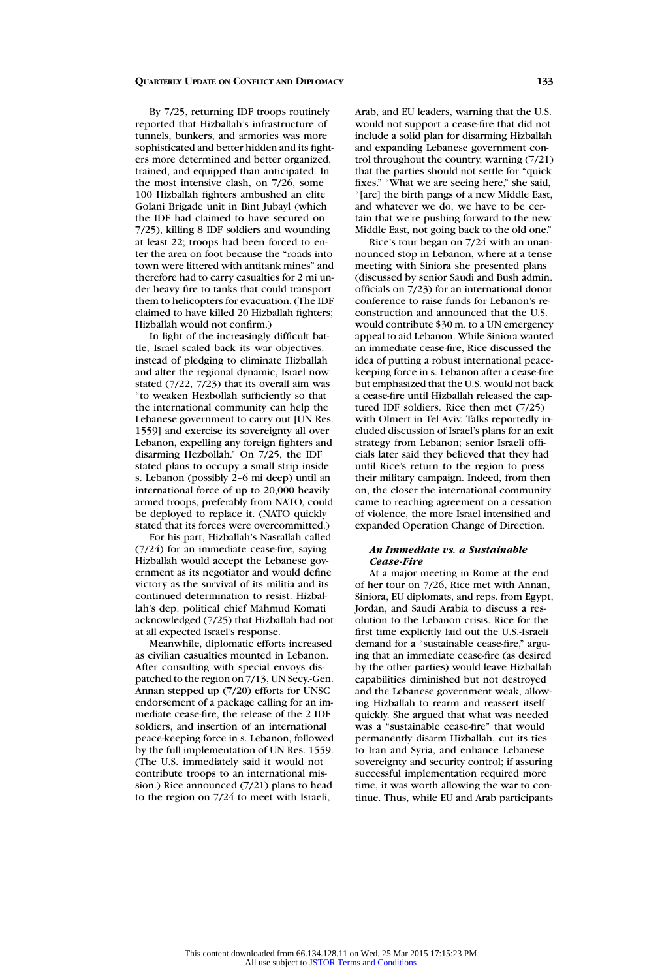By 7/25, returning IDF troops routinely reported that Hizballah's infrastructure of tunnels, bunkers, and armories was more sophisticated and better hidden and its fighters more determined and better organized, trained, and equipped than anticipated. In the most intensive clash, on 7/26, some 100 Hizballah fighters ambushed an elite Golani Brigade unit in Bint Jubayl (which the IDF had claimed to have secured on 7/25), killing 8 IDF soldiers and wounding at least 22; troops had been forced to enter the area on foot because the "roads into town were littered with antitank mines" and therefore had to carry casualties for 2 mi under heavy fire to tanks that could transport them to helicopters for evacuation. (The IDF claimed to have killed 20 Hizballah fighters; Hizballah would not confirm.)

In light of the increasingly difficult battle, Israel scaled back its war objectives: instead of pledging to eliminate Hizballah and alter the regional dynamic, Israel now stated (7/22, 7/23) that its overall aim was "to weaken Hezbollah sufficiently so that the international community can help the Lebanese government to carry out [UN Res. 1559] and exercise its sovereignty all over Lebanon, expelling any foreign fighters and disarming Hezbollah." On 7/25, the IDF stated plans to occupy a small strip inside s. Lebanon (possibly 2–6 mi deep) until an international force of up to 20,000 heavily armed troops, preferably from NATO, could be deployed to replace it. (NATO quickly stated that its forces were overcommitted.)

For his part, Hizballah's Nasrallah called (7/24) for an immediate cease-fire, saying Hizballah would accept the Lebanese government as its negotiator and would define victory as the survival of its militia and its continued determination to resist. Hizballah's dep. political chief Mahmud Komati acknowledged (7/25) that Hizballah had not at all expected Israel's response.

Meanwhile, diplomatic efforts increased as civilian casualties mounted in Lebanon. After consulting with special envoys dispatched to the region on 7/13, UN Secy.-Gen. Annan stepped up (7/20) efforts for UNSC endorsement of a package calling for an immediate cease-fire, the release of the 2 IDF soldiers, and insertion of an international peace-keeping force in s. Lebanon, followed by the full implementation of UN Res. 1559. (The U.S. immediately said it would not contribute troops to an international mission.) Rice announced (7/21) plans to head to the region on 7/24 to meet with Israeli,

Arab, and EU leaders, warning that the U.S. would not support a cease-fire that did not include a solid plan for disarming Hizballah and expanding Lebanese government control throughout the country, warning (7/21) that the parties should not settle for "quick fixes." "What we are seeing here," she said, "[are] the birth pangs of a new Middle East, and whatever we do, we have to be certain that we're pushing forward to the new Middle East, not going back to the old one."

Rice's tour began on 7/24 with an unannounced stop in Lebanon, where at a tense meeting with Siniora she presented plans (discussed by senior Saudi and Bush admin. officials on 7/23) for an international donor conference to raise funds for Lebanon's reconstruction and announced that the U.S. would contribute \$30 m. to a UN emergency appeal to aid Lebanon. While Siniora wanted an immediate cease-fire, Rice discussed the idea of putting a robust international peacekeeping force in s. Lebanon after a cease-fire but emphasized that the U.S. would not back a cease-fire until Hizballah released the captured IDF soldiers. Rice then met (7/25) with Olmert in Tel Aviv. Talks reportedly included discussion of Israel's plans for an exit strategy from Lebanon; senior Israeli officials later said they believed that they had until Rice's return to the region to press their military campaign. Indeed, from then on, the closer the international community came to reaching agreement on a cessation of violence, the more Israel intensified and expanded Operation Change of Direction.

# *An Immediate vs. a Sustainable Cease-Fire*

At a major meeting in Rome at the end of her tour on 7/26, Rice met with Annan, Siniora, EU diplomats, and reps. from Egypt, Jordan, and Saudi Arabia to discuss a resolution to the Lebanon crisis. Rice for the first time explicitly laid out the U.S.-Israeli demand for a "sustainable cease-fire," arguing that an immediate cease-fire (as desired by the other parties) would leave Hizballah capabilities diminished but not destroyed and the Lebanese government weak, allowing Hizballah to rearm and reassert itself quickly. She argued that what was needed was a "sustainable cease-fire" that would permanently disarm Hizballah, cut its ties to Iran and Syria, and enhance Lebanese sovereignty and security control; if assuring successful implementation required more time, it was worth allowing the war to continue. Thus, while EU and Arab participants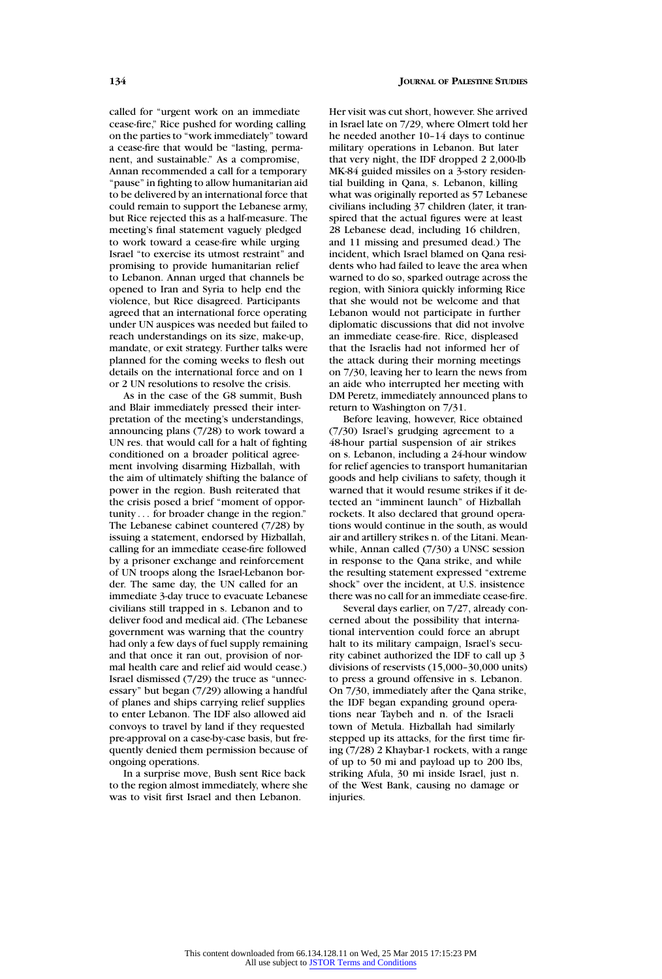called for "urgent work on an immediate cease-fire," Rice pushed for wording calling on the parties to "work immediately" toward a cease-fire that would be "lasting, permanent, and sustainable." As a compromise, Annan recommended a call for a temporary "pause" in fighting to allow humanitarian aid to be delivered by an international force that could remain to support the Lebanese army, but Rice rejected this as a half-measure. The meeting's final statement vaguely pledged to work toward a cease-fire while urging Israel "to exercise its utmost restraint" and promising to provide humanitarian relief to Lebanon. Annan urged that channels be opened to Iran and Syria to help end the violence, but Rice disagreed. Participants agreed that an international force operating under UN auspices was needed but failed to reach understandings on its size, make-up, mandate, or exit strategy. Further talks were planned for the coming weeks to flesh out details on the international force and on 1 or 2 UN resolutions to resolve the crisis.

As in the case of the G8 summit, Bush and Blair immediately pressed their interpretation of the meeting's understandings, announcing plans (7/28) to work toward a UN res. that would call for a halt of fighting conditioned on a broader political agreement involving disarming Hizballah, with the aim of ultimately shifting the balance of power in the region. Bush reiterated that the crisis posed a brief "moment of opportunity . . . for broader change in the region." The Lebanese cabinet countered (7/28) by issuing a statement, endorsed by Hizballah, calling for an immediate cease-fire followed by a prisoner exchange and reinforcement of UN troops along the Israel-Lebanon border. The same day, the UN called for an immediate 3-day truce to evacuate Lebanese civilians still trapped in s. Lebanon and to deliver food and medical aid. (The Lebanese government was warning that the country had only a few days of fuel supply remaining and that once it ran out, provision of normal health care and relief aid would cease.) Israel dismissed (7/29) the truce as "unnecessary" but began (7/29) allowing a handful of planes and ships carrying relief supplies to enter Lebanon. The IDF also allowed aid convoys to travel by land if they requested pre-approval on a case-by-case basis, but frequently denied them permission because of ongoing operations.

In a surprise move, Bush sent Rice back to the region almost immediately, where she was to visit first Israel and then Lebanon.

Her visit was cut short, however. She arrived in Israel late on 7/29, where Olmert told her he needed another 10–14 days to continue military operations in Lebanon. But later that very night, the IDF dropped 2 2,000-lb MK-84 guided missiles on a 3-story residential building in Qana, s. Lebanon, killing what was originally reported as 57 Lebanese civilians including 37 children (later, it transpired that the actual figures were at least 28 Lebanese dead, including 16 children, and 11 missing and presumed dead.) The incident, which Israel blamed on Qana residents who had failed to leave the area when warned to do so, sparked outrage across the region, with Siniora quickly informing Rice that she would not be welcome and that Lebanon would not participate in further diplomatic discussions that did not involve an immediate cease-fire. Rice, displeased that the Israelis had not informed her of the attack during their morning meetings on 7/30, leaving her to learn the news from an aide who interrupted her meeting with DM Peretz, immediately announced plans to return to Washington on 7/31.

Before leaving, however, Rice obtained (7/30) Israel's grudging agreement to a 48-hour partial suspension of air strikes on s. Lebanon, including a 24-hour window for relief agencies to transport humanitarian goods and help civilians to safety, though it warned that it would resume strikes if it detected an "imminent launch" of Hizballah rockets. It also declared that ground operations would continue in the south, as would air and artillery strikes n. of the Litani. Meanwhile, Annan called (7/30) a UNSC session in response to the Qana strike, and while the resulting statement expressed "extreme shock" over the incident, at U.S. insistence there was no call for an immediate cease-fire.

Several days earlier, on 7/27, already concerned about the possibility that international intervention could force an abrupt halt to its military campaign, Israel's security cabinet authorized the IDF to call up 3 divisions of reservists (15,000–30,000 units) to press a ground offensive in s. Lebanon. On 7/30, immediately after the Qana strike, the IDF began expanding ground operations near Taybeh and n. of the Israeli town of Metula. Hizballah had similarly stepped up its attacks, for the first time firing (7/28) 2 Khaybar-1 rockets, with a range of up to 50 mi and payload up to 200 lbs, striking Afula, 30 mi inside Israel, just n. of the West Bank, causing no damage or injuries.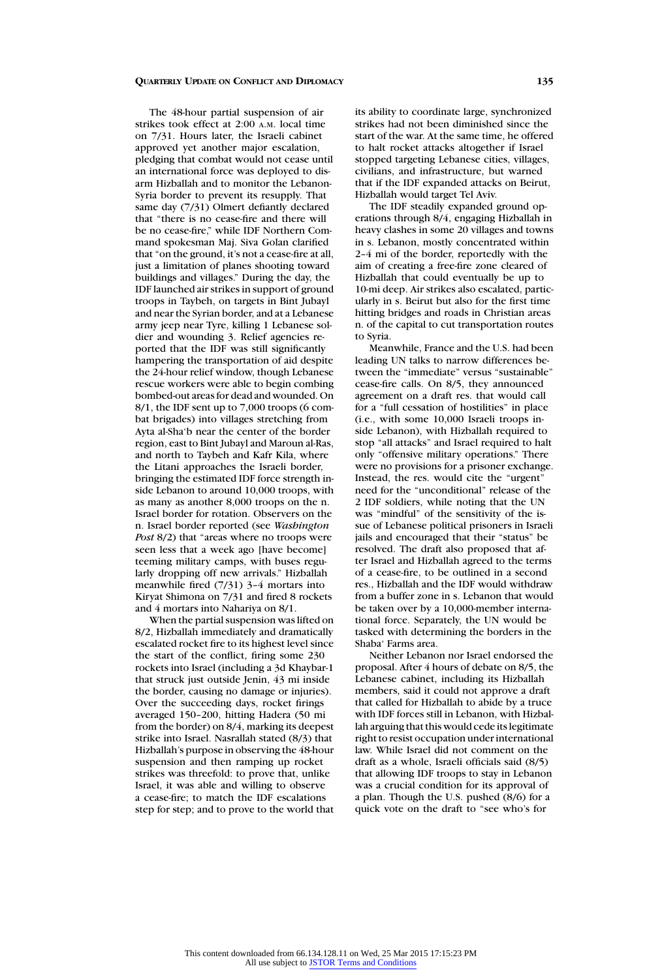The 48-hour partial suspension of air strikes took effect at 2:00 A.M. local time on 7/31. Hours later, the Israeli cabinet approved yet another major escalation, pledging that combat would not cease until an international force was deployed to disarm Hizballah and to monitor the Lebanon-Syria border to prevent its resupply. That same day (7/31) Olmert defiantly declared that "there is no cease-fire and there will be no cease-fire," while IDF Northern Command spokesman Maj. Siva Golan clarified that "on the ground, it's not a cease-fire at all, just a limitation of planes shooting toward buildings and villages." During the day, the IDF launched air strikes in support of ground troops in Taybeh, on targets in Bint Jubayl and near the Syrian border, and at a Lebanese army jeep near Tyre, killing 1 Lebanese soldier and wounding 3. Relief agencies reported that the IDF was still significantly hampering the transportation of aid despite the 24-hour relief window, though Lebanese rescue workers were able to begin combing bombed-out areas for dead and wounded. On 8/1, the IDF sent up to 7,000 troops (6 combat brigades) into villages stretching from Ayta al-Sha'b near the center of the border region, east to Bint Jubayl and Maroun al-Ras, and north to Taybeh and Kafr Kila, where the Litani approaches the Israeli border, bringing the estimated IDF force strength inside Lebanon to around 10,000 troops, with as many as another 8,000 troops on the n. Israel border for rotation. Observers on the n. Israel border reported (see *Washington Post* 8/2) that "areas where no troops were seen less that a week ago [have become] teeming military camps, with buses regularly dropping off new arrivals." Hizballah meanwhile fired (7/31) 3–4 mortars into Kiryat Shimona on 7/31 and fired 8 rockets and 4 mortars into Nahariya on 8/1.

When the partial suspension was lifted on 8/2, Hizballah immediately and dramatically escalated rocket fire to its highest level since the start of the conflict, firing some 230 rockets into Israel (including a 3d Khaybar-1 that struck just outside Jenin, 43 mi inside the border, causing no damage or injuries). Over the succeeding days, rocket firings averaged 150–200, hitting Hadera (50 mi from the border) on 8/4, marking its deepest strike into Israel. Nasrallah stated (8/3) that Hizballah's purpose in observing the 48-hour suspension and then ramping up rocket strikes was threefold: to prove that, unlike Israel, it was able and willing to observe a cease-fire; to match the IDF escalations step for step; and to prove to the world that

its ability to coordinate large, synchronized strikes had not been diminished since the start of the war. At the same time, he offered to halt rocket attacks altogether if Israel stopped targeting Lebanese cities, villages, civilians, and infrastructure, but warned that if the IDF expanded attacks on Beirut, Hizballah would target Tel Aviv.

The IDF steadily expanded ground operations through 8/4, engaging Hizballah in heavy clashes in some 20 villages and towns in s. Lebanon, mostly concentrated within 2–4 mi of the border, reportedly with the aim of creating a free-fire zone cleared of Hizballah that could eventually be up to 10-mi deep. Air strikes also escalated, particularly in s. Beirut but also for the first time hitting bridges and roads in Christian areas n. of the capital to cut transportation routes to Syria.

Meanwhile, France and the U.S. had been leading UN talks to narrow differences between the "immediate" versus "sustainable" cease-fire calls. On 8/5, they announced agreement on a draft res. that would call for a "full cessation of hostilities" in place (i.e., with some 10,000 Israeli troops inside Lebanon), with Hizballah required to stop "all attacks" and Israel required to halt only "offensive military operations." There were no provisions for a prisoner exchange. Instead, the res. would cite the "urgent" need for the "unconditional" release of the 2 IDF soldiers, while noting that the UN was "mindful" of the sensitivity of the issue of Lebanese political prisoners in Israeli jails and encouraged that their "status" be resolved. The draft also proposed that after Israel and Hizballah agreed to the terms of a cease-fire, to be outlined in a second res., Hizballah and the IDF would withdraw from a buffer zone in s. Lebanon that would be taken over by a 10,000-member international force. Separately, the UN would be tasked with determining the borders in the Shaba' Farms area.

Neither Lebanon nor Israel endorsed the proposal. After 4 hours of debate on 8/5, the Lebanese cabinet, including its Hizballah members, said it could not approve a draft that called for Hizballah to abide by a truce with IDF forces still in Lebanon, with Hizballah arguing that this would cede its legitimate right to resist occupation under international law. While Israel did not comment on the draft as a whole, Israeli officials said (8/5) that allowing IDF troops to stay in Lebanon was a crucial condition for its approval of a plan. Though the U.S. pushed (8/6) for a quick vote on the draft to "see who's for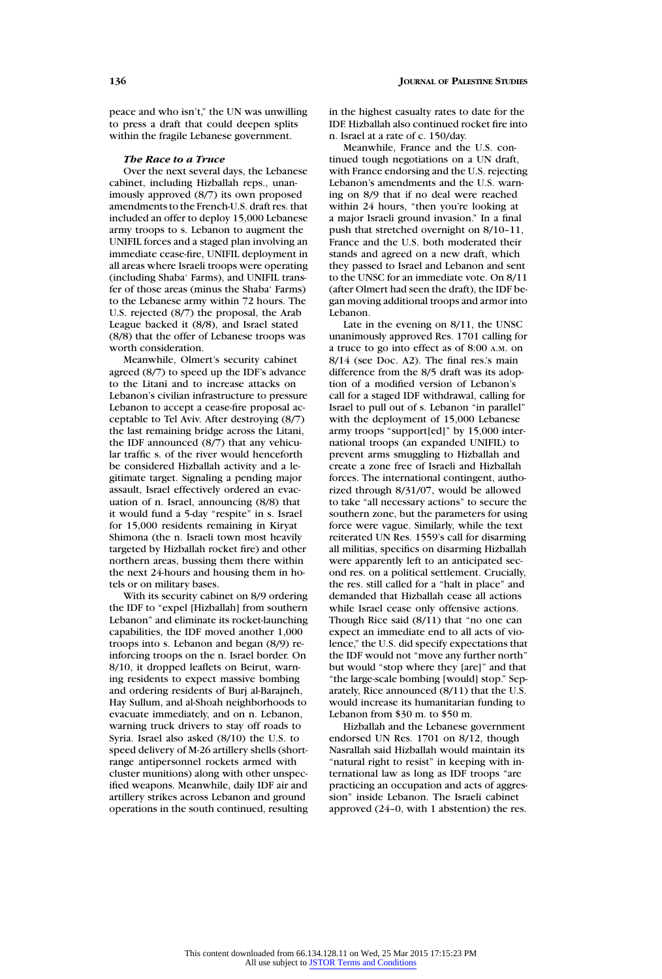peace and who isn't," the UN was unwilling to press a draft that could deepen splits within the fragile Lebanese government.

# *The Race to a Truce*

Over the next several days, the Lebanese cabinet, including Hizballah reps., unanimously approved (8/7) its own proposed amendments to the French-U.S. draft res. that included an offer to deploy 15,000 Lebanese army troops to s. Lebanon to augment the UNIFIL forces and a staged plan involving an immediate cease-fire, UNIFIL deployment in all areas where Israeli troops were operating (including Shaba' Farms), and UNIFIL transfer of those areas (minus the Shaba' Farms) to the Lebanese army within 72 hours. The U.S. rejected (8/7) the proposal, the Arab League backed it (8/8), and Israel stated (8/8) that the offer of Lebanese troops was worth consideration.

Meanwhile, Olmert's security cabinet agreed (8/7) to speed up the IDF's advance to the Litani and to increase attacks on Lebanon's civilian infrastructure to pressure Lebanon to accept a cease-fire proposal acceptable to Tel Aviv. After destroying (8/7) the last remaining bridge across the Litani, the IDF announced (8/7) that any vehicular traffic s. of the river would henceforth be considered Hizballah activity and a legitimate target. Signaling a pending major assault, Israel effectively ordered an evacuation of n. Israel, announcing (8/8) that it would fund a 5-day "respite" in s. Israel for 15,000 residents remaining in Kiryat Shimona (the n. Israeli town most heavily targeted by Hizballah rocket fire) and other northern areas, bussing them there within the next 24-hours and housing them in hotels or on military bases.

With its security cabinet on 8/9 ordering the IDF to "expel [Hizballah] from southern Lebanon" and eliminate its rocket-launching capabilities, the IDF moved another 1,000 troops into s. Lebanon and began (8/9) reinforcing troops on the n. Israel border. On 8/10, it dropped leaflets on Beirut, warning residents to expect massive bombing and ordering residents of Burj al-Barajneh, Hay Sullum, and al-Shoah neighborhoods to evacuate immediately, and on n. Lebanon, warning truck drivers to stay off roads to Syria. Israel also asked (8/10) the U.S. to speed delivery of M-26 artillery shells (shortrange antipersonnel rockets armed with cluster munitions) along with other unspecified weapons. Meanwhile, daily IDF air and artillery strikes across Lebanon and ground operations in the south continued, resulting in the highest casualty rates to date for the IDF. Hizballah also continued rocket fire into n. Israel at a rate of c. 150/day.

Meanwhile, France and the U.S. continued tough negotiations on a UN draft, with France endorsing and the U.S. rejecting Lebanon's amendments and the U.S. warning on 8/9 that if no deal were reached within 24 hours, "then you're looking at a major Israeli ground invasion." In a final push that stretched overnight on 8/10–11, France and the U.S. both moderated their stands and agreed on a new draft, which they passed to Israel and Lebanon and sent to the UNSC for an immediate vote. On 8/11 (after Olmert had seen the draft), the IDF began moving additional troops and armor into Lebanon.

Late in the evening on 8/11, the UNSC unanimously approved Res. 1701 calling for a truce to go into effect as of 8:00 A.M. on 8/14 (see Doc. A2). The final res.'s main difference from the 8/5 draft was its adoption of a modified version of Lebanon's call for a staged IDF withdrawal, calling for Israel to pull out of s. Lebanon "in parallel" with the deployment of 15,000 Lebanese army troops "support[ed]" by 15,000 international troops (an expanded UNIFIL) to prevent arms smuggling to Hizballah and create a zone free of Israeli and Hizballah forces. The international contingent, authorized through 8/31/07, would be allowed to take "all necessary actions" to secure the southern zone, but the parameters for using force were vague. Similarly, while the text reiterated UN Res. 1559's call for disarming all militias, specifics on disarming Hizballah were apparently left to an anticipated second res. on a political settlement. Crucially, the res. still called for a "halt in place" and demanded that Hizballah cease all actions while Israel cease only offensive actions. Though Rice said (8/11) that "no one can expect an immediate end to all acts of violence," the U.S. did specify expectations that the IDF would not "move any further north" but would "stop where they [are]" and that "the large-scale bombing [would] stop." Separately, Rice announced (8/11) that the U.S. would increase its humanitarian funding to Lebanon from \$30 m. to \$50 m.

Hizballah and the Lebanese government endorsed UN Res. 1701 on 8/12, though Nasrallah said Hizballah would maintain its "natural right to resist" in keeping with international law as long as IDF troops "are practicing an occupation and acts of aggression" inside Lebanon. The Israeli cabinet approved (24–0, with 1 abstention) the res.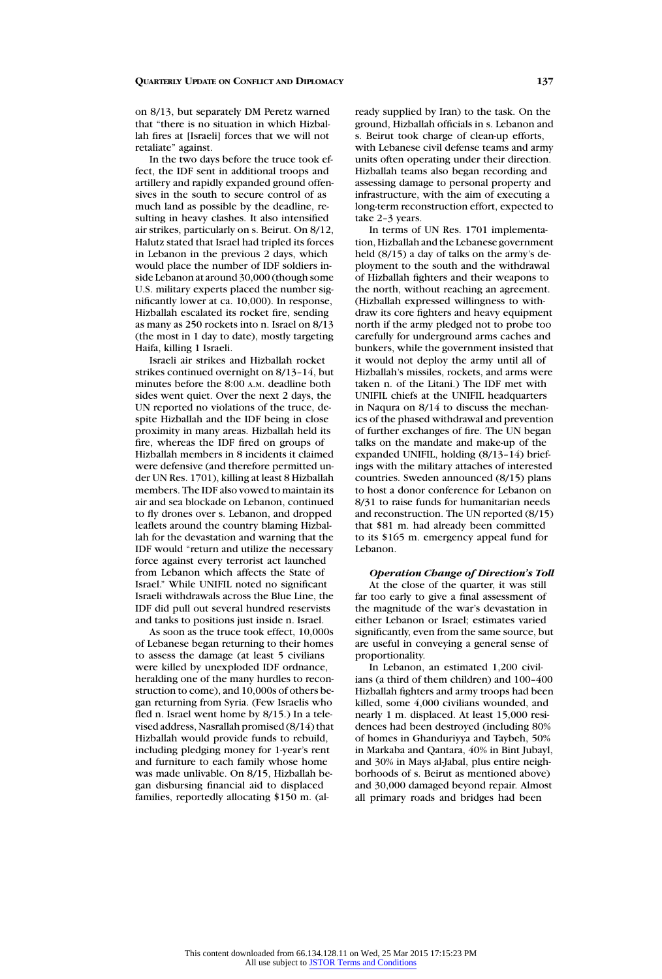on 8/13, but separately DM Peretz warned that "there is no situation in which Hizballah fires at [Israeli] forces that we will not retaliate" against.

In the two days before the truce took effect, the IDF sent in additional troops and artillery and rapidly expanded ground offensives in the south to secure control of as much land as possible by the deadline, resulting in heavy clashes. It also intensified air strikes, particularly on s. Beirut. On 8/12, Halutz stated that Israel had tripled its forces in Lebanon in the previous 2 days, which would place the number of IDF soldiers inside Lebanon at around 30,000 (though some U.S. military experts placed the number significantly lower at ca. 10,000). In response, Hizballah escalated its rocket fire, sending as many as 250 rockets into n. Israel on 8/13 (the most in 1 day to date), mostly targeting Haifa, killing 1 Israeli.

Israeli air strikes and Hizballah rocket strikes continued overnight on 8/13–14, but minutes before the 8:00 A.M. deadline both sides went quiet. Over the next 2 days, the UN reported no violations of the truce, despite Hizballah and the IDF being in close proximity in many areas. Hizballah held its fire, whereas the IDF fired on groups of Hizballah members in 8 incidents it claimed were defensive (and therefore permitted under UN Res. 1701), killing at least 8 Hizballah members. The IDF also vowed to maintain its air and sea blockade on Lebanon, continued to fly drones over s. Lebanon, and dropped leaflets around the country blaming Hizballah for the devastation and warning that the IDF would "return and utilize the necessary force against every terrorist act launched from Lebanon which affects the State of Israel." While UNIFIL noted no significant Israeli withdrawals across the Blue Line, the IDF did pull out several hundred reservists and tanks to positions just inside n. Israel.

As soon as the truce took effect, 10,000s of Lebanese began returning to their homes to assess the damage (at least 5 civilians were killed by unexploded IDF ordnance, heralding one of the many hurdles to reconstruction to come), and 10,000s of others began returning from Syria. (Few Israelis who fled n. Israel went home by 8/15.) In a televised address, Nasrallah promised (8/14) that Hizballah would provide funds to rebuild, including pledging money for 1-year's rent and furniture to each family whose home was made unlivable. On 8/15, Hizballah began disbursing financial aid to displaced families, reportedly allocating \$150 m. (already supplied by Iran) to the task. On the ground, Hizballah officials in s. Lebanon and s. Beirut took charge of clean-up efforts, with Lebanese civil defense teams and army units often operating under their direction. Hizballah teams also began recording and assessing damage to personal property and infrastructure, with the aim of executing a long-term reconstruction effort, expected to take 2–3 years.

In terms of UN Res. 1701 implementation, Hizballah and the Lebanese government held (8/15) a day of talks on the army's deployment to the south and the withdrawal of Hizballah fighters and their weapons to the north, without reaching an agreement. (Hizballah expressed willingness to withdraw its core fighters and heavy equipment north if the army pledged not to probe too carefully for underground arms caches and bunkers, while the government insisted that it would not deploy the army until all of Hizballah's missiles, rockets, and arms were taken n. of the Litani.) The IDF met with UNIFIL chiefs at the UNIFIL headquarters in Naqura on 8/14 to discuss the mechanics of the phased withdrawal and prevention of further exchanges of fire. The UN began talks on the mandate and make-up of the expanded UNIFIL, holding (8/13–14) briefings with the military attaches of interested countries. Sweden announced (8/15) plans to host a donor conference for Lebanon on 8/31 to raise funds for humanitarian needs and reconstruction. The UN reported (8/15) that \$81 m. had already been committed to its \$165 m. emergency appeal fund for Lebanon.

# *Operation Change of Direction's Toll*

At the close of the quarter, it was still far too early to give a final assessment of the magnitude of the war's devastation in either Lebanon or Israel; estimates varied significantly, even from the same source, but are useful in conveying a general sense of proportionality.

In Lebanon, an estimated 1,200 civilians (a third of them children) and 100–400 Hizballah fighters and army troops had been killed, some 4,000 civilians wounded, and nearly 1 m. displaced. At least 15,000 residences had been destroyed (including 80% of homes in Ghanduriyya and Taybeh, 50% in Markaba and Qantara, 40% in Bint Jubayl, and 30% in Mays al-Jabal, plus entire neighborhoods of s. Beirut as mentioned above) and 30,000 damaged beyond repair. Almost all primary roads and bridges had been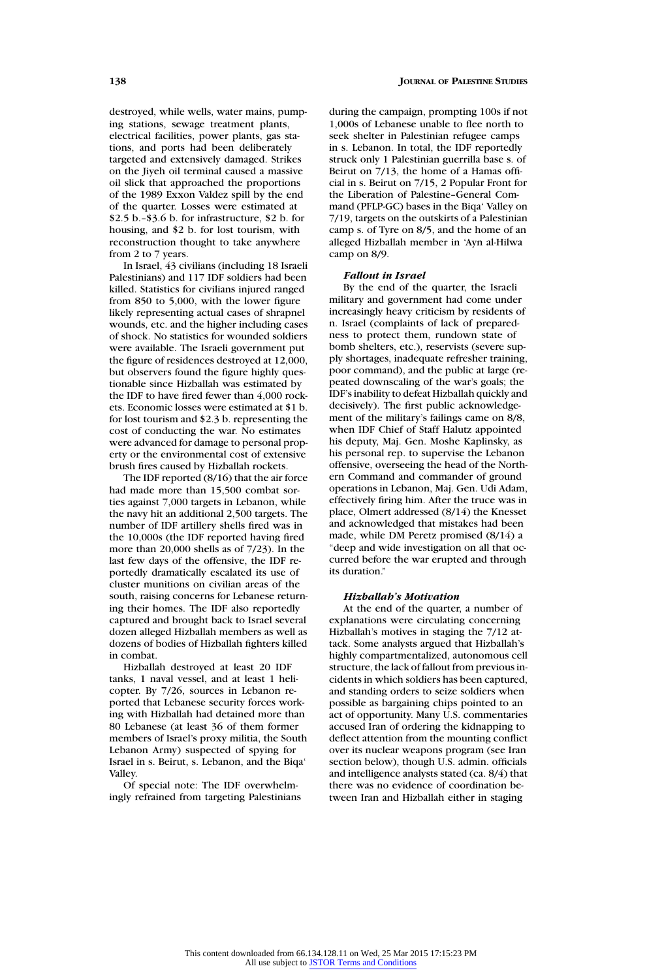destroyed, while wells, water mains, pumping stations, sewage treatment plants, electrical facilities, power plants, gas stations, and ports had been deliberately targeted and extensively damaged. Strikes on the Jiyeh oil terminal caused a massive oil slick that approached the proportions of the 1989 Exxon Valdez spill by the end of the quarter. Losses were estimated at \$2.5 b.–\$3.6 b. for infrastructure, \$2 b. for housing, and \$2 b. for lost tourism, with reconstruction thought to take anywhere from 2 to 7 years.

In Israel, 43 civilians (including 18 Israeli Palestinians) and 117 IDF soldiers had been killed. Statistics for civilians injured ranged from 850 to 5,000, with the lower figure likely representing actual cases of shrapnel wounds, etc. and the higher including cases of shock. No statistics for wounded soldiers were available. The Israeli government put the figure of residences destroyed at 12,000, but observers found the figure highly questionable since Hizballah was estimated by the IDF to have fired fewer than 4,000 rockets. Economic losses were estimated at \$1 b. for lost tourism and \$2.3 b. representing the cost of conducting the war. No estimates were advanced for damage to personal property or the environmental cost of extensive brush fires caused by Hizballah rockets.

The IDF reported (8/16) that the air force had made more than 15,500 combat sorties against 7,000 targets in Lebanon, while the navy hit an additional 2,500 targets. The number of IDF artillery shells fired was in the 10,000s (the IDF reported having fired more than 20,000 shells as of 7/23). In the last few days of the offensive, the IDF reportedly dramatically escalated its use of cluster munitions on civilian areas of the south, raising concerns for Lebanese returning their homes. The IDF also reportedly captured and brought back to Israel several dozen alleged Hizballah members as well as dozens of bodies of Hizballah fighters killed in combat.

Hizballah destroyed at least 20 IDF tanks, 1 naval vessel, and at least 1 helicopter. By 7/26, sources in Lebanon reported that Lebanese security forces working with Hizballah had detained more than 80 Lebanese (at least 36 of them former members of Israel's proxy militia, the South Lebanon Army) suspected of spying for Israel in s. Beirut, s. Lebanon, and the Biqa' Valley.

Of special note: The IDF overwhelmingly refrained from targeting Palestinians during the campaign, prompting 100s if not 1,000s of Lebanese unable to flee north to seek shelter in Palestinian refugee camps in s. Lebanon. In total, the IDF reportedly struck only 1 Palestinian guerrilla base s. of Beirut on 7/13, the home of a Hamas official in s. Beirut on 7/15, 2 Popular Front for the Liberation of Palestine–General Command (PFLP-GC) bases in the Biqa' Valley on 7/19, targets on the outskirts of a Palestinian camp s. of Tyre on 8/5, and the home of an alleged Hizballah member in 'Ayn al-Hilwa camp on 8/9.

#### *Fallout in Israel*

By the end of the quarter, the Israeli military and government had come under increasingly heavy criticism by residents of n. Israel (complaints of lack of preparedness to protect them, rundown state of bomb shelters, etc.), reservists (severe supply shortages, inadequate refresher training, poor command), and the public at large (repeated downscaling of the war's goals; the IDF's inability to defeat Hizballah quickly and decisively). The first public acknowledgement of the military's failings came on 8/8, when IDF Chief of Staff Halutz appointed his deputy, Maj. Gen. Moshe Kaplinsky, as his personal rep. to supervise the Lebanon offensive, overseeing the head of the Northern Command and commander of ground operations in Lebanon, Maj. Gen. Udi Adam, effectively firing him. After the truce was in place, Olmert addressed (8/14) the Knesset and acknowledged that mistakes had been made, while DM Peretz promised (8/14) a "deep and wide investigation on all that occurred before the war erupted and through its duration."

#### *Hizballah's Motivation*

At the end of the quarter, a number of explanations were circulating concerning Hizballah's motives in staging the 7/12 attack. Some analysts argued that Hizballah's highly compartmentalized, autonomous cell structure, the lack of fallout from previous incidents in which soldiers has been captured, and standing orders to seize soldiers when possible as bargaining chips pointed to an act of opportunity. Many U.S. commentaries accused Iran of ordering the kidnapping to deflect attention from the mounting conflict over its nuclear weapons program (see Iran section below), though U.S. admin. officials and intelligence analysts stated (ca. 8/4) that there was no evidence of coordination between Iran and Hizballah either in staging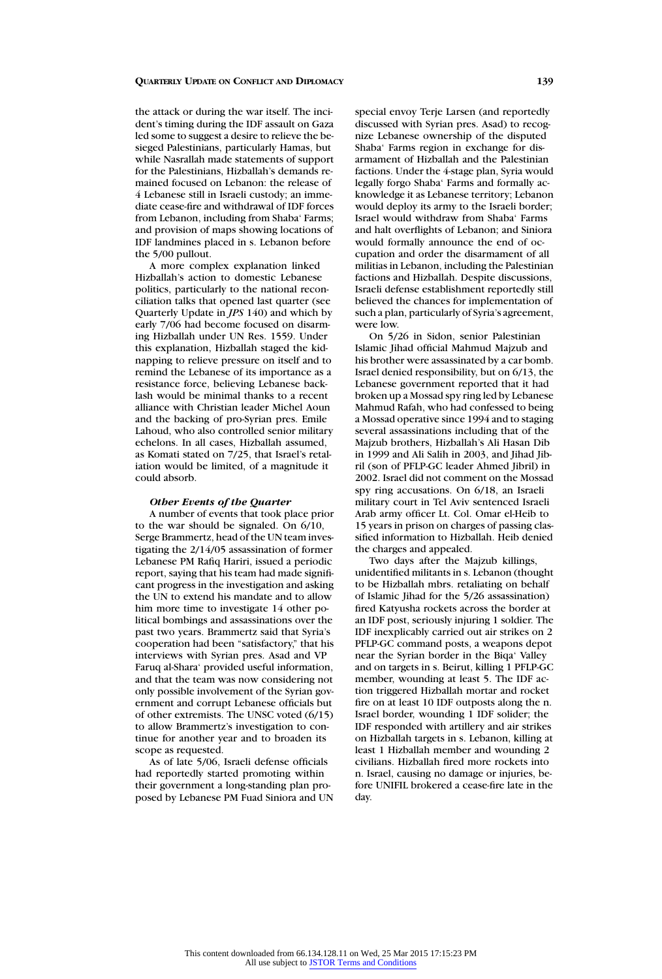the attack or during the war itself. The incident's timing during the IDF assault on Gaza led some to suggest a desire to relieve the besieged Palestinians, particularly Hamas, but while Nasrallah made statements of support for the Palestinians, Hizballah's demands remained focused on Lebanon: the release of 4 Lebanese still in Israeli custody; an immediate cease-fire and withdrawal of IDF forces from Lebanon, including from Shaba' Farms; and provision of maps showing locations of IDF landmines placed in s. Lebanon before the 5/00 pullout.

A more complex explanation linked Hizballah's action to domestic Lebanese politics, particularly to the national reconciliation talks that opened last quarter (see Quarterly Update in *JPS* 140) and which by early 7/06 had become focused on disarming Hizballah under UN Res. 1559. Under this explanation, Hizballah staged the kidnapping to relieve pressure on itself and to remind the Lebanese of its importance as a resistance force, believing Lebanese backlash would be minimal thanks to a recent alliance with Christian leader Michel Aoun and the backing of pro-Syrian pres. Emile Lahoud, who also controlled senior military echelons. In all cases, Hizballah assumed, as Komati stated on 7/25, that Israel's retaliation would be limited, of a magnitude it could absorb.

# *Other Events of the Quarter*

A number of events that took place prior to the war should be signaled. On 6/10, Serge Brammertz, head of the UN team investigating the 2/14/05 assassination of former Lebanese PM Rafiq Hariri, issued a periodic report, saying that his team had made significant progress in the investigation and asking the UN to extend his mandate and to allow him more time to investigate 14 other political bombings and assassinations over the past two years. Brammertz said that Syria's cooperation had been "satisfactory," that his interviews with Syrian pres. Asad and VP Faruq al-Shara' provided useful information, and that the team was now considering not only possible involvement of the Syrian government and corrupt Lebanese officials but of other extremists. The UNSC voted (6/15) to allow Brammertz's investigation to continue for another year and to broaden its scope as requested.

As of late 5/06, Israeli defense officials had reportedly started promoting within their government a long-standing plan proposed by Lebanese PM Fuad Siniora and UN special envoy Terje Larsen (and reportedly discussed with Syrian pres. Asad) to recognize Lebanese ownership of the disputed Shaba' Farms region in exchange for disarmament of Hizballah and the Palestinian factions. Under the 4-stage plan, Syria would legally forgo Shaba' Farms and formally acknowledge it as Lebanese territory; Lebanon would deploy its army to the Israeli border; Israel would withdraw from Shaba' Farms and halt overflights of Lebanon; and Siniora would formally announce the end of occupation and order the disarmament of all militias in Lebanon, including the Palestinian factions and Hizballah. Despite discussions, Israeli defense establishment reportedly still believed the chances for implementation of such a plan, particularly of Syria's agreement, were low.

On 5/26 in Sidon, senior Palestinian Islamic Jihad official Mahmud Majzub and his brother were assassinated by a car bomb. Israel denied responsibility, but on 6/13, the Lebanese government reported that it had broken up a Mossad spy ring led by Lebanese Mahmud Rafah, who had confessed to being a Mossad operative since 1994 and to staging several assassinations including that of the Majzub brothers, Hizballah's Ali Hasan Dib in 1999 and Ali Salih in 2003, and Jihad Jibril (son of PFLP-GC leader Ahmed Jibril) in 2002. Israel did not comment on the Mossad spy ring accusations. On 6/18, an Israeli military court in Tel Aviv sentenced Israeli Arab army officer Lt. Col. Omar el-Heib to 15 years in prison on charges of passing classified information to Hizballah. Heib denied the charges and appealed.

Two days after the Majzub killings, unidentified militants in s. Lebanon (thought to be Hizballah mbrs. retaliating on behalf of Islamic Jihad for the 5/26 assassination) fired Katyusha rockets across the border at an IDF post, seriously injuring 1 soldier. The IDF inexplicably carried out air strikes on 2 PFLP-GC command posts, a weapons depot near the Syrian border in the Biqa' Valley and on targets in s. Beirut, killing 1 PFLP-GC member, wounding at least 5. The IDF action triggered Hizballah mortar and rocket fire on at least 10 IDF outposts along the n. Israel border, wounding 1 IDF solider; the IDF responded with artillery and air strikes on Hizballah targets in s. Lebanon, killing at least 1 Hizballah member and wounding 2 civilians. Hizballah fired more rockets into n. Israel, causing no damage or injuries, before UNIFIL brokered a cease-fire late in the day.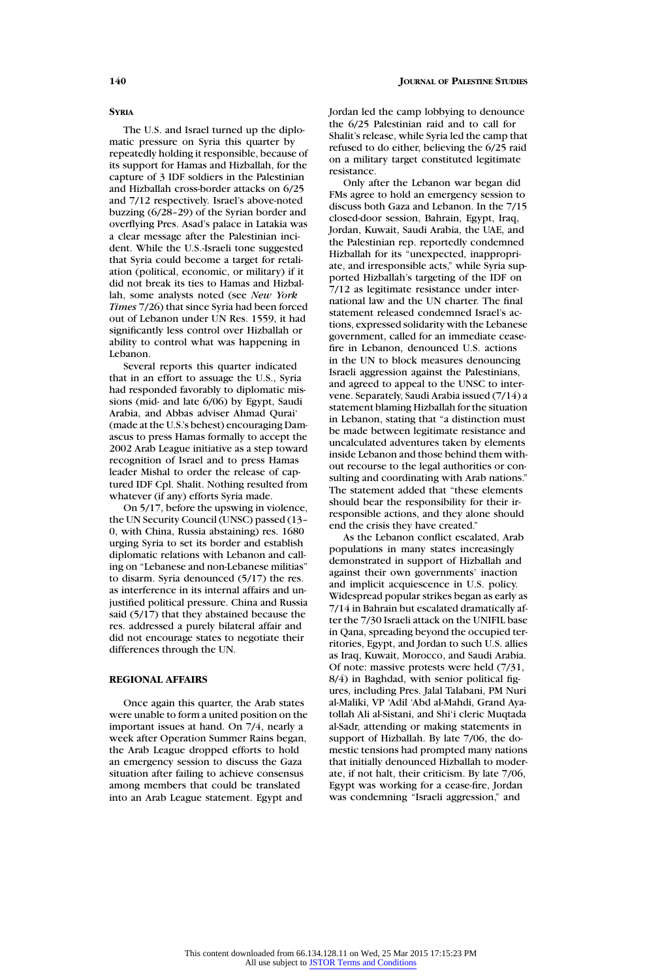The U.S. and Israel turned up the diplomatic pressure on Syria this quarter by repeatedly holding it responsible, because of its support for Hamas and Hizballah, for the capture of 3 IDF soldiers in the Palestinian and Hizballah cross-border attacks on 6/25 and 7/12 respectively. Israel's above-noted buzzing (6/28–29) of the Syrian border and overflying Pres. Asad's palace in Latakia was a clear message after the Palestinian incident. While the U.S.-Israeli tone suggested that Syria could become a target for retaliation (political, economic, or military) if it did not break its ties to Hamas and Hizballah, some analysts noted (see *New York Times* 7/26) that since Syria had been forced out of Lebanon under UN Res. 1559, it had significantly less control over Hizballah or ability to control what was happening in Lebanon.

Several reports this quarter indicated that in an effort to assuage the U.S., Syria had responded favorably to diplomatic missions (mid- and late 6/06) by Egypt, Saudi Arabia, and Abbas adviser Ahmad Qurai' (made at the U.S.'s behest) encouraging Damascus to press Hamas formally to accept the 2002 Arab League initiative as a step toward recognition of Israel and to press Hamas leader Mishal to order the release of captured IDF Cpl. Shalit. Nothing resulted from whatever (if any) efforts Syria made.

On 5/17, before the upswing in violence, the UN Security Council (UNSC) passed (13– 0, with China, Russia abstaining) res. 1680 urging Syria to set its border and establish diplomatic relations with Lebanon and calling on "Lebanese and non-Lebanese militias" to disarm. Syria denounced (5/17) the res. as interference in its internal affairs and unjustified political pressure. China and Russia said (5/17) that they abstained because the res. addressed a purely bilateral affair and did not encourage states to negotiate their differences through the UN.

# **REGIONAL AFFAIRS**

Once again this quarter, the Arab states were unable to form a united position on the important issues at hand. On 7/4, nearly a week after Operation Summer Rains began, the Arab League dropped efforts to hold an emergency session to discuss the Gaza situation after failing to achieve consensus among members that could be translated into an Arab League statement. Egypt and

Jordan led the camp lobbying to denounce the 6/25 Palestinian raid and to call for Shalit's release, while Syria led the camp that refused to do either, believing the 6/25 raid on a military target constituted legitimate resistance.

Only after the Lebanon war began did FMs agree to hold an emergency session to discuss both Gaza and Lebanon. In the 7/15 closed-door session, Bahrain, Egypt, Iraq, Jordan, Kuwait, Saudi Arabia, the UAE, and the Palestinian rep. reportedly condemned Hizballah for its "unexpected, inappropriate, and irresponsible acts," while Syria supported Hizballah's targeting of the IDF on 7/12 as legitimate resistance under international law and the UN charter. The final statement released condemned Israel's actions, expressed solidarity with the Lebanese government, called for an immediate ceasefire in Lebanon, denounced U.S. actions in the UN to block measures denouncing Israeli aggression against the Palestinians, and agreed to appeal to the UNSC to intervene. Separately, Saudi Arabia issued (7/14) a statement blaming Hizballah for the situation in Lebanon, stating that "a distinction must be made between legitimate resistance and uncalculated adventures taken by elements inside Lebanon and those behind them without recourse to the legal authorities or consulting and coordinating with Arab nations." The statement added that "these elements should bear the responsibility for their irresponsible actions, and they alone should end the crisis they have created."

As the Lebanon conflict escalated, Arab populations in many states increasingly demonstrated in support of Hizballah and against their own governments' inaction and implicit acquiescence in U.S. policy. Widespread popular strikes began as early as 7/14 in Bahrain but escalated dramatically after the 7/30 Israeli attack on the UNIFIL base in Qana, spreading beyond the occupied territories, Egypt, and Jordan to such U.S. allies as Iraq, Kuwait, Morocco, and Saudi Arabia. Of note: massive protests were held (7/31, 8/4) in Baghdad, with senior political figures, including Pres. Jalal Talabani, PM Nuri al-Maliki, VP 'Adil 'Abd al-Mahdi, Grand Ayatollah Ali al-Sistani, and Shi'i cleric Muqtada al-Sadr, attending or making statements in support of Hizballah. By late 7/06, the domestic tensions had prompted many nations that initially denounced Hizballah to moderate, if not halt, their criticism. By late 7/06, Egypt was working for a cease-fire, Jordan was condemning "Israeli aggression," and

**SYRIA**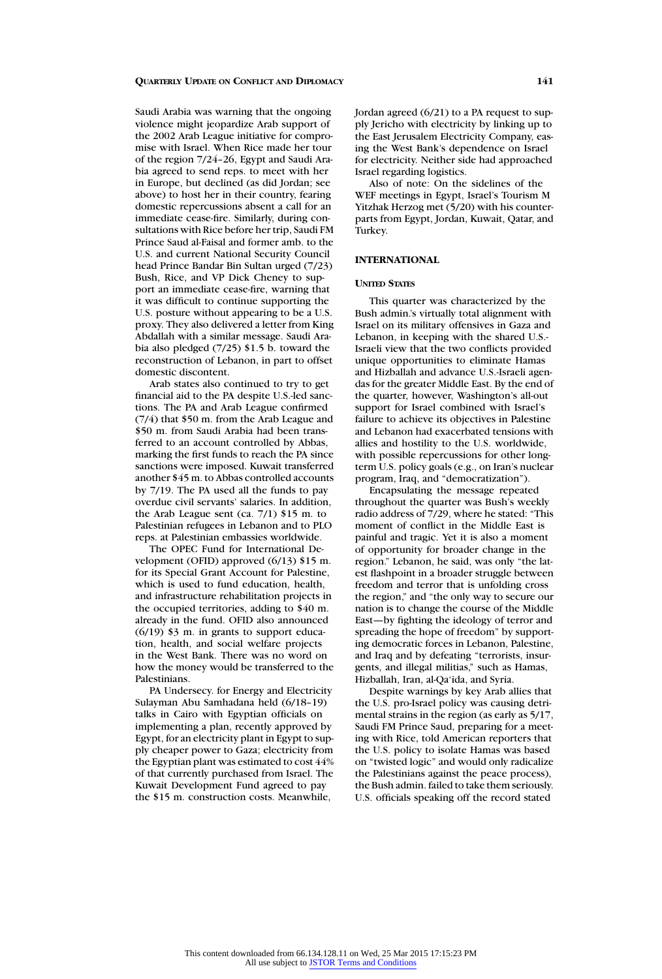Saudi Arabia was warning that the ongoing violence might jeopardize Arab support of the 2002 Arab League initiative for compromise with Israel. When Rice made her tour of the region 7/24–26, Egypt and Saudi Arabia agreed to send reps. to meet with her in Europe, but declined (as did Jordan; see above) to host her in their country, fearing domestic repercussions absent a call for an immediate cease-fire. Similarly, during consultations with Rice before her trip, Saudi FM Prince Saud al-Faisal and former amb. to the U.S. and current National Security Council head Prince Bandar Bin Sultan urged (7/23) Bush, Rice, and VP Dick Cheney to support an immediate cease-fire, warning that it was difficult to continue supporting the U.S. posture without appearing to be a U.S. proxy. They also delivered a letter from King Abdallah with a similar message. Saudi Arabia also pledged (7/25) \$1.5 b. toward the reconstruction of Lebanon, in part to offset domestic discontent.

Arab states also continued to try to get financial aid to the PA despite U.S.-led sanctions. The PA and Arab League confirmed (7/4) that \$50 m. from the Arab League and \$50 m. from Saudi Arabia had been transferred to an account controlled by Abbas, marking the first funds to reach the PA since sanctions were imposed. Kuwait transferred another \$45 m. to Abbas controlled accounts by 7/19. The PA used all the funds to pay overdue civil servants' salaries. In addition, the Arab League sent (ca. 7/1) \$15 m. to Palestinian refugees in Lebanon and to PLO reps. at Palestinian embassies worldwide.

The OPEC Fund for International Development (OFID) approved (6/13) \$15 m. for its Special Grant Account for Palestine, which is used to fund education, health, and infrastructure rehabilitation projects in the occupied territories, adding to \$40 m. already in the fund. OFID also announced (6/19) \$3 m. in grants to support education, health, and social welfare projects in the West Bank. There was no word on how the money would be transferred to the Palestinians.

PA Undersecy. for Energy and Electricity Sulayman Abu Samhadana held (6/18–19) talks in Cairo with Egyptian officials on implementing a plan, recently approved by Egypt, for an electricity plant in Egypt to supply cheaper power to Gaza; electricity from the Egyptian plant was estimated to cost 44% of that currently purchased from Israel. The Kuwait Development Fund agreed to pay the \$15 m. construction costs. Meanwhile,

Jordan agreed (6/21) to a PA request to supply Jericho with electricity by linking up to the East Jerusalem Electricity Company, easing the West Bank's dependence on Israel for electricity. Neither side had approached Israel regarding logistics.

Also of note: On the sidelines of the WEF meetings in Egypt, Israel's Tourism M Yitzhak Herzog met (5/20) with his counterparts from Egypt, Jordan, Kuwait, Qatar, and Turkey.

#### **INTERNATIONAL**

#### **UNITED STATES**

This quarter was characterized by the Bush admin.'s virtually total alignment with Israel on its military offensives in Gaza and Lebanon, in keeping with the shared U.S.- Israeli view that the two conflicts provided unique opportunities to eliminate Hamas and Hizballah and advance U.S.-Israeli agendas for the greater Middle East. By the end of the quarter, however, Washington's all-out support for Israel combined with Israel's failure to achieve its objectives in Palestine and Lebanon had exacerbated tensions with allies and hostility to the U.S. worldwide, with possible repercussions for other longterm U.S. policy goals (e.g., on Iran's nuclear program, Iraq, and "democratization").

Encapsulating the message repeated throughout the quarter was Bush's weekly radio address of 7/29, where he stated: "This moment of conflict in the Middle East is painful and tragic. Yet it is also a moment of opportunity for broader change in the region." Lebanon, he said, was only "the latest flashpoint in a broader struggle between freedom and terror that is unfolding cross the region," and "the only way to secure our nation is to change the course of the Middle East—by fighting the ideology of terror and spreading the hope of freedom" by supporting democratic forces in Lebanon, Palestine, and Iraq and by defeating "terrorists, insurgents, and illegal militias," such as Hamas, Hizballah, Iran, al-Qa'ida, and Syria.

Despite warnings by key Arab allies that the U.S. pro-Israel policy was causing detrimental strains in the region (as early as 5/17, Saudi FM Prince Saud, preparing for a meeting with Rice, told American reporters that the U.S. policy to isolate Hamas was based on "twisted logic" and would only radicalize the Palestinians against the peace process), the Bush admin. failed to take them seriously. U.S. officials speaking off the record stated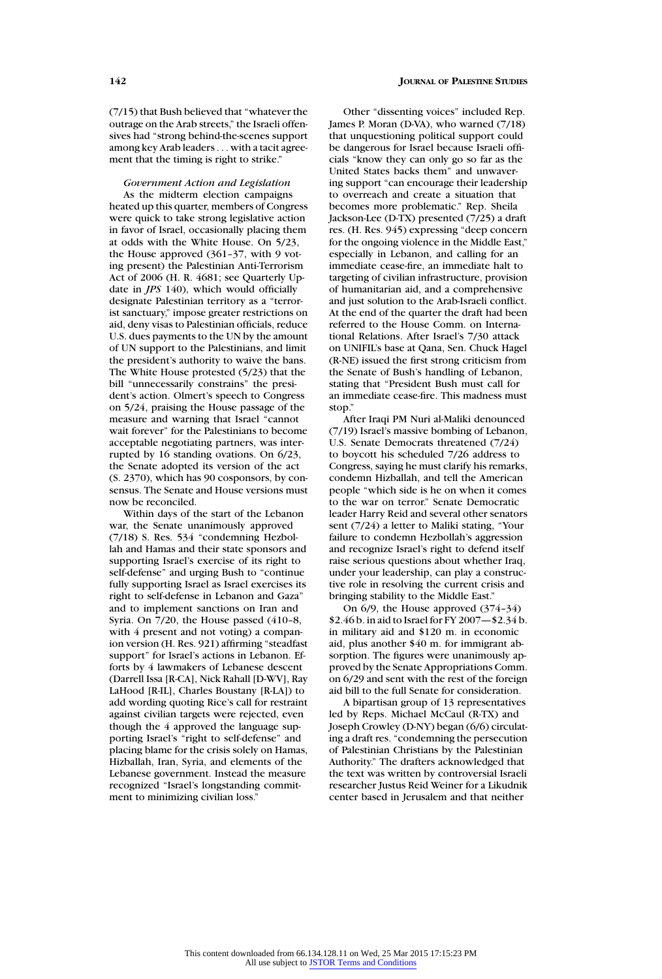(7/15) that Bush believed that "whatever the outrage on the Arab streets," the Israeli offensives had "strong behind-the-scenes support among key Arab leaders . . . with a tacit agreement that the timing is right to strike."

*Government Action and Legislation*

As the midterm election campaigns heated up this quarter, members of Congress were quick to take strong legislative action in favor of Israel, occasionally placing them at odds with the White House. On 5/23, the House approved (361-37, with 9 voting present) the Palestinian Anti-Terrorism Act of 2006 (H. R. 4681; see Quarterly Update in *JPS* 140), which would officially designate Palestinian territory as a "terrorist sanctuary," impose greater restrictions on aid, deny visas to Palestinian officials, reduce U.S. dues payments to the UN by the amount of UN support to the Palestinians, and limit the president's authority to waive the bans. The White House protested (5/23) that the bill "unnecessarily constrains" the president's action. Olmert's speech to Congress on 5/24, praising the House passage of the measure and warning that Israel "cannot wait forever" for the Palestinians to become acceptable negotiating partners, was interrupted by 16 standing ovations. On 6/23, the Senate adopted its version of the act (S. 2370), which has 90 cosponsors, by consensus. The Senate and House versions must now be reconciled.

Within days of the start of the Lebanon war, the Senate unanimously approved (7/18) S. Res. 534 "condemning Hezbollah and Hamas and their state sponsors and supporting Israel's exercise of its right to self-defense" and urging Bush to "continue fully supporting Israel as Israel exercises its right to self-defense in Lebanon and Gaza" and to implement sanctions on Iran and Syria. On 7/20, the House passed (410–8, with 4 present and not voting) a companion version (H. Res. 921) affirming "steadfast support" for Israel's actions in Lebanon. Efforts by 4 lawmakers of Lebanese descent (Darrell Issa [R-CA], Nick Rahall [D-WV], Ray LaHood [R-IL], Charles Boustany [R-LA]) to add wording quoting Rice's call for restraint against civilian targets were rejected, even though the 4 approved the language supporting Israel's "right to self-defense" and placing blame for the crisis solely on Hamas, Hizballah, Iran, Syria, and elements of the Lebanese government. Instead the measure recognized "Israel's longstanding commitment to minimizing civilian loss."

# **142 JOURNAL OF PALESTINE STUDIES**

Other "dissenting voices" included Rep. James P. Moran (D-VA), who warned (7/18) that unquestioning political support could be dangerous for Israel because Israeli officials "know they can only go so far as the United States backs them" and unwavering support "can encourage their leadership to overreach and create a situation that becomes more problematic." Rep. Sheila Jackson-Lee (D-TX) presented (7/25) a draft res. (H. Res. 945) expressing "deep concern for the ongoing violence in the Middle East," especially in Lebanon, and calling for an immediate cease-fire, an immediate halt to targeting of civilian infrastructure, provision of humanitarian aid, and a comprehensive and just solution to the Arab-Israeli conflict. At the end of the quarter the draft had been referred to the House Comm. on International Relations. After Israel's 7/30 attack on UNIFIL's base at Qana, Sen. Chuck Hagel (R-NE) issued the first strong criticism from the Senate of Bush's handling of Lebanon, stating that "President Bush must call for an immediate cease-fire. This madness must stop."

After Iraqi PM Nuri al-Maliki denounced (7/19) Israel's massive bombing of Lebanon, U.S. Senate Democrats threatened (7/24) to boycott his scheduled 7/26 address to Congress, saying he must clarify his remarks, condemn Hizballah, and tell the American people "which side is he on when it comes to the war on terror." Senate Democratic leader Harry Reid and several other senators sent (7/24) a letter to Maliki stating, "Your failure to condemn Hezbollah's aggression and recognize Israel's right to defend itself raise serious questions about whether Iraq, under your leadership, can play a constructive role in resolving the current crisis and bringing stability to the Middle East."

On 6/9, the House approved (374–34) \$2.46 b. in aid to Israel for FY 2007—\$2.34 b. in military aid and \$120 m. in economic aid, plus another \$40 m. for immigrant absorption. The figures were unanimously approved by the Senate Appropriations Comm. on 6/29 and sent with the rest of the foreign aid bill to the full Senate for consideration.

A bipartisan group of 13 representatives led by Reps. Michael McCaul (R-TX) and Joseph Crowley (D-NY) began (6/6) circulating a draft res. "condemning the persecution of Palestinian Christians by the Palestinian Authority." The drafters acknowledged that the text was written by controversial Israeli researcher Justus Reid Weiner for a Likudnik center based in Jerusalem and that neither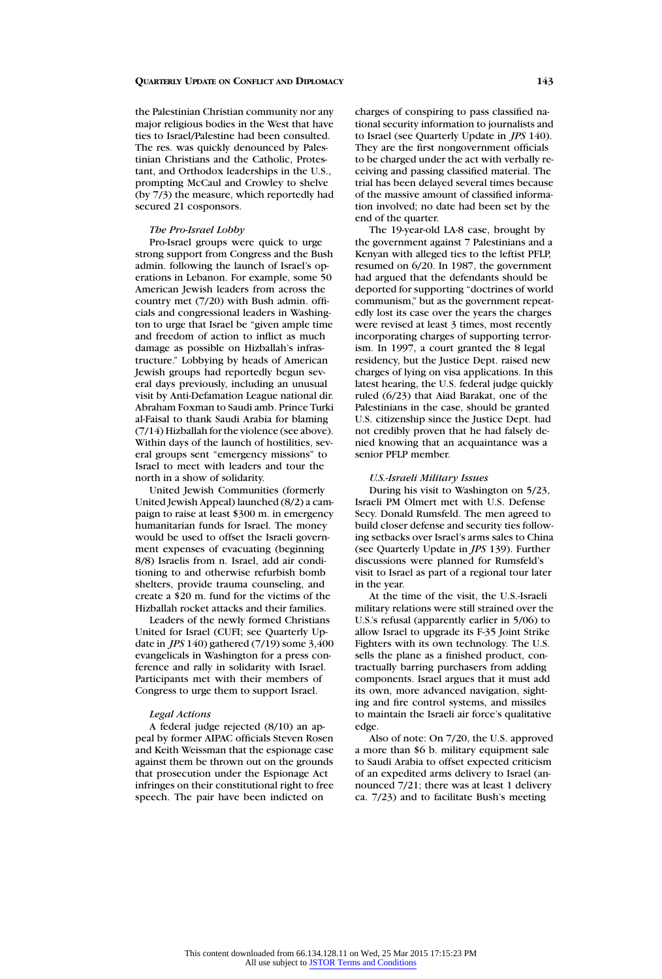the Palestinian Christian community nor any major religious bodies in the West that have ties to Israel/Palestine had been consulted. The res. was quickly denounced by Palestinian Christians and the Catholic, Protestant, and Orthodox leaderships in the U.S., prompting McCaul and Crowley to shelve (by 7/3) the measure, which reportedly had secured 21 cosponsors.

#### *The Pro-Israel Lobby*

Pro-Israel groups were quick to urge strong support from Congress and the Bush admin. following the launch of Israel's operations in Lebanon. For example, some 50 American Jewish leaders from across the country met (7/20) with Bush admin. officials and congressional leaders in Washington to urge that Israel be "given ample time and freedom of action to inflict as much damage as possible on Hizballah's infrastructure." Lobbying by heads of American Jewish groups had reportedly begun several days previously, including an unusual visit by Anti-Defamation League national dir. Abraham Foxman to Saudi amb. Prince Turki al-Faisal to thank Saudi Arabia for blaming (7/14) Hizballah for the violence (see above). Within days of the launch of hostilities, several groups sent "emergency missions" to Israel to meet with leaders and tour the north in a show of solidarity.

United Jewish Communities (formerly United Jewish Appeal) launched (8/2) a campaign to raise at least \$300 m. in emergency humanitarian funds for Israel. The money would be used to offset the Israeli government expenses of evacuating (beginning 8/8) Israelis from n. Israel, add air conditioning to and otherwise refurbish bomb shelters, provide trauma counseling, and create a \$20 m. fund for the victims of the Hizballah rocket attacks and their families.

Leaders of the newly formed Christians United for Israel (CUFI; see Quarterly Update in *JPS* 140) gathered (7/19) some 3,400 evangelicals in Washington for a press conference and rally in solidarity with Israel. Participants met with their members of Congress to urge them to support Israel.

# *Legal Actions*

A federal judge rejected (8/10) an appeal by former AIPAC officials Steven Rosen and Keith Weissman that the espionage case against them be thrown out on the grounds that prosecution under the Espionage Act infringes on their constitutional right to free speech. The pair have been indicted on

charges of conspiring to pass classified national security information to journalists and to Israel (see Quarterly Update in *JPS* 140). They are the first nongovernment officials to be charged under the act with verbally receiving and passing classified material. The trial has been delayed several times because of the massive amount of classified information involved; no date had been set by the end of the quarter.

The 19-year-old LA-8 case, brought by the government against 7 Palestinians and a Kenyan with alleged ties to the leftist PFLP, resumed on 6/20. In 1987, the government had argued that the defendants should be deported for supporting "doctrines of world communism," but as the government repeatedly lost its case over the years the charges were revised at least 3 times, most recently incorporating charges of supporting terrorism. In 1997, a court granted the 8 legal residency, but the Justice Dept. raised new charges of lying on visa applications. In this latest hearing, the U.S. federal judge quickly ruled (6/23) that Aiad Barakat, one of the Palestinians in the case, should be granted U.S. citizenship since the Justice Dept. had not credibly proven that he had falsely denied knowing that an acquaintance was a senior PFLP member.

#### *U.S.-Israeli Military Issues*

During his visit to Washington on 5/23, Israeli PM Olmert met with U.S. Defense Secy. Donald Rumsfeld. The men agreed to build closer defense and security ties following setbacks over Israel's arms sales to China (see Quarterly Update in *JPS* 139). Further discussions were planned for Rumsfeld's visit to Israel as part of a regional tour later in the year.

At the time of the visit, the U.S.-Israeli military relations were still strained over the U.S.'s refusal (apparently earlier in 5/06) to allow Israel to upgrade its F-35 Joint Strike Fighters with its own technology. The U.S. sells the plane as a finished product, contractually barring purchasers from adding components. Israel argues that it must add its own, more advanced navigation, sighting and fire control systems, and missiles to maintain the Israeli air force's qualitative edge.

Also of note: On 7/20, the U.S. approved a more than \$6 b. military equipment sale to Saudi Arabia to offset expected criticism of an expedited arms delivery to Israel (announced 7/21; there was at least 1 delivery ca. 7/23) and to facilitate Bush's meeting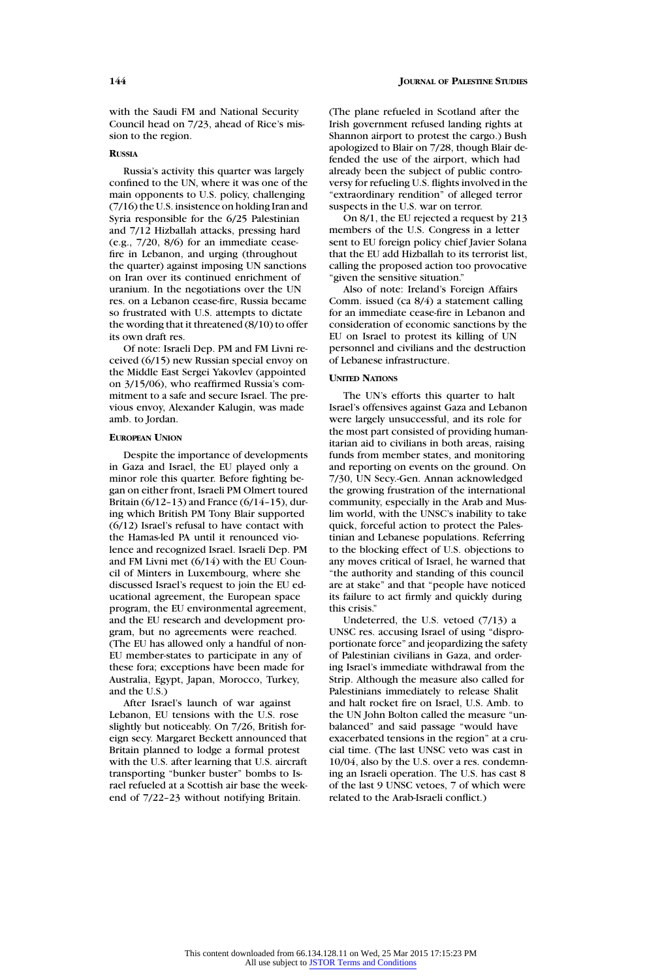with the Saudi FM and National Security Council head on 7/23, ahead of Rice's mission to the region.

# **RUSSIA**

Russia's activity this quarter was largely confined to the UN, where it was one of the main opponents to U.S. policy, challenging (7/16) the U.S. insistence on holding Iran and Syria responsible for the 6/25 Palestinian and 7/12 Hizballah attacks, pressing hard (e.g., 7/20, 8/6) for an immediate ceasefire in Lebanon, and urging (throughout the quarter) against imposing UN sanctions on Iran over its continued enrichment of uranium. In the negotiations over the UN res. on a Lebanon cease-fire, Russia became so frustrated with U.S. attempts to dictate the wording that it threatened (8/10) to offer its own draft res.

Of note: Israeli Dep. PM and FM Livni received (6/15) new Russian special envoy on the Middle East Sergei Yakovlev (appointed on 3/15/06), who reaffirmed Russia's commitment to a safe and secure Israel. The previous envoy, Alexander Kalugin, was made amb. to Jordan.

# **EUROPEAN UNION**

Despite the importance of developments in Gaza and Israel, the EU played only a minor role this quarter. Before fighting began on either front, Israeli PM Olmert toured Britain (6/12–13) and France (6/14–15), during which British PM Tony Blair supported (6/12) Israel's refusal to have contact with the Hamas-led PA until it renounced violence and recognized Israel. Israeli Dep. PM and FM Livni met (6/14) with the EU Council of Minters in Luxembourg, where she discussed Israel's request to join the EU educational agreement, the European space program, the EU environmental agreement, and the EU research and development program, but no agreements were reached. (The EU has allowed only a handful of non-EU member-states to participate in any of these fora; exceptions have been made for Australia, Egypt, Japan, Morocco, Turkey, and the U.S.)

After Israel's launch of war against Lebanon, EU tensions with the U.S. rose slightly but noticeably. On 7/26, British foreign secy. Margaret Beckett announced that Britain planned to lodge a formal protest with the U.S. after learning that U.S. aircraft transporting "bunker buster" bombs to Israel refueled at a Scottish air base the weekend of 7/22–23 without notifying Britain.

(The plane refueled in Scotland after the Irish government refused landing rights at Shannon airport to protest the cargo.) Bush apologized to Blair on 7/28, though Blair defended the use of the airport, which had already been the subject of public controversy for refueling U.S. flights involved in the "extraordinary rendition" of alleged terror suspects in the U.S. war on terror.

On 8/1, the EU rejected a request by 213 members of the U.S. Congress in a letter sent to EU foreign policy chief Javier Solana that the EU add Hizballah to its terrorist list, calling the proposed action too provocative "given the sensitive situation."

Also of note: Ireland's Foreign Affairs Comm. issued (ca 8/4) a statement calling for an immediate cease-fire in Lebanon and consideration of economic sanctions by the EU on Israel to protest its killing of UN personnel and civilians and the destruction of Lebanese infrastructure.

# **UNITED NATIONS**

The UN's efforts this quarter to halt Israel's offensives against Gaza and Lebanon were largely unsuccessful, and its role for the most part consisted of providing humanitarian aid to civilians in both areas, raising funds from member states, and monitoring and reporting on events on the ground. On 7/30, UN Secy.-Gen. Annan acknowledged the growing frustration of the international community, especially in the Arab and Muslim world, with the UNSC's inability to take quick, forceful action to protect the Palestinian and Lebanese populations. Referring to the blocking effect of U.S. objections to any moves critical of Israel, he warned that "the authority and standing of this council are at stake" and that "people have noticed its failure to act firmly and quickly during this crisis."

Undeterred, the U.S. vetoed (7/13) a UNSC res. accusing Israel of using "disproportionate force" and jeopardizing the safety of Palestinian civilians in Gaza, and ordering Israel's immediate withdrawal from the Strip. Although the measure also called for Palestinians immediately to release Shalit and halt rocket fire on Israel, U.S. Amb. to the UN John Bolton called the measure "unbalanced" and said passage "would have exacerbated tensions in the region" at a crucial time. (The last UNSC veto was cast in 10/04, also by the U.S. over a res. condemning an Israeli operation. The U.S. has cast 8 of the last 9 UNSC vetoes, 7 of which were related to the Arab-Israeli conflict.)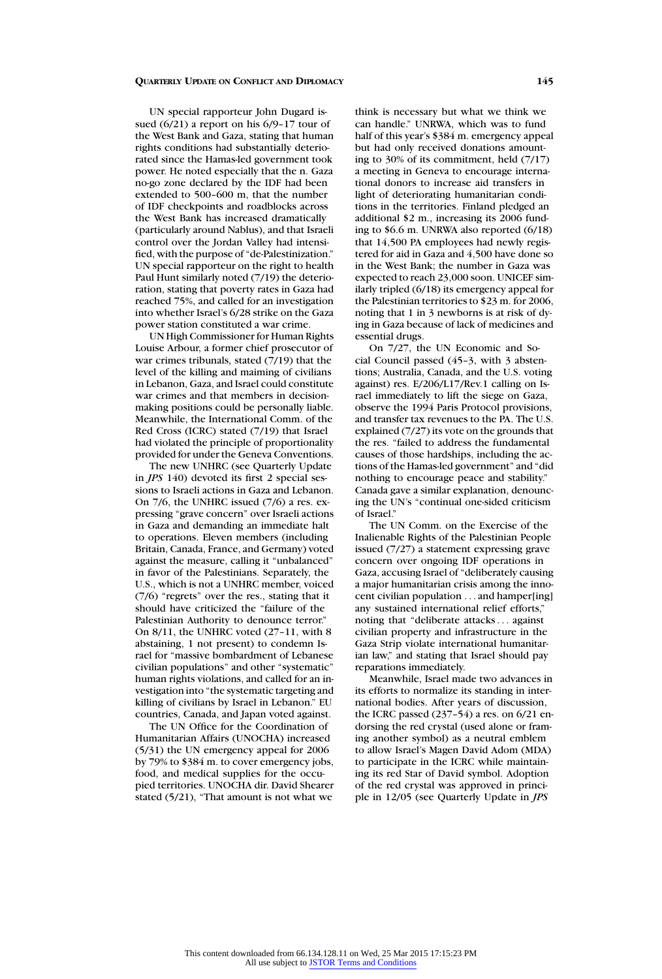UN special rapporteur John Dugard issued (6/21) a report on his 6/9–17 tour of the West Bank and Gaza, stating that human rights conditions had substantially deteriorated since the Hamas-led government took power. He noted especially that the n. Gaza no-go zone declared by the IDF had been extended to 500–600 m, that the number of IDF checkpoints and roadblocks across the West Bank has increased dramatically (particularly around Nablus), and that Israeli control over the Jordan Valley had intensified, with the purpose of "de-Palestinization." UN special rapporteur on the right to health Paul Hunt similarly noted (7/19) the deterioration, stating that poverty rates in Gaza had reached 75%, and called for an investigation into whether Israel's 6/28 strike on the Gaza power station constituted a war crime.

UN High Commissioner for Human Rights Louise Arbour, a former chief prosecutor of war crimes tribunals, stated (7/19) that the level of the killing and maiming of civilians in Lebanon, Gaza, and Israel could constitute war crimes and that members in decisionmaking positions could be personally liable. Meanwhile, the International Comm. of the Red Cross (ICRC) stated (7/19) that Israel had violated the principle of proportionality provided for under the Geneva Conventions.

The new UNHRC (see Quarterly Update in *JPS* 140) devoted its first 2 special sessions to Israeli actions in Gaza and Lebanon. On 7/6, the UNHRC issued (7/6) a res. expressing "grave concern" over Israeli actions in Gaza and demanding an immediate halt to operations. Eleven members (including Britain, Canada, France, and Germany) voted against the measure, calling it "unbalanced" in favor of the Palestinians. Separately, the U.S., which is not a UNHRC member, voiced (7/6) "regrets" over the res., stating that it should have criticized the "failure of the Palestinian Authority to denounce terror." On 8/11, the UNHRC voted (27–11, with 8 abstaining, 1 not present) to condemn Israel for "massive bombardment of Lebanese civilian populations" and other "systematic" human rights violations, and called for an investigation into "the systematic targeting and killing of civilians by Israel in Lebanon." EU countries, Canada, and Japan voted against.

The UN Office for the Coordination of Humanitarian Affairs (UNOCHA) increased (5/31) the UN emergency appeal for 2006 by 79% to \$384 m. to cover emergency jobs, food, and medical supplies for the occupied territories. UNOCHA dir. David Shearer stated (5/21), "That amount is not what we

think is necessary but what we think we can handle." UNRWA, which was to fund half of this year's \$384 m. emergency appeal but had only received donations amounting to 30% of its commitment, held (7/17) a meeting in Geneva to encourage international donors to increase aid transfers in light of deteriorating humanitarian conditions in the territories. Finland pledged an additional \$2 m., increasing its 2006 funding to \$6.6 m. UNRWA also reported (6/18) that 14,500 PA employees had newly registered for aid in Gaza and 4,500 have done so in the West Bank; the number in Gaza was expected to reach 23,000 soon. UNICEF similarly tripled (6/18) its emergency appeal for the Palestinian territories to \$23 m. for 2006, noting that 1 in 3 newborns is at risk of dying in Gaza because of lack of medicines and essential drugs.

On 7/27, the UN Economic and Social Council passed (45–3, with 3 abstentions; Australia, Canada, and the U.S. voting against) res. E/206/L17/Rev.1 calling on Israel immediately to lift the siege on Gaza, observe the 1994 Paris Protocol provisions, and transfer tax revenues to the PA. The U.S. explained (7/27) its vote on the grounds that the res. "failed to address the fundamental causes of those hardships, including the actions of the Hamas-led government" and "did nothing to encourage peace and stability." Canada gave a similar explanation, denouncing the UN's "continual one-sided criticism of Israel."

The UN Comm. on the Exercise of the Inalienable Rights of the Palestinian People issued (7/27) a statement expressing grave concern over ongoing IDF operations in Gaza, accusing Israel of "deliberately causing a major humanitarian crisis among the innocent civilian population . . . and hamper[ing] any sustained international relief efforts," noting that "deliberate attacks . . . against civilian property and infrastructure in the Gaza Strip violate international humanitarian law," and stating that Israel should pay reparations immediately.

Meanwhile, Israel made two advances in its efforts to normalize its standing in international bodies. After years of discussion, the ICRC passed  $(237-54)$  a res. on  $6/21$  endorsing the red crystal (used alone or framing another symbol) as a neutral emblem to allow Israel's Magen David Adom (MDA) to participate in the ICRC while maintaining its red Star of David symbol. Adoption of the red crystal was approved in principle in 12/05 (see Quarterly Update in *JPS*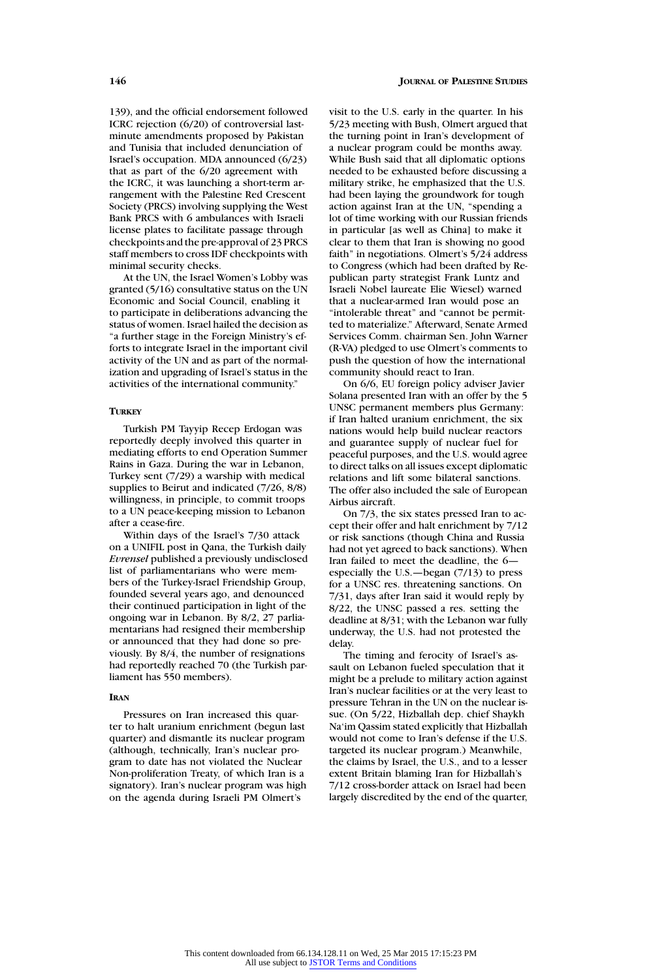139), and the official endorsement followed ICRC rejection (6/20) of controversial lastminute amendments proposed by Pakistan and Tunisia that included denunciation of Israel's occupation. MDA announced (6/23) that as part of the 6/20 agreement with the ICRC, it was launching a short-term arrangement with the Palestine Red Crescent Society (PRCS) involving supplying the West Bank PRCS with 6 ambulances with Israeli license plates to facilitate passage through checkpoints and the pre-approval of 23 PRCS staff members to cross IDF checkpoints with minimal security checks.

At the UN, the Israel Women's Lobby was granted (5/16) consultative status on the UN Economic and Social Council, enabling it to participate in deliberations advancing the status of women. Israel hailed the decision as "a further stage in the Foreign Ministry's efforts to integrate Israel in the important civil activity of the UN and as part of the normalization and upgrading of Israel's status in the activities of the international community."

# **TURKEY**

Turkish PM Tayyip Recep Erdogan was reportedly deeply involved this quarter in mediating efforts to end Operation Summer Rains in Gaza. During the war in Lebanon, Turkey sent (7/29) a warship with medical supplies to Beirut and indicated (7/26, 8/8) willingness, in principle, to commit troops to a UN peace-keeping mission to Lebanon after a cease-fire.

Within days of the Israel's 7/30 attack on a UNIFIL post in Qana, the Turkish daily *Evrensel* published a previously undisclosed list of parliamentarians who were members of the Turkey-Israel Friendship Group, founded several years ago, and denounced their continued participation in light of the ongoing war in Lebanon. By 8/2, 27 parliamentarians had resigned their membership or announced that they had done so previously. By 8/4, the number of resignations had reportedly reached 70 (the Turkish parliament has 550 members).

#### **IRAN**

Pressures on Iran increased this quarter to halt uranium enrichment (begun last quarter) and dismantle its nuclear program (although, technically, Iran's nuclear program to date has not violated the Nuclear Non-proliferation Treaty, of which Iran is a signatory). Iran's nuclear program was high on the agenda during Israeli PM Olmert's

visit to the U.S. early in the quarter. In his 5/23 meeting with Bush, Olmert argued that the turning point in Iran's development of a nuclear program could be months away. While Bush said that all diplomatic options needed to be exhausted before discussing a military strike, he emphasized that the U.S. had been laying the groundwork for tough action against Iran at the UN, "spending a lot of time working with our Russian friends in particular [as well as China] to make it clear to them that Iran is showing no good faith" in negotiations. Olmert's 5/24 address to Congress (which had been drafted by Republican party strategist Frank Luntz and Israeli Nobel laureate Elie Wiesel) warned that a nuclear-armed Iran would pose an "intolerable threat" and "cannot be permitted to materialize." Afterward, Senate Armed Services Comm. chairman Sen. John Warner (R-VA) pledged to use Olmert's comments to push the question of how the international community should react to Iran.

On 6/6, EU foreign policy adviser Javier Solana presented Iran with an offer by the 5 UNSC permanent members plus Germany: if Iran halted uranium enrichment, the six nations would help build nuclear reactors and guarantee supply of nuclear fuel for peaceful purposes, and the U.S. would agree to direct talks on all issues except diplomatic relations and lift some bilateral sanctions. The offer also included the sale of European Airbus aircraft.

On 7/3, the six states pressed Iran to accept their offer and halt enrichment by 7/12 or risk sanctions (though China and Russia had not yet agreed to back sanctions). When Iran failed to meet the deadline, the 6 especially the U.S.—began (7/13) to press for a UNSC res. threatening sanctions. On 7/31, days after Iran said it would reply by 8/22, the UNSC passed a res. setting the deadline at 8/31; with the Lebanon war fully underway, the U.S. had not protested the delay.

The timing and ferocity of Israel's assault on Lebanon fueled speculation that it might be a prelude to military action against Iran's nuclear facilities or at the very least to pressure Tehran in the UN on the nuclear issue. (On 5/22, Hizballah dep. chief Shaykh Na'im Qassim stated explicitly that Hizballah would not come to Iran's defense if the U.S. targeted its nuclear program.) Meanwhile, the claims by Israel, the U.S., and to a lesser extent Britain blaming Iran for Hizballah's 7/12 cross-border attack on Israel had been largely discredited by the end of the quarter,